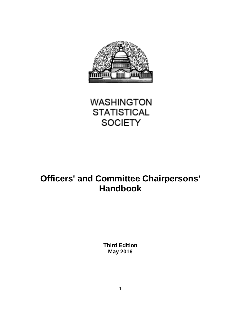



# **Officers' and Committee Chairpersons' Handbook**

**Third Edition May 2016**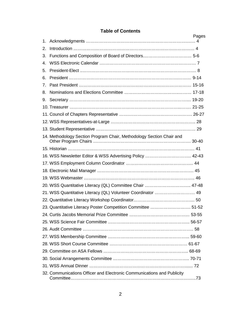# **Table of Contents**

|                | ו מטוס טו טטוונפוונ                                                    | Pages |
|----------------|------------------------------------------------------------------------|-------|
| 1.             |                                                                        |       |
| 2.             |                                                                        |       |
| 3.             |                                                                        |       |
| 4.             |                                                                        |       |
| 5.             |                                                                        |       |
| 6.             |                                                                        |       |
| 7 <sub>1</sub> |                                                                        |       |
| 8.             |                                                                        |       |
| 9.             |                                                                        |       |
|                |                                                                        |       |
|                |                                                                        |       |
|                |                                                                        |       |
|                |                                                                        |       |
|                | 14. Methodology Section Program Chair, Methodology Section Chair and   |       |
|                |                                                                        |       |
|                | 16. WSS Newsletter Editor & WSS Advertising Policy  42-43              |       |
|                |                                                                        |       |
|                |                                                                        |       |
|                |                                                                        |       |
|                | 20. WSS Quantitative Literacy (QL) Committee Chair  47-48              |       |
|                | 21. WSS Quantitative Literacy (QL) Volunteer Coordinator  49           |       |
|                |                                                                        |       |
|                | 23. Quantitative Literacy Poster Competition Committee  51-52          |       |
|                |                                                                        |       |
|                |                                                                        |       |
|                |                                                                        |       |
|                |                                                                        |       |
|                |                                                                        |       |
|                |                                                                        |       |
|                |                                                                        |       |
|                |                                                                        |       |
|                | 32. Communications Officer and Electronic Communications and Publicity |       |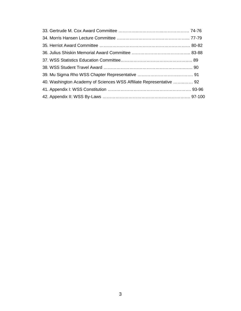| 40. Washington Academy of Sciences WSS Affiliate Representative  92 |  |
|---------------------------------------------------------------------|--|
|                                                                     |  |
|                                                                     |  |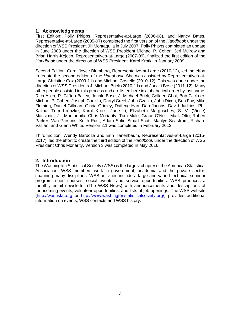# **1. Acknowledgments**

First Edition: Polly Phipps, Representative-at-Large (2006-08), and Nancy Bates, Representative-at-Large (2005-07) completed the first version of the *Handbook* under the direction of WSS President Jill Montaquila in July 2007. Polly Phipps completed an update in June 2008 under the direction of WSS President Michael P. Cohen. Jeri Mulrow and Brian Harris-Kojetin, Representatives-at-Large (2007-09), finalized the first edition of the *Handbook* under the direction of WSS President, Karol Krotki in January 2009.

Second Edition: Carol Joyce Blumberg, Representative-at-Large (2010-12), led the effort to create the second edition of the *Handbook.* She was assisted by Representatives-at-Large Christine Cox (2009-11) and Michael Costello (2010-12). This was done under the direction of WSS Presidents J. Michael Brick (2010-11) and Jonaki Bose (2011-12). Many other people assisted in this process and are listed here in alphabetical order by last name: Rich Allen, R. Clifton Bailey, Jonaki Bose, J. Michael Brick, Colleen Choi, Bob Clickner, Michael P. Cohen, Joseph Conklin, Darryl Creel, John Czajka, John Dixon, Bob Fay, Mike Fleming, Daniel Gillman, Gloria Gridley, Daifeng Han, Dan Jacobs, David Judkins, Phil Kalina, Tom Krenzke, Karol Krotki, Jane Li, Elizabeth Margosches, S. V. (Vince) Massimini, Jill Montaquila, Chris Moriarity, Tom Mule, Grace O'Neill, Mark Otto, Robert Parker, Van Parsons, Keith Rust, Adam Safir, Stuart Scott, Marilyn Seastrom, Richard Valliant and Glenn White. Version 2.1 was completed in February 2012.

Third Edition: Wendy Barboza and Erin Tanenbaum, Representatives-at-Large (2015- 2017), led the effort to create the third edition of the *Handbook* under the direction of WSS President Chris Moriarity. Version 3 was completed in May 2016.

## **2. Introduction**

The Washington Statistical Society (WSS) is the largest chapter of the American Statistical Association. WSS members work in government, academia and the private sector, spanning many disciplines. WSS activities include a large and varied technical seminar program, short courses, social events, and service opportunities. WSS produces a monthly email newsletter (The WSS News) with announcements and descriptions of forthcoming events, volunteer opportunities, and lists of job openings. The WSS website [\(http://washstat.org](http://washstat.org/) or [http://www.washingtonstatisticalsociety.org/\)](http://www.washingtonstatisticalsociety.org/) provides additional information on events, WSS contacts and WSS history.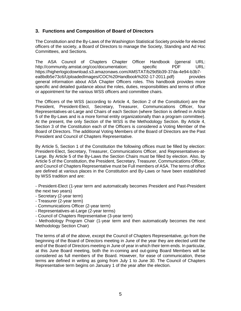# **3. Functions and Composition of Board of Directors**

The Constitution and the By-Laws of the Washington Statistical Society provide for elected officers of the society, a Board of Directors to manage the Society, Standing and Ad Hoc Committees, and Sections.

The ASA Council of Chapters Chapter Officer Handbook (general URL: http://community.amstat.org/coc/documentation; specific PDF URL: https://higherlogicdownload.s3.amazonaws.com/AMSTAT/b29d5b39-37da-4e94-b3b7 ea8bdb5e73c6/UploadedImages/COC%20Handbook%202-17-2011.pdf) provides general information about ASA Chapter Officers roles. This handbook provides more specific and detailed guidance about the roles, duties, responsibilities and terms of office or appointment for the various WSS officers and committee chairs.

The Officers of the WSS (according to Article 4, Section 2 of the Constitution) are the President, President-Elect, Secretary, Treasurer, Communications Officer, four Representatives-at-Large and Chairs of each Section (where Section is defined in Article 5 of the By-Laws and is a more formal entity organizationally than a program committee). At the present, the only Section of the WSS is the Methodology Section. By Article 4, Section 3 of the Constitution each of the Officers is considered a Voting Member of the Board of Directors. The additional Voting Members of the Board of Directors are the Past President and Council of Chapters Representative.

By Article 5, Section 1 of the Constitution the following offices must be filled by election: President-Elect, Secretary, Treasurer, Communications Officer, and Representatives-at-Large. By Article 5 of the By-Laws the Section Chairs must be filled by election. Also, by Article 5 of the Constitution, the President, Secretary, Treasurer, Communications Officer, and Council of Chapters Representative must be Full members of ASA. The terms of office are defined at various places in the Constitution and By-Laws or have been established by WSS tradition and are:

- President-Elect (1-year term and automatically becomes President and Past-President the next two years)

- Secretary (2-year term)
- Treasurer (2-year term)
- Communications Officer (2-year term)
- Representatives-at-Large (2-year terms)
- Council of Chapters Representative (3-year term)

- Methodology Program Chair (1-year term and then automatically becomes the next Methodology Section Chair)

The terms of all of the above, except the Council of Chapters Representative, go from the beginning of the Board of Directors meeting in June of the year they are elected until the end of the Board of Directors meeting in June of year in which their term ends. In particular, at this June Board meeting, both the in-coming and out-going Board Members will be considered as full members of the Board. However, for ease of communication, these terms are defined in writing as going from July 1 to June 30. The Council of Chapters Representative term begins on January 1 of the year after the election.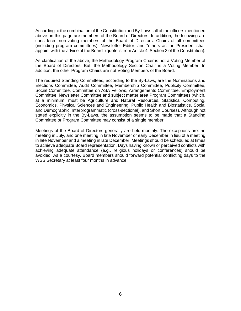According to the combination of the Constitution and By-Laws, all of the officers mentioned above on this page are members of the Board of Directors. In addition, the following are considered non-voting members of the Board of Directors: Chairs of all committees (including program committees), Newsletter Editor, and "others as the President shall appoint with the advice of the Board" (quote is from Article 4, Section 3 of the Constitution).

As clarification of the above, the Methodology Program Chair is not a Voting Member of the Board of Directors. But, the Methodology Section Chair is a Voting Member. In addition, the other Program Chairs are not Voting Members of the Board.

The required Standing Committees, according to the By-Laws, are the Nominations and Elections Committee, Audit Committee, Membership Committee, Publicity Committee, Social Committee, Committee on ASA Fellows, Arrangements Committee, Employment Committee, Newsletter Committee and subject matter area Program Committees (which, at a minimum, must be Agriculture and Natural Resources, Statistical Computing, Economics, Physical Sciences and Engineering, Public Health and Biostatistics, Social and Demographic, Interprogrammatic (cross-sectional), and Short Courses). Although not stated explicitly in the By-Laws, the assumption seems to be made that a Standing Committee or Program Committee may consist of a single member.

Meetings of the Board of Directors generally are held monthly. The exceptions are: no meeting in July, and one meeting in late November or early December in lieu of a meeting in late November and a meeting in late December. Meetings should be scheduled at times to achieve adequate Board representation. Days having known or perceived conflicts with achieving adequate attendance (e.g., religious holidays or conferences) should be avoided. As a courtesy, Board members should forward potential conflicting days to the WSS Secretary at least four months in advance.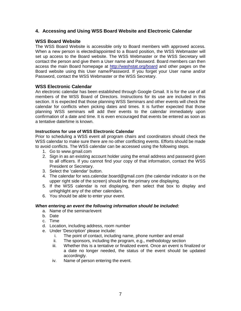# **4. Accessing and Using WSS Board Website and Electronic Calendar**

# **WSS Board Website**

The WSS Board Website is accessible only to Board members with approved access. When a new person is elected/appointed to a Board position, the WSS Webmaster will set up access to the Board website. The WSS Webmaster or the WSS Secretary will contact the person and give them a User name and Password. Board members can then access the main Board homepage at<http://washstat.org/board> and other pages on the Board website using this User name/Password. If you forget your User name and/or Password, contact the WSS Webmaster or the WSS Secretary.

## **WSS Electronic Calendar**

An electronic calendar has been established through Google Gmail. It is for the use of all members of the WSS Board of Directors. Instructions for its use are included in this section. It is expected that those planning WSS Seminars and other events will check the calendar for conflicts when picking dates and times. It is further expected that those planning WSS seminars will add their events to the calendar immediately upon confirmation of a date and time. It is even encouraged that events be entered as soon as a tentative date/time is known.

## **Instructions for use of WSS Electronic Calendar**

Prior to scheduling a WSS event all program chairs and coordinators should check the WSS calendar to make sure there are no other conflicting events. Efforts should be made to avoid conflicts. The WSS calendar can be accessed using the following steps.

- 1. Go to [www.gmail.com](http://www.gmail.com/)
- 2. Sign in as an existing account holder using the email address and password given to all officers. If you cannot find your copy of that information, contact the WSS President or Secretary.
- 3. Select the 'calendar' button.
- 4. The calendar for wss.calendar.board@gmail.com (the calendar indicator is on the upper right side of the screen) should be the primary one displaying.
- 5. If the WSS calendar is not displaying, then select that box to display and unhighlight any of the other calendars.
- 6. You should be able to enter your event.

## *When entering an event the following information should be included:*

- a. Name of the seminar/event
- b. Date
- c. Time
- d. Location, including address, room number
- e. Under 'Description' please include:
	- i. The point of contact, including name, phone number and email<br>ii. The sponsors, including the program, e.g., methodology section
	- The sponsors, including the program, e.g., methodology section
	- iii. Whether this is a tentative or finalized event. Once an event is finalized or a date no longer needed, the status of the event should be updated accordingly.
	- iv. Name of person entering the event.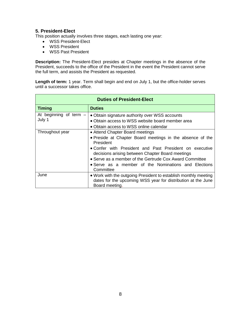# **5. President-Elect**

This position actually involves three stages, each lasting one year:

- WSS President-Elect
- WSS President
- WSS Past President

**Description:** The President-Elect presides at Chapter meetings in the absence of the President, succeeds to the office of the President in the event the President cannot serve the full term, and assists the President as requested.

Length of term: 1 year. Term shall begin and end on July 1, but the office-holder serves until a successor takes office.

| <b>Duties of President-Elect</b>   |                                                                                                                                                                                                                                                                                                                                                          |  |
|------------------------------------|----------------------------------------------------------------------------------------------------------------------------------------------------------------------------------------------------------------------------------------------------------------------------------------------------------------------------------------------------------|--|
| <b>Timing</b>                      | <b>Duties</b>                                                                                                                                                                                                                                                                                                                                            |  |
| At beginning of term $-$<br>July 1 | • Obtain signature authority over WSS accounts<br>• Obtain access to WSS website board member area<br>• Obtain access to WSS online calendar                                                                                                                                                                                                             |  |
| Throughout year                    | • Attend Chapter Board meetings<br>• Preside at Chapter Board meetings in the absence of the<br>President<br>• Confer with President and Past President on executive<br>decisions arising between Chapter Board meetings<br>• Serve as a member of the Gertrude Cox Award Committee<br>• Serve as a member of the Nominations and Elections<br>Committee |  |
| June                               | . Work with the outgoing President to establish monthly meeting<br>dates for the upcoming WSS year for distribution at the June<br>Board meeting.                                                                                                                                                                                                        |  |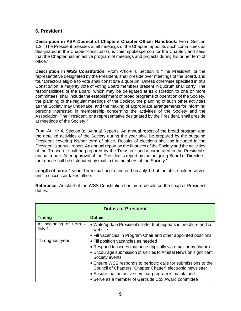# **6. President**

**Description in ASA Council of Chapters Chapter Officer Handbook:** From Section 1.3: "The President presides at all meetings of the Chapter, appoints such committees as designated in the Chapter constitution, is chief spokesperson for the Chapter, and sees that the Chapter has an active program of meetings and projects during his or her term of office."

**Description in WSS Constitution:** From Article 4, Section 4: "The President, or the representative designated by the President, shall preside over meetings of the Board, and four Directors eligible to vote shall constitute a quorum. Unless otherwise specified in this Constitution, a majority vote of voting Board members present in quorum shall carry. The responsibilities of the Board, which may be delegated at its discretion to one or more committees, shall include the establishment of broad programs of operation of the Society, the planning of the regular meetings of the Society, the planning of such other activities as the Society may undertake, and the making of appropriate arrangements for informing persons interested in membership concerning the activities of the Society and the Association. The President, or a representative designated by the President, shall preside at meetings of the Society."

From Article 4, Section 8: "Annual Reports. An annual report of the broad program and the detailed activities of the Society during the year shall be prepared by the outgoing President covering his/her term of office. Results of elections shall be included in the President's annual report. An annual report on the finances of the Society and the activities of the Treasurer shall be prepared by the Treasurer and incorporated in the President's annual report. After approval of the President's report by the outgoing Board of Directors, the report shall be distributed by mail to the members of the Society."

**Length of term:** 1 year. Term shall begin and end on July 1, but the office-holder serves until a successor takes office.

| <b>Duties of President</b>         |                                                                                                                               |  |
|------------------------------------|-------------------------------------------------------------------------------------------------------------------------------|--|
| <b>Timing</b>                      | <b>Duties</b>                                                                                                                 |  |
| At beginning of term $-$<br>July 1 | • Write/update President's letter that appears in brochure and on<br>website                                                  |  |
|                                    | • Fill vacancies in Program Chair and other appointed positions                                                               |  |
| Throughout year                    | • Fill position vacancies as needed                                                                                           |  |
|                                    | • Respond to issues that arise (typically via email or by phone)                                                              |  |
|                                    | • Encourage submission of articles to Amstat News on significant<br>Society events                                            |  |
|                                    | • Ensure WSS responds to periodic calls for submissions to the<br>Council of Chapters "Chapter Chatter" electronic newsletter |  |
|                                    | • Ensure that an active seminar program is maintained                                                                         |  |
|                                    | • Serve as a member of Gertrude Cox Award committee                                                                           |  |

**Reference:** Article 4 of the WSS Constitution has more details on the chapter President duties.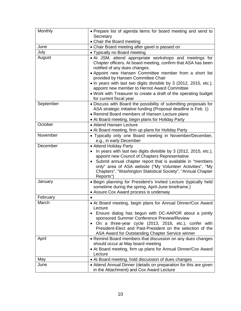| Monthly   | • Prepare list of agenda items for board meeting and send to                                                                                                                                                                                                                                                                                               |
|-----------|------------------------------------------------------------------------------------------------------------------------------------------------------------------------------------------------------------------------------------------------------------------------------------------------------------------------------------------------------------|
|           | Secretary                                                                                                                                                                                                                                                                                                                                                  |
|           | • Chair the Board meeting                                                                                                                                                                                                                                                                                                                                  |
| June      | • Chair Board meeting after gavel is passed on                                                                                                                                                                                                                                                                                                             |
| July      | • Typically no Board meeting                                                                                                                                                                                                                                                                                                                               |
| August    | • At JSM, attend appropriate workshops and meetings for<br>Chapter officers. At board meeting, confirm that ASA has been<br>notified of any dues changes.                                                                                                                                                                                                  |
|           | • Appoint new Hansen Committee member from a short list<br>provided by Hansen Committee Chair                                                                                                                                                                                                                                                              |
|           | • In years with last two digits divisible by 3 (2012, 2015, etc.),<br>appoint new member to Herriot Award Committee                                                                                                                                                                                                                                        |
|           | • Work with Treasurer to create a draft of the operating budget<br>for current fiscal year                                                                                                                                                                                                                                                                 |
| September | • Discuss with Board the possibility of submitting proposals for<br>ASA strategic initiative funding (Proposal deadline is Feb. 1)<br>• Remind Board members of Hansen Lecture plans<br>• At Board meeting, begin plans for Holiday Party                                                                                                                  |
| October   | • Attend Hansen Lecture<br>• At Board meeting, firm up plans for Holiday Party                                                                                                                                                                                                                                                                             |
| November  | • Typically only one Board meeting in November/December,<br>e.g., in early December                                                                                                                                                                                                                                                                        |
| December  | • Attend Holiday Party<br>In years with last two digits divisible by 3 (2012, 2015, etc.),<br>appoint new Council of Chapters Representative<br>Submit annual chapter report that is available in "members<br>only" area of ASA website ("My Volunteer Activities", "My<br>Chapters", "Washington Statistical Society", "Annual Chapter<br>Reports")       |
| January   | . Begin planning for President's Invited Lecture (typically held<br>sometime during the spring, April-June timeframe.)<br>• Assure Cox Award process is underway                                                                                                                                                                                           |
| February  |                                                                                                                                                                                                                                                                                                                                                            |
| March     | • At Board meeting, begin plans for Annual Dinner/Cox Award<br>Lecture<br>• Ensure dialog has begun with DC-AAPOR about a jointly<br>sponsored Summer Conference Preview/Review<br>On a three-year cycle (2013, 2016, etc.), confer with<br>President-Elect and Past-President on the selection of the<br>ASA Award for Outstanding Chapter Service winner |
| April     | • Remind Board members that discussion on any dues changes<br>should occur at May board meeting<br>• At Board meeting, firm up plans for Annual Dinner/Cox Award<br>Lecture                                                                                                                                                                                |
| May       | • At Board meeting, hold discussion of dues changes                                                                                                                                                                                                                                                                                                        |
| June      | • Attend Annual Dinner (details on preparation for this are given<br>in the Attachment) and Cox Award Lecture                                                                                                                                                                                                                                              |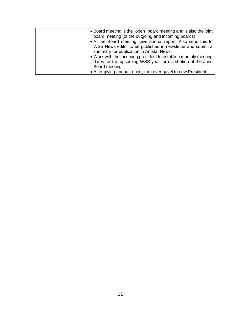| • Board meeting is the "open" board meeting and is also the joint |
|-------------------------------------------------------------------|
| board meeting (of the outgoing and incoming boards)               |
| • At the Board meeting, give annual report. Also send this to     |
| WSS News editor to be published in newsletter and submit a        |
| summary for publication in Amstat News.                           |
| • Work with the incoming president to establish monthly meeting   |
| dates for the upcoming WSS year for distribution at the June      |
| Board meeting.                                                    |
| • After giving annual report, turn over gavel to new President.   |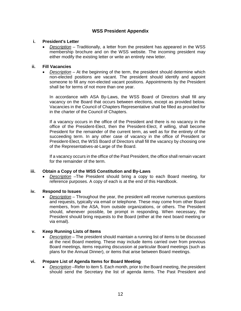# **WSS President Appendix**

## **i. President's Letter**

• *Description* – Traditionally, a letter from the president has appeared in the WSS membership brochure and on the WSS website. The incoming president may either modify the existing letter or write an entirely new letter.

#### **ii. Fill Vacancies**

• *Description* – At the beginning of the term, the president should determine which non-elected positions are vacant. The president should identify and appoint someone to fill any non-elected vacant positions. Appointments by the President shall be for terms of not more than one year.

In accordance with ASA By-Laws, the WSS Board of Directors shall fill any vacancy on the Board that occurs between elections, except as provided below. Vacancies in the Council of Chapters Representative shall be filled as provided for in the charter of the Council of Chapters.

If a vacancy occurs in the office of the President and there is no vacancy in the office of the President-Elect, then the President-Elect, if willing, shall become President for the remainder of the current term, as well as for the entirety of the succeeding term. In any other case of vacancy in the office of President or President-Elect, the WSS Board of Directors shall fill the vacancy by choosing one of the Representatives-at-Large of the Board.

If a vacancy occurs in the office of the Past President, the office shall remain vacant for the remainder of the term.

## **iii. Obtain a Copy of the WSS Constitution and By-Laws**

• *Description* –The President should bring a copy to each Board meeting, for reference purposes. A copy of each is at the end of this Handbook.

## **iv. Respond to Issues**

• *Description* – Throughout the year, the president will receive numerous questions and requests, typically via email or telephone. These may come from other Board members, from the ASA, from outside organizations, or others. The President should, whenever possible, be prompt in responding. When necessary, the President should bring requests to the Board (either at the next board meeting or via email).

## **v. Keep Running Lists of Items**

• *Description* – The president should maintain a running list of items to be discussed at the next Board meeting. These may include items carried over from previous Board meetings, items requiring discussion at particular Board meetings (such as plans for the Annual Dinner), or items that arise between Board meetings.

# **vi. Prepare List of Agenda Items for Board Meeting**

• *Description* –Refer to item 5. Each month, prior to the Board meeting, the president should send the Secretary the list of agenda items. The Past President and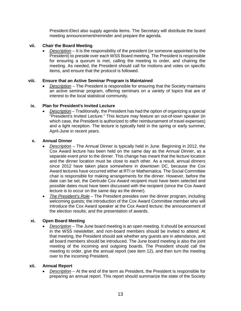President-Elect also supply agenda items. The Secretary will distribute the board meeting announcement/reminder and prepare the agenda.

#### **vii. Chair the Board Meeting**

• *Description* – It is the responsibility of the president (or someone appointed by the President) to preside over each WSS Board meeting. The President is responsible for ensuring a quorum is met, calling the meeting to order, and chairing the meeting. As needed, the President should call for motions and votes on specific items, and ensure that the protocol is followed.

#### **viii. Ensure that an Active Seminar Program is Maintained**

• *Description* – The President is responsible for ensuring that the Society maintains an active seminar program, offering seminars on a variety of topics that are of interest to the local statistical community.

#### **ix. Plan for President's Invited Lecture**

• *Description* – Traditionally, the President has had the option of organizing a special "President's Invited Lecture." This lecture may feature an out-of-town speaker (in which case, the President is authorized to offer reimbursement of travel expenses) and a light reception. The lecture is typically held in the spring or early summer, April-June in recent years.

#### **x. Annual Dinner**

- *Description* The Annual Dinner is typically held in June. Beginning in 2012, the Cox Award lecture has been held on the same day as the Annual Dinner, as a separate event prior to the dinner. This change has meant that the lecture location and the dinner location must be close to each other. As a result, annual dinners since 2012 have taken place somewhere in downtown DC, because the Cox Award lectures have occurred either at RTI or Mathematica. The Social Committee chair is responsible for making arrangements for the dinner. However, before the date can be set, the Gertrude Cox Award recipient must have been selected and possible dates must have been discussed with the recipient (since the Cox Award lecture is to occur on the same day as the dinner).
- *The President's Role* The President presides over the dinner program, including welcoming guests; the introduction of the Cox Award Committee member who will introduce the Cox Award speaker at the Cox Award lecture; the announcement of the election results; and the presentation of awards.

## **xi. Open Board Meeting**

• *Description* – The June board meeting is an open meeting. It should be announced in the WSS newsletter, and non-board members should be invited to attend. At that meeting, the President should ask whether any guests are in attendance, and all board members should be introduced. The June board meeting is also the joint meeting of the incoming and outgoing boards. The President should call the meeting to order, give the annual report (see item 12), and then turn the meeting over to the incoming President.

#### **xii. Annual Report**

• *Description* – At the end of the term as President, the President is responsible for preparing an annual report. This report should summarize the state of the Society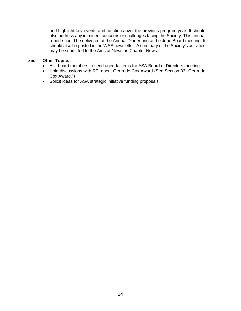and highlight key events and functions over the previous program year. It should also address any imminent concerns or challenges facing the Society. This annual report should be delivered at the Annual Dinner and at the June Board meeting. It should also be posted in the WSS newsletter. A summary of the Society's activities may be submitted to the Amstat News as Chapter News.

## **xiii. Other Topics**

- Ask board members to send agenda items for ASA Board of Directors meeting
- Hold discussions with RTI about Gertrude Cox Award (See Section 33 "Gertrude Cox Award.")
- Solicit ideas for ASA strategic initiative funding proposals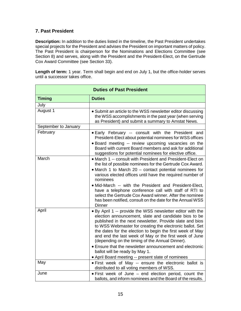# **7. Past President**

**Description:** In addition to the duties listed in the timeline, the Past President undertakes special projects for the President and advises the President on important matters of policy. The Past President is chairperson for the Nominations and Elections Committee (see Section 8) and serves, along with the President and the President-Elect, on the Gertrude Cox Award Committee (see Section 33).

Length of term: 1 year. Term shall begin and end on July 1, but the office-holder serves until a successor takes office.

| <b>Duties of Past President</b> |                                                                                                                                                                                                                                                                                                                                                                                                                                                                                                                                                                           |  |
|---------------------------------|---------------------------------------------------------------------------------------------------------------------------------------------------------------------------------------------------------------------------------------------------------------------------------------------------------------------------------------------------------------------------------------------------------------------------------------------------------------------------------------------------------------------------------------------------------------------------|--|
| <b>Timing</b>                   | <b>Duties</b>                                                                                                                                                                                                                                                                                                                                                                                                                                                                                                                                                             |  |
| July                            |                                                                                                                                                                                                                                                                                                                                                                                                                                                                                                                                                                           |  |
| August 1                        | • Submit an article to the WSS newsletter editor discussing<br>the WSS accomplishments in the past year (when serving<br>as President) and submit a summary to Amstat News.                                                                                                                                                                                                                                                                                                                                                                                               |  |
| September to January            |                                                                                                                                                                                                                                                                                                                                                                                                                                                                                                                                                                           |  |
| February                        | • Early February -- consult with the President and<br>President-Elect about potential nominees for WSS offices<br>. Board meeting -- review upcoming vacancies on the<br>Board with current Board members and ask for additional<br>suggestions for potential nominees for elective office.                                                                                                                                                                                                                                                                               |  |
| March                           | • March 1 -- consult with President and President-Elect on<br>the list of possible nominees for the Gertrude Cox Award.<br>• March 1 to March 20 – contact potential nominees for<br>various elected offices until have the required number of<br>nominees<br>. Mid-March -- with the President and President-Elect,<br>have a telephone conference call with staff of RTI to<br>select the Gertrude Cox Award winner. After the nominee<br>has been notified, consult on the date for the Annual WSS<br><b>Dinner</b>                                                    |  |
| April                           | . By April 1 -- provide the WSS newsletter editor with the<br>election announcement, slate and candidate bios to be<br>published in the next newsletter. Provide slate and bios<br>to WSS Webmaster for creating the electronic ballot. Set<br>the dates for the election to begin the first week of May<br>and end the last week of May or the first week of June<br>(depending on the timing of the Annual Dinner).<br>• Ensure that the newsletter announcement and electronic<br>ballot will be ready by May 1.<br>• April Board meeting -- present slate of nominees |  |
| May                             | . First week of May -- ensure the electronic ballot is                                                                                                                                                                                                                                                                                                                                                                                                                                                                                                                    |  |
|                                 | distributed to all voting members of WSS.                                                                                                                                                                                                                                                                                                                                                                                                                                                                                                                                 |  |
| June                            | . First week of June - end election period, count the<br>ballots, and inform nominees and the Board of the results.                                                                                                                                                                                                                                                                                                                                                                                                                                                       |  |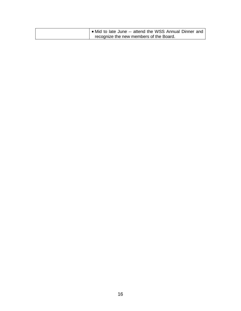| ● Mid to late June -- attend the WSS Annual Dinner and |
|--------------------------------------------------------|
| recognize the new members of the Board.                |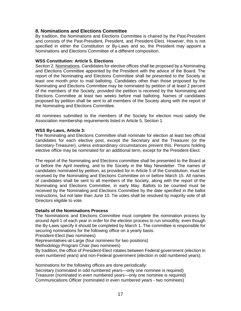# **8. Nominations and Elections Committee**

By tradition, the Nominations and Elections Committee is chaired by the Past-President and consists of the Past-President, President, and President-Elect. However, this is not specified in either the Constitution or By-Laws and so, the President may appoint a Nominations and Elections Committee of a different composition.

#### **WSS Constitution: Article 5. Elections**

Section 2. Nominations. Candidates for elective offices shall be proposed by a Nominating and Elections Committee appointed by the President with the advice of the Board. The report of the Nominating and Elections Committee shall be presented to the Society at least one month prior to mail balloting. Candidates other than those proposed by the Nominating and Elections Committee may be nominated by petition of at least 2 percent of the members of the Society, provided the petition is received by the Nominating and Elections Committee at least two weeks before mail balloting. Names of candidates proposed by petition shall be sent to all members of the Society along with the report of the Nominating and Elections Committee.

All nominees submitted to the members of the Society for election must satisfy the Association membership requirements listed in Article 5, Section 1.

#### **WSS By-Laws, Article 3:**

The Nominating and Elections Committee shall nominate for election at least two official candidates for each elective post, except the Secretary and the Treasurer (or the Secretary-Treasurer), unless extraordinary circumstances prevent this. Persons holding elective office may be nominated for an additional term, except for the President-Elect.

The report of the Nominating and Elections committee shall be presented to the Board at or before the April meeting, and to the Society in the May Newsletter. The names of candidates nominated by petition, as provided for in Article 5 of the Constitution, must be received by the Nominating and Elections Committee on or before March 15. All names of candidates shall be sent to all members of the Society, along with the report of the Nominating and Elections Committee, in early May. Ballots to be counted must be received by the Nominating and Elections Committee by the date specified in the ballot instructions, but not later than June 10. Tie votes shall be resolved by majority vote of all Directors eligible to vote.

#### **Details of the Nominations Process**

The Nominations and Elections Committee must complete the nomination process by around April 1 of each year in order for the election process to run smoothly, even though the By-Laws specify it should be completed by March 1. The committee is responsible for securing nominations for the following office on a yearly basis:

President-Elect (two nominees)

Representatives-at-Large (four nominees for two positions)

Methodology Program Chair (two nominees)

By tradition, the office of President-Elect rotates between Federal government (election in even numbered years) and non-Federal government (election in odd numbered years).

Nominations for the following offices are done periodically:

Secretary (nominated in odd numbered years—only one nominee is required) Treasurer (nominated in even numbered years—only one nominee is required) Communications Officer (nominated in even numbered years - two nominees)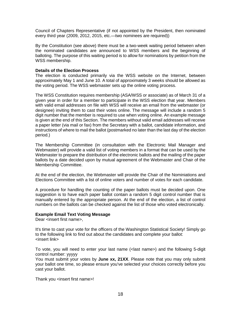Council of Chapters Representative (if not appointed by the President, then nominated every third year (2009, 2012, 2015, etc.—two nominees are required))

By the Constitution (see above) there must be a two-week waiting period between when the nominated candidates are announced to WSS members and the beginning of balloting. The purpose of this waiting period is to allow for nominations by petition from the WSS membership.

#### **Details of the Election Process**

The election is conducted primarily via the WSS website on the Internet, between approximately May 1 and June 10. A total of approximately 3 weeks should be allowed as the voting period. The WSS webmaster sets up the online voting process.

The WSS Constitution requires membership (ASA/WSS or associate) as of March 31 of a given year in order for a member to participate in the WSS election that year. Members with valid email addresses on file with WSS will receive an email from the webmaster (or designee) inviting them to cast their votes online. The message will include a random 5 digit number that the member is required to use when voting online. An example message is given at the end of this Section. The members without valid email addresses will receive a paper letter (via mail or fax) from the Secretary with a ballot, candidate information, and instructions of where to mail the ballot (postmarked no later than the last day of the election period.)

The Membership Committee (in consultation with the Electronic Mail Manager and Webmaster) will provide a valid list of voting members in a format that can be used by the Webmaster to prepare the distribution of the electronic ballots and the mailing of the paper ballots by a date decided upon by mutual agreement of the Webmaster and Chair of the Membership Committee.

At the end of the election, the Webmaster will provide the Chair of the Nominiations and Elections Committee with a list of online voters and number of votes for each candidate.

A procedure for handling the counting of the paper ballots must be decided upon. One suggestion is to have each paper ballot contain a random 5 digit control number that is manually entered by the appropriate person. At the end of the election, a list of control numbers on the ballots can be checked against the list of those who voted electronically.

#### **Example Email Text Voting Message**

Dear <insert first name>.

It's time to cast your vote for the officers of the Washington Statistical Society! Simply go to the following link to find out about the candidates and complete your ballot: <insert link>

To vote, you will need to enter your last name (<last name>) and the following 5-digit control number: yyyyy

You must submit your votes by **June xx, 21XX**. Please note that you may only submit your ballot one time, so please ensure you've selected your choices correctly before you cast your ballot.

Thank you <insert first name>!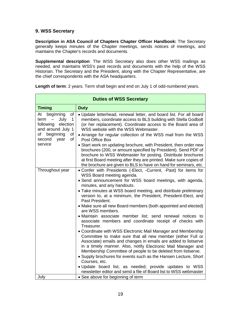# **9. WSS Secretary**

**Description in ASA Council of Chapters Chapter Officer Handbook:** The Secretary generally keeps minutes of the Chapter meetings, sends notices of meetings, and maintains the Chapter's records and documents.

**Supplemental description**: The WSS Secretary also does other WSS mailings as needed, and maintains WSS's past records and documents with the help of the WSS Historian. The Secretary and the President, along with the Chapter Representative, are the chief correspondents with the ASA headquarters.

| <b>Timing</b><br>beginning<br>At<br>of<br>July<br>term<br>$\mathbf 1$<br>$\qquad \qquad -$<br>following<br>election<br>and around July 1<br>beginning<br>of<br>οf<br>second<br>of<br>year<br>service | <b>Duty</b><br>. Update letterhead, renewal letter, and board list. For all board<br>members, coordinate access to BLS building with Stella Godbolt<br>(or her replacement). Coordinate access to the Board area of<br>WSS website with the WSS Webmaster.<br>• Arrange for regular collection of the WSS mail from the WSS<br>Post Office Box<br>• Start work on updating brochure, with President, then order new<br>brochures (200, or amount specified by President). Send PDF of<br>brochure to WSS Webmaster for posting. Distribute brochures<br>at first Board meeting after they are printed. Make sure copies of                                                                                                                                                                                                                                                                                                                                                                                                                                                                                                   |
|------------------------------------------------------------------------------------------------------------------------------------------------------------------------------------------------------|------------------------------------------------------------------------------------------------------------------------------------------------------------------------------------------------------------------------------------------------------------------------------------------------------------------------------------------------------------------------------------------------------------------------------------------------------------------------------------------------------------------------------------------------------------------------------------------------------------------------------------------------------------------------------------------------------------------------------------------------------------------------------------------------------------------------------------------------------------------------------------------------------------------------------------------------------------------------------------------------------------------------------------------------------------------------------------------------------------------------------|
|                                                                                                                                                                                                      |                                                                                                                                                                                                                                                                                                                                                                                                                                                                                                                                                                                                                                                                                                                                                                                                                                                                                                                                                                                                                                                                                                                              |
|                                                                                                                                                                                                      | the brochure are given to BLS to have on hand for seminars, etc.                                                                                                                                                                                                                                                                                                                                                                                                                                                                                                                                                                                                                                                                                                                                                                                                                                                                                                                                                                                                                                                             |
| Throughout year<br>July<br>• See above for beginning of term                                                                                                                                         | . Confer with Presidents (-Elect, -Current, -Past) for items for<br>WSS Board meeting agenda.<br>· Send announcement for WSS board meetings, with agenda,<br>minutes, and any handouts.<br>• Take minutes at WSS board meeting, and distribute preliminary<br>version to, at a minimum, the President, President-Elect, and<br>Past President.<br>• Make sure all new Board members (both appointed and elected)<br>are WSS members.<br>• Maintain associate member list; send renewal notices to<br>associate members and coordinate receipt of checks with<br>Treasurer.<br>• Coordinate with WSS Electronic Mail Manager and Membership<br>Committee to make sure that all new member (either Full or<br>Associate) emails and changes in emails are added to listserve<br>in a timely manner. Also, notify Electronic Mail Manager and<br>Membership Committee of people to be deleted from listserve.<br>• Supply brochures for events such as the Hansen Lecture, Short<br>Courses, etc.<br>. Update board list, as needed; provide updates to WSS<br>newsletter editor and send a file of Board list to WSS webmaster |

**Length of term**: 2 years. Term shall begin and end on July 1 of odd-numbered years.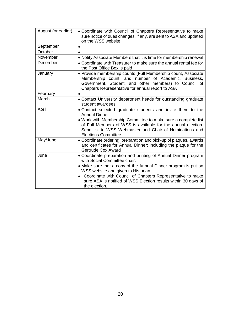| August (or earlier) | • Coordinate with Council of Chapters Representative to make<br>sure notice of dues changes, if any, are sent to ASA and updated<br>on the WSS website.                                                                                                                                                                                                   |
|---------------------|-----------------------------------------------------------------------------------------------------------------------------------------------------------------------------------------------------------------------------------------------------------------------------------------------------------------------------------------------------------|
| September           | $\bullet$                                                                                                                                                                                                                                                                                                                                                 |
| October             |                                                                                                                                                                                                                                                                                                                                                           |
| November            | • Notify Associate Members that it is time for membership renewal                                                                                                                                                                                                                                                                                         |
| December            | • Coordinate with Treasurer to make sure the annual rental fee for<br>the Post Office Box is paid                                                                                                                                                                                                                                                         |
| January             | • Provide membership counts (Full Membership count, Associate<br>Membership count, and number of Academic, Business,<br>Government, Student, and other members) to Council of<br>Chapters Representative for annual report to ASA                                                                                                                         |
| February            |                                                                                                                                                                                                                                                                                                                                                           |
| March               | • Contact University department heads for outstanding graduate<br>student awardees                                                                                                                                                                                                                                                                        |
| April               | . Contact selected graduate students and invite them to the<br><b>Annual Dinner</b><br>• Work with Membership Committee to make sure a complete list<br>of Full Members of WSS is available for the annual election.<br>Send list to WSS Webmaster and Chair of Nominations and<br>Elections Committee.                                                   |
| May/June            | • Coordinate ordering, preparation and pick-up of plaques, awards<br>and certificates for Annual Dinner; including the plaque for the<br><b>Gertrude Cox Award</b>                                                                                                                                                                                        |
| June                | • Coordinate preparation and printing of Annual Dinner program<br>with Social Committee chair.<br>• Make sure that a copy of the Annual Dinner program is put on<br>WSS website and given to Historian<br>• Coordinate with Council of Chapters Representative to make<br>sure ASA is notified of WSS Election results within 30 days of<br>the election. |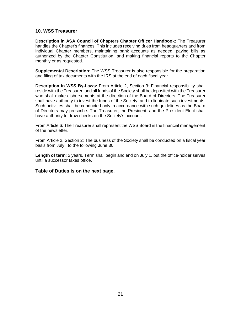# **10. WSS Treasurer**

**Description in ASA Council of Chapters Chapter Officer Handbook:** The Treasurer handles the Chapter's finances. This includes receiving dues from headquarters and from individual Chapter members, maintaining bank accounts as needed, paying bills as authorized by the Chapter Constitution, and making financial reports to the Chapter monthly or as requested.

**Supplemental Description**: The WSS Treasurer is also responsible for the preparation and filing of tax documents with the IRS at the end of each fiscal year.

**Description in WSS By-Laws:** From Article 2, Section 3: Financial responsibility shall reside with the Treasurer, and all funds of the Society shall be deposited with the Treasurer who shall make disbursements at the direction of the Board of Directors. The Treasurer shall have authority to invest the funds of the Society, and to liquidate such investments. Such activities shall be conducted only in accordance with such guidelines as the Board of Directors may prescribe. The Treasurer, the President, and the President-Elect shall have authority to draw checks on the Society's account.

From Article 6: The Treasurer shall represent the WSS Board in the financial management of the newsletter.

From Article 2, Section 2: The business of the Society shall be conducted on a fiscal year basis from July I to the following June 30.

**Length of term**: 2 years. Term shall begin and end on July 1, but the office-holder serves until a successor takes office.

**Table of Duties is on the next page.**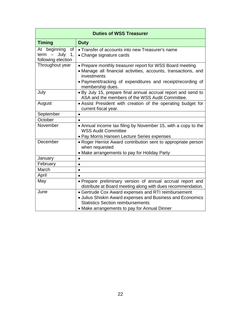| <b>Duties of WSS Treasurer</b>                                                         |                                                                                                                                                                                                                              |  |  |
|----------------------------------------------------------------------------------------|------------------------------------------------------------------------------------------------------------------------------------------------------------------------------------------------------------------------------|--|--|
| <b>Timing</b>                                                                          | <b>Duty</b>                                                                                                                                                                                                                  |  |  |
| beginning<br>At<br>of<br>July<br>1,<br>term<br>$\qquad \qquad -$<br>following election | • Transfer of accounts into new Treasurer's name<br>• Change signature cards                                                                                                                                                 |  |  |
| Throughout year                                                                        | • Prepare monthly treasurer report for WSS Board meeting<br>· Manage all financial activities, accounts, transactions, and<br>investments<br>• Payment/tracking of expenditures and receipt/recording of<br>membership dues. |  |  |
| July                                                                                   | . By July 15, prepare final annual accrual report and send to<br>ASA and the members of the WSS Audit Committee.                                                                                                             |  |  |
| August                                                                                 | • Assist President with creation of the operating budget for<br>current fiscal year.                                                                                                                                         |  |  |
| September                                                                              | $\bullet$                                                                                                                                                                                                                    |  |  |
| October                                                                                |                                                                                                                                                                                                                              |  |  |
| November                                                                               | • Annual income tax filing by November 15, with a copy to the<br><b>WSS Audit Committee</b><br>• Pay Morris Hansen Lecture Series expenses                                                                                   |  |  |
| December                                                                               | • Roger Herriot Award contribution sent to appropriate person<br>when requested<br>• Make arrangements to pay for Holiday Party                                                                                              |  |  |
| January                                                                                |                                                                                                                                                                                                                              |  |  |
| February                                                                               | $\bullet$                                                                                                                                                                                                                    |  |  |
| March                                                                                  |                                                                                                                                                                                                                              |  |  |
| April                                                                                  |                                                                                                                                                                                                                              |  |  |
| May                                                                                    | • Prepare preliminary version of annual accrual report and<br>distribute at Board meeting along with dues recommendation.                                                                                                    |  |  |
| June                                                                                   | • Gertrude Cox Award expenses and RTI reimbursement<br>· Julius Shiskin Award expenses and Business and Economics<br><b>Statistics Section reimbursements</b><br>• Make arrangements to pay for Annual Dinner                |  |  |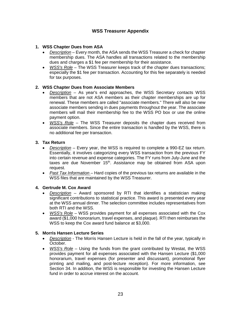# **WSS Treasurer Appendix**

## **1. WSS Chapter Dues from ASA**

- *Description* Every month, the ASA sends the WSS Treasurer a check for chapter membership dues. The ASA handles all transactions related to the membership dues and charges a \$1 fee per membership for their assistance.
- *WSS's Role* The WSS Treasurer keeps track of the chapter dues transactions; especially the \$1 fee per transaction. Accounting for this fee separately is needed for tax purposes.

## **2. WSS Chapter Dues from Associate Members**

- *Description* As year's end approaches, the WSS Secretary contacts WSS members that are not ASA members as their chapter memberships are up for renewal. These members are called "associate members." There will also be new associate members sending in dues payments throughout the year. The associate members will mail their membership fee to the WSS PO box or use the online payment option.
- *WSS's Role* The WSS Treasurer deposits the chapter dues received from associate members. Since the entire transaction is handled by the WSS, there is no additional fee per transaction.

## **3. Tax Return**

- *Description* Every year, the WSS is required to complete a 990-EZ tax return. Essentially, it involves categorizing every WSS transaction from the previous FY into certain revenue and expense categories. The FY runs from July-June and the taxes are due November 15<sup>th</sup>. Assistance may be obtained from ASA upon request.
- *Past Tax Information* Hard copies of the previous tax returns are available in the WSS files that are maintained by the WSS Treasurer.

## **4. Gertrude M. Cox Award**

- *Description* Award sponsored by RTI that identifies a statistician making significant contributions to statistical practice. This award is presented every year at the WSS annual dinner. The selection committee includes representatives from both RTI and the WSS.
- *WSS's Role* WSS provides payment for all expenses associated with the Cox award (\$1,000 honorarium, travel expenses, and plaque). RTI then reimburses the WSS to keep the Cox award fund balance at \$3,000.

## **5. Morris Hansen Lecture Series**

- *Description* The Morris Hansen Lecture is held in the fall of the year, typically in October.
- *WSS's Role* Using the funds from the grant contributed by Westat, the WSS provides payment for all expenses associated with the Hansen Lecture (\$1,000 honorarium, travel expenses (for presenter and discussant), promotional flyer printing and mailing, and post-lecture reception). For more information, see Section 34. In addition, the WSS is responsible for investing the Hansen Lecture fund in order to accrue interest on the account.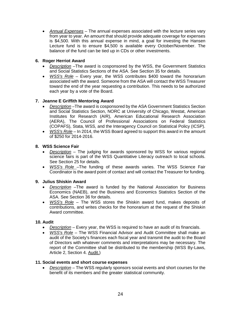• *Annual Expenses* – The annual expenses associated with the lecture series vary from year to year. An amount that should provide adequate coverage for expenses is \$4,500. With this annual expense in mind, a goal for investing the Hansen Lecture fund is to ensure \$4,500 is available every October/November. The balance of the fund can be tied up in CDs or other investments.

# **6. Roger Herriot Award**

- *Description* –The award is cosponsored by the WSS, the Government Statistics and Social Statistics Sections of the ASA. See Section 35 for details.
- *WSS's Role* Every year, the WSS contributes \$400 toward the honorarium associated with the award. Someone from the ASA will contact the WSS Treasurer toward the end of the year requesting a contribution. This needs to be authorized each year by a vote of the Board.

## **7. Jeanne E Griffith Mentoring Award**

- *Description* –The award is cosponsored by the ASA Government Statistics Section and Social Statistics Section, NORC at University of Chicago, Westat, American Institutes for Research (AIR), American Educational Research Association (AERA), The Council of Professional Associations on Federal Statistics (COPAFS), Stata, WSS, and the Interagency Council on Statistical Policy (ICSP).
- *WSS's Role* In 2014, the WSS Board agreed to support this award in the amount of \$250 for 2014-2016.

## **8. WSS Science Fair**

- *Description* The judging for awards sponsored by WSS for various regional science fairs is part of the WSS Quantitative Literacy outreach to local schools. See Section 25 for details.
- *WSS's Role* –The funding of these awards varies. The WSS Science Fair Coordinator is the award point of contact and will contact the Treasurer for funding.

## **9. Julius Shiskin Award**

- *Description* –The award is funded by the National Association for Business Economics (NAEB), and the Business and Economics Statistics Section of the ASA. See Section 36 for details.
- *WSS's Role* The WSS stores the Shiskin award fund, makes deposits of contributions, and writes checks for the honorarium at the request of the Shiskin Award committee.

## **10. Audit**

- *Description* Every year, the WSS is required to have an audit of its financials.
- *WSS's Role* The WSS Financial Advisor and Audit Committee shall make an audit of the Society's finances each fiscal year and transmit the audit to the Board of Directors with whatever comments and interpretations may be necessary. The report of the Committee shall be distributed to the membership (WSS By-Laws, Article 2, Section 4. Audit.)

## **11. Social events and short course expenses**

• *Description* – The WSS regularly sponsors social events and short courses for the benefit of its members and the greater statistical community.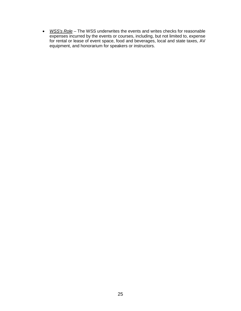• *WSS's Role* – The WSS underwrites the events and writes checks for reasonable expenses incurred by the events or courses, including, but not limited to, expense for rental or lease of event space, food and beverages, local and state taxes, AV equipment, and honorarium for speakers or instructors.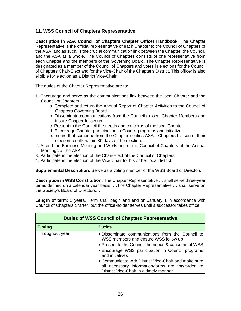# **11. WSS Council of Chapters Representative**

**Description in ASA Council of Chapters Chapter Officer Handbook:** The Chapter Representative is the official representative of each Chapter to the Council of Chapters of the ASA, and as such, is the crucial communication link between the Chapter, the Council, and the ASA as a whole. The Council of Chapters consists of one representative from each Chapter and the members of the Governing Board. The Chapter Representative is designated as a member of the Council of Chapters and votes in elections for the Council of Chapters Chair-Elect and for the Vice-Chair of the Chapter's District. This officer is also eligible for election as a District Vice-Chair.

The duties of the Chapter Representative are to:

- 1. Encourage and serve as the communications link between the local Chapter and the Council of Chapters.
	- a. Complete and return the Annual Report of Chapter Activities to the Council of Chapters Governing Board.
	- b. Disseminate communications from the Council to local Chapter Members and insure Chapter follow-up.
	- c. Present to the Council the needs and concerns of the local Chapter.
	- d. Encourage Chapter participation in Council programs and initiatives.
	- e. Insure that someone from the Chapter notifies ASA's Chapters Liaison of their election results within 30 days of the election.
- 2. Attend the Business Meeting and Workshop of the Council of Chapters at the Annual Meetings of the ASA.
- 3. Participate in the election of the Chair-Elect of the Council of Chapters.
- 4. Participate in the election of the Vice Chair for his or her local district.

**Supplemental Description:** Serve as a voting member of the WSS Board of Directors.

**Description in WSS Constitution:** The Chapter Representative … shall serve three-year terms defined on a calendar year basis. …The Chapter Representative … shall serve on the Society's Board of Directors….

**Length of term:** 3 years. Term shall begin and end on January 1 in accordance with Council of Chapters charter, but the office-holder serves until a successor takes office.

| <b>Duties of WSS Council of Chapters Representative</b> |                                                                                                           |
|---------------------------------------------------------|-----------------------------------------------------------------------------------------------------------|
| <b>Timing</b>                                           | <b>Duties</b>                                                                                             |
| Throughout year                                         | . Disseminate communications from the Council to<br>WSS members and ensure WSS follow up                  |
|                                                         | • Present to the Council the needs & concerns of WSS<br>• Encourage WSS participation in Council programs |
|                                                         | and initiatives                                                                                           |
|                                                         | • Communicate with District Vice-Chair and make sure                                                      |
|                                                         | all necessary information/forms are forwarded to                                                          |
|                                                         | District Vice-Chair in a timely manner                                                                    |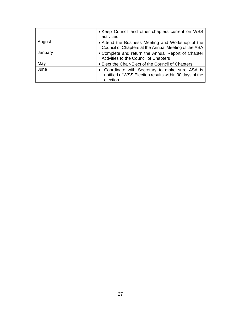|         | • Keep Council and other chapters current on WSS<br>activities                                                         |
|---------|------------------------------------------------------------------------------------------------------------------------|
| August  | • Attend the Business Meeting and Workshop of the<br>Council of Chapters at the Annual Meeting of the ASA              |
| January | • Complete and return the Annual Report of Chapter<br>Activities to the Council of Chapters                            |
| May     | • Elect the Chair-Elect of the Council of Chapters                                                                     |
| June    | • Coordinate with Secretary to make sure ASA is<br>notified of WSS Election results within 30 days of the<br>election. |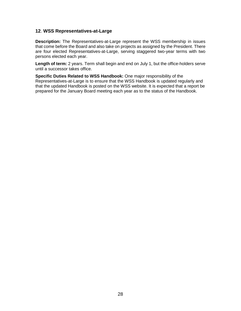## **12**. **WSS Representatives-at-Large**

**Description:** The Representatives-at-Large represent the WSS membership in issues that come before the Board and also take on projects as assigned by the President. There are four elected Representatives-at-Large, serving staggered two-year terms with two persons elected each year.

**Length of term:** 2 years. Term shall begin and end on July 1, but the office-holders serve until a successor takes office.

**Specific Duties Related to WSS Handbook:** One major responsibility of the Representatives-at-Large is to ensure that the WSS Handbook is updated regularly and that the updated Handbook is posted on the WSS website. It is expected that a report be prepared for the January Board meeting each year as to the status of the Handbook.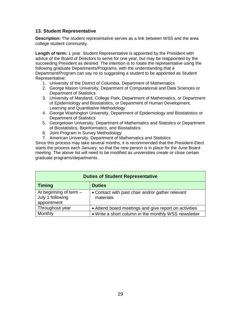# **13. Student Representative**

**Description:** The student representative serves as a link between WSS and the area college student community.

**Length of term:** 1 year. Student Representative is appointed by the President with advice of the Board of Directors to serve for one year, but may be reappointed by the succeeding President as desired. The intention is to rotate the representative using the following graduate Departments/Programs, with the understanding that a Department/Program can say no to suggesting a student to be appointed as Student Representative:

- 1. University of the District of Columbia, Department of Mathematics
- 2. George Mason University, Department of Computational and Data Sciences or Department of Statistics
- 3. University of Maryland, College Park, Department of Mathematics, or Department of Epidemiology and Biostatistics, or Department of Human Development, Learning and Quantitative Methodology
- 4. George Washington University, Department of Epidemiology and Biostatistics or Department of Statistics
- 5. Georgetown University, Department of Mathematics and Statistics or Department of Biostatistics, Bioinformatics, and Biostatistics
- 6. Joint Program in Survey Methodology
- 7. American University, Department of Mathematics and Statistics

Since this process may take several months, it is recommended that the President-Elect starts the process each January, so that the new person is in place for the June Board meeting. The above list will need to be modified as universities create or close certain graduate programs/departments.

| <b>Duties of Student Representative</b>                     |                                                               |
|-------------------------------------------------------------|---------------------------------------------------------------|
| <b>Timing</b>                                               | <b>Duties</b>                                                 |
| At beginning of term $-$<br>July 1 following<br>appointment | • Contact with past chair and/or gather relevant<br>materials |
| Throughout year                                             | • Attend board meetings and give report on activities         |
| Monthly                                                     | • Write a short column in the monthly WSS newsletter          |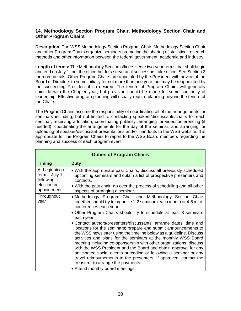# **14. Methodology Section Program Chair, Methodology Section Chair and Other Program Chairs**

**Description:** The WSS Methodology Section Program Chair, Methodology Section Chair and other Program Chairs organize seminars promoting the sharing of statistical research methods and other information between the federal government, academia and industry.

**Length of terms:** The Methodology Section officers serve two-year terms that shall begin and end on July 1, but the office-holders serve until successors take office. See Section 3 for more details. Other Program Chairs are appointed by the President with advice of the Board of Directors to serve initially for not more than one year, but may be reappointed by the succeeding President if so desired. The tenure of Program Chairs will generally coincide with the Chapter year, but provision should be made for some continuity of leadership. Effective program planning will usually require planning beyond the tenure of the Chairs.

The Program Chairs assume the responsibility of coordinating all of the arrangements for seminars including, but not limited to contacting speakers/discussants/chairs for each seminar, reserving a location, coordinating publicity, arranging for videoconferencing (if needed), coordinating the arrangements for the day of the seminar, and arranging for uploading of speaker/discussant presentations and/or handouts to the WSS website. It is appropriate for the Program Chairs to report to the WSS Board members regarding the planning and success of each program event.

| <b>Duties of Program Chairs</b>                                               |                                                                                                                                                                                                                                                                                                                                                                                                                                                                                                                                                                                                                                                                                                                                                                                                                                                                                               |
|-------------------------------------------------------------------------------|-----------------------------------------------------------------------------------------------------------------------------------------------------------------------------------------------------------------------------------------------------------------------------------------------------------------------------------------------------------------------------------------------------------------------------------------------------------------------------------------------------------------------------------------------------------------------------------------------------------------------------------------------------------------------------------------------------------------------------------------------------------------------------------------------------------------------------------------------------------------------------------------------|
| <b>Timing</b>                                                                 | <b>Duty</b>                                                                                                                                                                                                                                                                                                                                                                                                                                                                                                                                                                                                                                                                                                                                                                                                                                                                                   |
| At beginning of<br>$term - July 1$<br>following<br>election or<br>appointment | • With the appropriate past Chairs, discuss all previously scheduled<br>upcoming seminars and obtain a list of prospective presenters and<br>contacts.<br>• With the past chair, go over the process of scheduling and all other<br>aspects of arranging a seminar.                                                                                                                                                                                                                                                                                                                                                                                                                                                                                                                                                                                                                           |
| Throughout<br>year                                                            | • Methodology Program Chair and Methodology Section Chair<br>together should try to organize 1-2 seminars each month or 4-6 mini-<br>conferences each year.<br>• Other Program Chairs should try to schedule at least 3 seminars<br>each year.<br>• Contact authors/presenters/discussants, arrange dates, time and<br>locations for the seminars; prepare and submit announcements to<br>the WSS newsletter using the timeline below as a guideline. Discuss<br>activities and plans for the seminars at the monthly WSS Board<br>meeting including co-sponsorship with other organizations; discuss<br>with the WSS President and the Board and obtain approval for any<br>anticipated social events preceding or following a seminar or any<br>travel reimbursements to the presenters. If approved, contact the<br>treasurer to arrange the payments.<br>• Attend monthly board meetings. |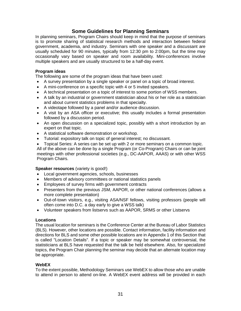# **Some Guidelines for Planning Seminars**

In planning seminars, Program Chairs should keep in mind that the purpose of seminars is to promote sharing of statistical research methods and interaction between federal government, academia, and industry. Seminars with one speaker and a discussant are usually scheduled for 90 minutes, typically from 12:30 pm to 2:00pm, but the time may occasionally vary based on speaker and room availability. Mini-conferences involve multiple speakers and are usually structured to be a half-day event.

## **Program ideas**

The following are some of the program ideas that have been used:

- A survey presentation by a single speaker or panel on a topic of broad interest.
- A mini-conference on a specific topic with 4 or 5 invited speakers.
- A technical presentation on a topic of interest to some portion of WSS members.
- A talk by an industrial or government statistician about his or her role as a statistician and about current statistics problems in that specialty.
- A videotape followed by a panel and/or audience discussion.
- A visit by an ASA officer or executive; this usually includes a formal presentation followed by a discussion period.
- An open discussion on a specialized topic, possibly with a short introduction by an expert on that topic.
- A statistical software demonstration or workshop.
- Tutorial: expository talk on topic of general interest; no discussant.
- Topical Series: A series can be set up with 2 or more seminars on a common topic.

All of the above can be done by a single Program (or Co-Program) Chairs or can be joint meetings with other professional societies (e.g., DC-AAPOR, AAAS) or with other WSS Program Chairs.

## **Speaker resources** (variety is good!)

- Local government agencies, schools, businesses
- Members of advisory committees or national statistics panels
- Employees of survey firms with government contracts
- Presenters from the previous JSM, AAPOR, or other national conferences (allows a more complete presentation)
- Out-of-town visitors, e.g., visiting ASA/NSF fellows, visiting professors (people will often come into D.C. a day early to give a WSS talk)
- Volunteer speakers from listservs such as AAPOR, SRMS or other Listservs

#### **Locations**

The usual location for seminars is the Conference Center at the Bureau of Labor Statistics (BLS). However, other locations are possible. Contact information, facility information and directions for BLS and some other possible locations are in Appendix 1 of this Section that is called "Location Details". If a topic or speaker may be somewhat controversial, the statisticians at BLS have requested that the talk be held elsewhere. Also, for specialized topics, the Program Chair planning the seminar may decide that an alternate location may be appropriate.

#### **WebEX**

To the extent possible, Methodology Seminars use WebEX to allow those who are unable to attend in person to attend on-line. A WebEX event address will be provided in each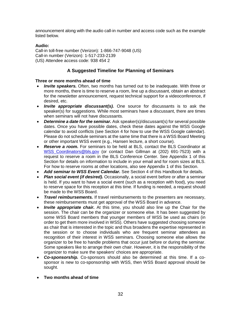announcement along with the audio call-in number and access code such as the example listed below.

# **Audio:**

Call-in toll-free number (Verizon): 1-866-747-9048 (US) Call-in number (Verizon): 1-517-233-2139 (US) Attendee access code: 938 454 2

# **A Suggested Timeline for Planning of Seminars**

## **Three or more months ahead of time**

- *Invite speakers.* Often, two months has turned out to be inadequate. With three or more months, there is time to reserve a room, line up a discussant, obtain an abstract for the newsletter announcement, request technical support for a videoconference, if desired, etc.
- *Invite appropriate discussant(s).* One source for discussants is to ask the speaker(s) for suggestions. While most seminars have a discussant, there are times when seminars will not have discussants.
- *Determine a date for the seminar.* Ask speaker(s)/discussant(s) for several possible dates. Once you have possible dates, check these dates against the WSS Google calendar to avoid conflicts (see Section 4 for how to use the WSS Google calendar). Please do not schedule seminars at the same time that there is a WSS Board Meeting or other important WSS event (e.g., Hansen lecture, a short course).
- *Reserve a room.* For seminars to be held at BLS, contact the BLS Coordinator at WSS Coordinators@bls.gov (or contact Dan Gillman at (202) 691-7523) with a request to reserve a room in the BLS Conference Center. See Appendix 1 of this Section for details on information to include in your email and for room sizes at BLS. For how to reserve rooms at other locations, also see Appendix 1 of this Section.
- *Add seminar to WSS Event Calendar.* See Section 4 of this Handbook for details.
- *Plan social event (if desired).* Occasionally, a social event before or after a seminar is held. If you want to have a social event (such as a reception with food), you need to reserve space for this reception at this time. If funding is needed, a request should be made to the WSS Board.
- *Travel reimbursements.* If travel reimbursements to the presenters are necessary, these reimbursements must get approval of the WSS Board in advance.
- *Invite appropriate chair.* At this time, you should also line up the Chair for the session. The chair can be the organizer or someone else. It has been suggested by some WSS Board members that younger members of WSS be used as chairs (in order to get them more involved in WSS). Others have suggested choosing someone as chair that is interested in the topic and thus broadens the expertise represented in the session or to choose individuals who are frequent seminar attendees as recognition of their interest in WSS seminars. Choosing someone else allows the organizer to be free to handle problems that occur just before or during the seminar. Some speakers like to arrange their own chair. However, it is the responsibility of the organizer to make sure the speakers' choices are appropriate.
- *Co-sponsorship.* Co-sponsors should also be determined at this time. If a cosponsor is new to co-sponsorship with WSS, then WSS Board approval should be sought.
- **Two months ahead of time**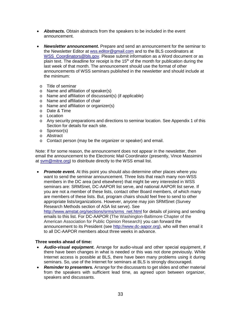- *Abstracts.* Obtain abstracts from the speakers to be included in the event announcement.
- *Newsletter announcement.* Prepare and send an announcement for the seminar to the Newsletter Editor at [wss.editor@gmail.com](mailto:wss.editor@gmail.com) and to the BLS coordinators at WSS Coordinators@bls.gov. Please submit information as a Word document or as plain text. The deadline for receipt is the  $15<sup>th</sup>$  of the month for publication during the last week of that month. The announcement should use the format of other announcements of WSS seminars published in the newsletter and should include at the minimum:
	- o Title of seminar
	- o Name and affiliation of speaker(s)
	- o Name and affiliation of discussant(s) (if applicable)
	- o Name and affiliation of chair
	- o Name and affiliation or organizer(s)
	- o Date & Time
	- o Location
	- o Any security preparations and directions to seminar location. See Appendix 1 of this Section for details for each site.
	- o Sponsor(s)
	- o Abstract
	- o Contact person (may be the organizer or speaker) and email.

Note: If for some reason, the announcement does not appear in the newsletter, then email the announcement to the Electronic Mail Coordinator (presently, Vince Massimini at sym@mitre.org) to distribute directly to the WSS email list.

• *Promote event.* At this point you should also determine other places where you want to send the seminar announcement. Three lists that reach many non-WSS members in the DC area (and elsewhere) that might be very interested in WSS seminars are: SRMSnet, DC-AAPOR list serve, and national AAPOR list serve. If you are not a member of these lists, contact other Board members, of which many are members of these lists. But, program chairs should feel free to send to other appropriate lists/organizations. However, anyone may join SRMSnet (Survey Research Methods section of ASA list serve). See [http://www.amstat.org/sections/srms/srms\\_net.html](http://www.amstat.org/sections/srms/srms_net.html) for details of joining and sending

emails to this list. For DC-AAPOR (The Washington-Baltimore Chapter of the American Association for Public Opinion Research) you can forward the announcement to its President (see [http://www.dc-aapor.org\)](http://www.dc-aapor.org/), who will then email it to all DC-AAPOR members about three weeks in advance.

#### **Three weeks ahead of time:**

- *Audio-visual equipment.* Arrange for audio-visual and other special equipment, if there have been changes in what is needed or this was not done previously. While Internet access is possible at BLS, there have been many problems using it during seminars. So, use of the Internet for seminars at BLS is strongly discouraged.
- *Reminder to presenters.* Arrange for the discussants to get slides and other material from the speakers with sufficient lead time, as agreed upon between organizer, speakers and discussants.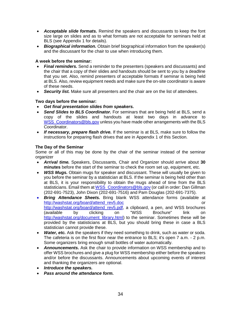- *Acceptable slide formats.* Remind the speakers and discussants to keep the font size large on slides and as to what formats are not acceptable for seminars held at BLS (see Appendix 1 for details).
- *Biographical information.* Obtain brief biographical information from the speaker(s) and the discussant for the chair to use when introducing them.

# **A week before the seminar:**

- *Final reminders.* Send a reminder to the presenters (speakers and discussants) and the chair that a copy of their slides and handouts should be sent to you by a deadline that you set. Also, remind presenters of acceptable formats if seminar is being held at BLS. Also, review equipment needs and make sure the on-site coordinator is aware of these needs.
- *Security list.* Make sure all presenters and the chair are on the list of attendees.

## **Two days before the seminar:**

- *Get final presentation slides from speakers.*
- *Send Slides to BLS Coordinator.* For seminars that are being held at BLS, send a copy of the slides and handouts at least two days in advance to WSS Coordinators@bls.gov unless you have made other arrangements with the BLS Coordinator.
- *If necessary, prepare flash drive.* If the seminar is at BLS, make sure to follow the instructions for preparing flash drives that are in Appendix 1 of this Section.

## **The Day of the Seminar**

Some or all of this may be done by the chair of the seminar instead of the seminar organizer

- *Arrival time.* Speakers, Discussants, Chair and Organizer should arrive about **30 minutes** before the start of the seminar to check the room set up, equipment, etc.
- **WSS Mugs.** Obtain mugs for speaker and discussant. These will usually be given to you before the seminar by a statistician at BLS. If the seminar is being held other than at BLS, it is your responsibility to obtain the mugs ahead of time from the BLS statisticians. Email them a[t WSS\\_Coordinators@bls.gov](mailto:WSS_Coordinators@bls.gov) (or call in order: Dan Gillman (202-691-7523), John Dixon (202-691-7516) and Pam Douglas (202-691-7375).
- *Bring Attendance Sheets.* Bring blank WSS attendance forms (available at [http://washstat.org/board/attend\\_rev5.doc](http://washstat.org/board/attend_rev5.doc) or [http://washstat.org/board/attend\\_rev5.pdf,](http://washstat.org/board/attend_rev5.pdf) a clipboard, a pen, and WSS brochures (available by clicking on "WSS Brochure" link on [http://washstat.org/document\\_library.html\)](http://washstat.org/document_library.html) to the seminar. Sometimes these will be provided by the statisticians at BLS, but you should bring these in case a BLS statistician cannot provide these.
- Water, etc. Ask the speakers if they need something to drink, such as water or soda. The cafeteria is on the first floor near the entrance to BLS; it's open 7 a.m. - 2 p.m. Some organizers bring enough small bottles of water automatically.
- *Announcements.* Ask the chair to provide information on WSS membership and to offer WSS brochures and give a plug for WSS membership either before the speakers and/or before the discussants. Announcements about upcoming events of interest and thanking the organizers are optional.
- *Introduce the speakers.*
- *Pass around the attendance form.*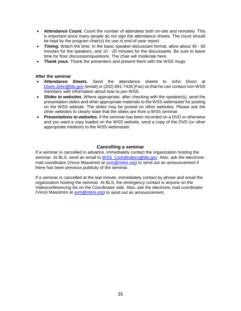- *Attendance Count.* Count the number of attendees both on-site and remotely. This is important since many people do not sign the attendance sheets. The count should be kept by the program chair(s) for use in end-of-year report.
- *Timing.* Watch the time. In the basic speaker-discussant format, allow about 45 60 minutes for the speakers, and 10 - 20 minutes for the discussants. Be sure to leave time for floor discussion/questions. The chair will moderate here.
- **Thank yous.** Thank the presenters and present them with the WSS mugs.

#### **After the seminar**

- *Attendance Sheets.* Send the attendance sheets to John Dixon at [Dixon.John@bls.gov](mailto:Dixon.John@bls.gov) (email) or (202) 691-7426 (Fax) so that he can contact non-WSS members with information about how to join WSS.
- *Slides to websites.* Where appropriate, after checking with the speaker(s), send the presentation slides and other appropriate materials to the WSS webmaster for posting on the WSS website. The slides may be posted on other websites. Please ask the other websites to clearly state that the slides are from a WSS seminar.
- *Presentations to websites.* If the seminar has been recorded on a DVD or otherwise and you want a copy loaded on the WSS website, send a copy of the DVD (or other appropriate medium) to the WSS webmaster.

## **Cancelling a seminar**

If a seminar is cancelled in advance, immediately contact the organization hosting the seminar. At BLS, send an email to [WSS\\_Coordinators@bls.gov.](mailto:WSS_Coordinators@bls.gov) Also, ask the electronic mail coordinator (Vince Massimini at [svm@mitre.org\)](mailto:svm@mitre.org) to send out an announcement if there has been previous publicity of the seminar.

If a seminar is cancelled at the last minute, immediately contact by phone and email the organization hosting the seminar. At BLS, the emergency contact is anyone on the Videoconferencing list on the Coordinator side. Also, ask the electronic mail coordinator (Vince Massimini at [svm@mitre.org\)](mailto:svm@mitre.org) to send out an announcement.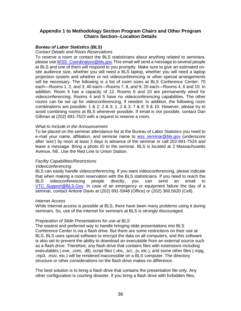## **Appendix 1 to Methodology Section Program Chairs and Other Program Chairs Section--Location Details**

#### *Bureau of Labor Statistics (BLS)*

*Contact Details and Room Reservations*

To reserve a room or contact the BLS statisticians about anything related to seminars, please use [WSS\\_Coordinators@bls.gov.](mailto:WSS_Coordinators@bls.gov)This email will send a message to several people at BLS and one of them will respond to you promptly. Make sure to give an estimated onsite audience size, whether you will need a BLS laptop, whether you will need a laptop projection system and whether or not videoconferencing or other special arrangements will be necessary. The following is a list of room sizes at BLS Conference Center: 70 each—Rooms 1, 2, and 3; 40 each—Rooms 7, 8, and 9; 20 each—Rooms 4, 6 and 10. In addition, Room 5 has a capacity of 12. Rooms 6 and 10 are permanently wired for videoconferencing. Rooms 4 and 5 have no videoconferencing capabilities. The other rooms can be set up for videoconferencing, if needed. In addition, the following room combinations are possible:  $1 \& 2$ ;  $2 \& 3$ ;  $1, 2 \& 3$ ;  $7 \& 8$ ;  $9 \& 10$ . However, please try to avoid combining rooms at BLS whenever possible. If email is not possible, contact Dan Gillman at (202) 691-7523 with a request to reserve a room.

#### *What to Include in the Announcement*

To be placed on the seminar attendance list at the Bureau of Labor Statistics you need to e-mail your name, affiliation, and seminar name to [wss\\_seminar@bls.gov](mailto:wss_seminar@bls.gov) (underscore after 'wss') by noon at least 2 days in advance of the seminar or call 202-691-7524 and leave a message. Bring a photo ID to the seminar. BLS is located at 2 Massachusetts Avenue, NE. Use the Red Line to Union Station.

#### *Facility Capabilities/Restrictions*

#### *Videoconferencing*

BLS can easily handle videoconferencing. If you want videoconferencing, please indicate that when making a room reservation with the BLS statisticians. If you need to reach the BLS videoconferencing people directly, you can send an email to VTC Support@BLS.Gov. In case of an emergency or equipment failure the day of a seminar, contact Antone Davis at (202) 691-5948 (Office) or (202) 369.5620 (Cell).

#### *Internet Access*

While Internet access is possible at BLS, there have been many problems using it during seminars. So, use of the Internet for seminars at BLS is strongly discouraged.

#### *Preparation of Slide Presentations for use at BLS*

The easiest and preferred way to handle bringing slide presentations into BLS Conference Center is via a flash drive. But there are some restrictions on their use at BLS. BLS uses special software to encrypt the data on all computers, and this software is also set to prevent the ability to download an executable from an external source such as a flash drive. Therefore, any flash drive that contains files with extensions including executables (.exe, .com, .dll), script files (.vbs, .scr, .js, etc.), and some other files (.mpg, .mp3, .mov, etc.) will be rendered inaccessible on a BLS computer. The directory structure or other considerations on the flash drive makes no difference.

The best solution is to bring a flash drive that contains the presentation file only. Any other configuration is courting disaster. If you bring a flash drive with forbidden files,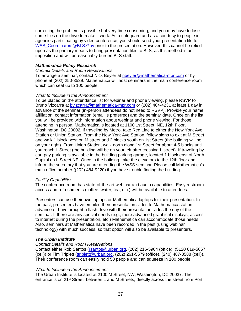correcting the problem is possible but very time consuming, and you may have to lose some files on the drive to make it work. As a safeguard and as a courtesy to people in agencies participating by video conference, you should send your presentation file to [WSS\\_Coordinators@BLS.Gov](mailto:WSS_Coordinators@BLS.Gov) prior to the presentation. However, this cannot be relied upon as the primary means to bring presentation files to BLS, as this method is an imposition and will unreasonably burden BLS staff.

#### *Mathematica Policy Research*

#### *Contact Details and Room Reservations*

To arrange a seminar, contact Nick Beyler at [nbeyler@mathematica-mpr.com](mailto:nbeyler@mathematica-mpr.com) or by phone at (202) 250-3539. Mathematica will host seminars in the main conference room which can seat up to 100 people.

#### *What to Include in the Announcement*

To be placed on the attendance list for webinar and phone viewing, please RSVP to Bruno Vizcarra at [bvizcarra@mathematica-mpr.com](mailto:bvizcarra@mathematica-mpr.com) or (202) 484-4231 at least 1 day in advance of the seminar (in-person attendees do not need to RSVP). Provide your name, affiliation, contact information (email is preferred) and the seminar date. Once on the list, you will be provided with information about webinar and phone viewing. For those attending in person, Mathematica is located at 1100 1st Street, NE, 12th Floor, Washington, DC 20002. If traveling by Metro, take Red Line to either the New York Ave Station or Union Station. From the New York Ave Station, follow signs to exit at M Street and walk 1 block west on M street and 2 blocks south on 1st Street (the building will be on your right). From Union Station, walk north along 1st Street for about 4-5 blocks until you reach L Street (the building will be on your left after crossing L street). If traveling by car, pay parking is available in the building parking garage, located 1 block east of North Capitol on L Street NE. Once in the building, take the elevators to the 12th floor and inform the secretary that you are attending the WSS seminar. Please call Mathematica's main office number ((202) 484-9220) if you have trouble finding the building.

#### *Facility Capabilities*

The conference room has state-of-the-art webinar and audio capabilities. Easy restroom access and refreshments (coffee, water, tea, etc.) will be available to attendees.

Presenters can use their own laptops or Mathematica laptops for their presentation. In the past, presenters have emailed their presentation slides to Mathematica staff in advance or have brought a flash drive with their presentation slides the day of the seminar. If there are any special needs (e.g., more advanced graphical displays, access to internet during the presentation, etc.) Mathematica can accommodate those needs. Also, seminars at Mathematica have been recorded in the past (using webinar technology) with much success, so that option will also be available to presenters.

#### *The Urban Institute*

#### *Contact Details and Room Reservations*

Contact either Rob Santos [\(rsantos@urban.org,](mailto:rsantos@urban.org) (202) 216-5904 (office), (5120 619-5667 (cell)) or Tim Triplett [\(ttriplett@urban.org,](mailto:ttriplett@urban.org) (202) 261-5579 (office), (240) 487-8588 (cell)). Their conference room can easily hold 50 people and can squeeze in 100 people.

#### *What to Include in the Announcement*

The Urban Institute is located at 2100 M Street, NW, Washington, DC 20037. The entrance is on 21<sup>st</sup> Street, between L and M Streets, directly across the street from Port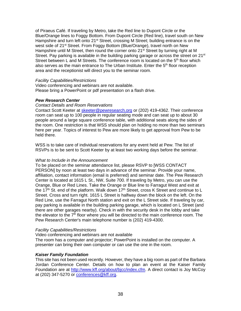of Piraeus Café. If traveling by Metro, take the Red line to Dupont Circle or the Blue/Orange lines to Foggy Bottom. From Dupont Circle (Red line), travel south on New Hampshire and turn left onto 21<sup>st</sup> Street, crossing M Street; building entrance is on the west side of 21<sup>st</sup> Street. From Foggy Bottom (Blue/Orange), travel north on New Hampshire until M Street, then round the corner onto 21<sup>st</sup> Street by turning right at M Street. Pay parking is available in the building parking garage or across the street on  $21<sup>st</sup>$ Street between L and M Streets. The conference room is located on the 5<sup>th</sup> floor which also serves as the main entrance to The Urban Institute. Enter the  $5<sup>th</sup>$  floor reception area and the receptionist will direct you to the seminar room.

#### *Facility Capabilities/Restrictions*

Video conferencing and webinars are not available. Please bring a PowerPoint or pdf presentation on a flash drive.

#### *Pew Research Center*

#### *Contact Details and Room Reservations*

Contact Scott Keeter at [skeeter@pewresearch.org](mailto:skeeter@pewresearch.org) or (202) 419-4362. Their conference room can seat up to 100 people in regular seating mode and can seat up to about 30 people around a large square conference table, with additional seats along the sides of the room. One restriction is that WSS should plan on holding no more than two seminars here per year. Topics of interest to Pew are more likely to get approval from Pew to be held there.

WSS is to take care of individual reservations for any event held at Pew. The list of RSVPs is to be sent to Scott Keeter by at least two working days before the seminar.

#### *What to Include in the Announcement*

To be placed on the seminar attendance list, please RSVP to [WSS CONTACT PERSON] by noon at least two days in advance of the seminar. Provide your name, affiliation, contact information (email is preferred) and seminar date. The Pew Research Center is located at 1615 L St., NW, Suite 700. If traveling by Metro, you can use the Orange, Blue or Red Lines. Take the Orange or Blue line to Farragut West and exit at the 17<sup>th</sup> St. end of the platform. Walk down  $17<sup>th</sup>$  Street, cross K Street and continue to L Street. Cross and turn right. 1615 L Street is halfway down the block on the left. On the Red Line, use the Farragut North station and exit on the L Street side. If traveling by car, pay parking is available in the building parking garage, which is located on L Street (and there are other garages nearby). Check in with the security desk in the lobby and take the elevator to the  $7<sup>th</sup>$  floor where you will be directed to the main conference room. The Pew Research Center's main telephone number is (202) 419-4300.

#### *Facility Capabilities/Restrictions*

Video conferencing and webinars are not available

The room has a computer and projector; PowerPoint is installed on the computer. A presenter can bring their own computer or can use the one in the room.

#### *Kaiser Family Foundation*

This site has not been used recently. However, they have a big room as part of the Barbara Jordan Conference Center. Details on how to plan an event at the Kaiser Family Foundation are at [http://www.kff.org/about/bjcc/index.cfm.](http://www.kff.org/about/bjcc/index.cfm) A direct contact is Joy McCoy at (202) 347-5270 or [conferences@kff.org.](mailto:conferences@kff.org)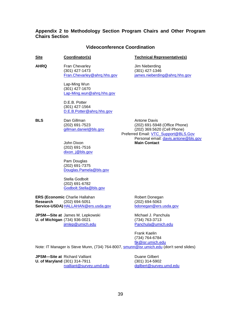## **Appendix 2 to Methodology Section Program Chairs and Other Program Chairs Section**

#### **Videoconference Coordination**

#### **Site Coordinator(s) Technical Representative(s)**

**AHRQ** Fran Chevarley **Fran** Chevarley **Fran** Property France State Summan Allen State State State State State State State State State State State State State State State State State State State State State State State Sta (301) 427-1473 (301) 427-1346<br>
Fran.Chevarley@ahrq.hhs.gov james.nieberdin

> Lap-Ming Wun (301) 427-1670 [Lap-Ming.wun@ahrq.hhs.gov](mailto:Lap-Ming.wun@ahrq.hhs.gov)

D.E.B. Potter (301) 427-1564 [D.E.B.Potter@ahrq.hhs.gov](mailto:D.E.B.Potter@ahrq.hhs.gov)

**BLS** Dan Gillman **BLS** Antone Davis

(202) 691-7516 [dixon\\_j@bls.gov](mailto:dixon_j@bls.gov)

Pam Douglas (202) 691-7375 [Douglas.Pamela@bls.gov](mailto:Douglas.Pamela@bls.gov)

Stella Godbolt (202) 691-6782 [Godbolt.Stella@bls.gov](mailto:Godbolt.Stella@bls.gov)

**ERS (Economic** Charlie Hallahan Robert Donegan<br> **Research** (202) 694-5051 (202) 694-5063 **Research** (202) 694-5051 (202) 694-5063 **Service-USDA)** [HALLAHAN@ers.usda.gov](mailto:HALLAHAN@ers.usda.gov) [bdonegan@ers.usda.gov](mailto:bdonegan@ers.usda.gov)

**JPSM—Site at** James M. Lepkowski Michael J. Panchula **U. of Michigan** (734) 936-0021 (734) 763-3713<br><u>jimlep@umich.edu</u> example and parachula@umich

[james.nieberding@ahrq.hhs.gov](mailto:james.nieberding@ahrq.hhs.gov)

(202) 691-7523 (202) 691-5948 (Office Phone)  $(202)$  369.5620 (Cell Phone) Preferred Email: [VTC\\_Support@BLS.Gov](mailto:VTC_Support@BLS.Gov) Personal email: [davis.antone@bls.gov](mailto:davis.antone@bls.gov) John Dixon **Main Contact**

[Panchula@umich.edu](mailto:Panchula@umich.edu)

Frank Kaelin (734) 764-6784 [fjk@isr.umich.edu](mailto:fjk@isr.umich.edu)

Note: IT Manager is Steve Munn, (734) 764-8007, [smunn@isr.umich.edu](mailto:smunn@isr.umich.edu) (don't send slides)

**JPSM—Site at** Richard Valliant **Duane Gilbert** Duane Gilbert **U. of Maryland** (301) 314-7911 (301) 314-5902<br>
<u>rvalliant@survey.umd.edu</u> dgilbert@survey.umd.edu [rvalliant@survey.umd.edu](mailto:rvalliant@survey.umd.edu)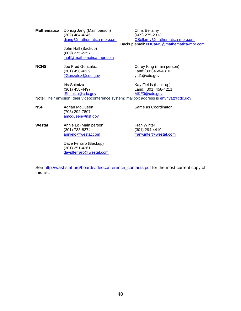**Mathematica** Donsig Jang (Main person) Chris Bellamy (202) 484-4246 (609) 275-2313<br>
diang@mathematica-mpr.com CBellamy@mat

> John Hall (Backup) (609) 275-2357 [jhall@mathematica-mpr.com](mailto:jhall@mathematica-mpr.com)

[CBellamy@mathematica-mpr.com](mailto:CBellamy@mathematica-mpr.com) Backup email: [NJCaNS@mathematica-mpr.com](mailto:NJCaNS@mathematica-mpr.com)

**NCHS** Joe Fred Gonzalez **Corey King (main person)**<br>(301) 458-4239 Cand: (301) 458-4810 [JGonzalez@cdc.gov](mailto:JGonzalez@cdc.gov) ytd1@cdc.gov

[IShimizu@cdc.gov](mailto:IShimizu@cdc.gov)

Land:(301) 458-4810

Iris Shimizu May Fields (back-up)<br>(301) 458-4497 Land: (301) 458-4211 Land: (301) 458-4211<br>MKF0@cdc.gov

Note: Their envision (their videoconference system) mailbox address is **envhyat@cdc.gov** 

**NSF** Adrian McQueen **Same as Coordinator** Same as Coordinator (703) 292-7807 [amcqueen@nsf.gov](mailto:amcqueen@nsf.gov)

**Westat** Annie Lo (Main person) Fran Winter<br>(301) 738-8374 (301) 294-4419  $(301)$  738-8374<br>annielo@westat.com

> Dave Ferraro (Backup) (301) 251-4261 [davidferraro@westat.com](mailto:davidferraro@westat.com)

[franwinter@westat.com](mailto:franwinter@westat.com)

See [http://washstat.org/board/videoconference\\_contacts.pdf](http://washstat.org/board/videoconference_contacts.pdf) for the most current copy of this list.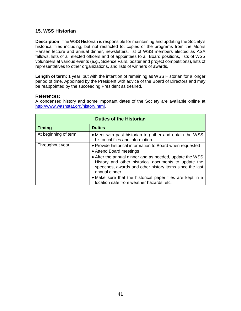# **15. WSS Historian**

**Description:** The WSS Historian is responsible for maintaining and updating the Society's historical files including, but not restricted to, copies of the programs from the Morris Hansen lecture and annual dinner, newsletters, list of WSS members elected as ASA fellows, lists of all elected officers and of appointees to all Board positions, lists of WSS volunteers at various events (e.g., Science Fairs, poster and project competitions), lists of representatives to other organizations, and lists of winners of awards,

**Length of term:** 1 year, but with the intention of remaining as WSS Historian for a longer period of time. Appointed by the President with advice of the Board of Directors and may be reappointed by the succeeding President as desired.

#### **References:**

A condensed history and some important dates of the Society are available online at [http://www.washstat.org/history.html.](http://www.washstat.org/history.html)

| <b>Duties of the Historian</b> |                                                                                                                                                                                                                                                                                     |
|--------------------------------|-------------------------------------------------------------------------------------------------------------------------------------------------------------------------------------------------------------------------------------------------------------------------------------|
| <b>Timing</b>                  | <b>Duties</b>                                                                                                                                                                                                                                                                       |
| At beginning of term           | • Meet with past historian to gather and obtain the WSS<br>historical files and information.                                                                                                                                                                                        |
| Throughout year                | • Provide historical information to Board when requested<br>• Attend Board meetings<br>• After the annual dinner and as needed, update the WSS<br>History and other historical documents to update the<br>speeches, awards and other history items since the last<br>annual dinner. |
|                                | • Make sure that the historical paper files are kept in a<br>location safe from weather hazards, etc.                                                                                                                                                                               |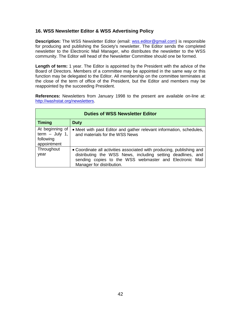# **16. WSS Newsletter Editor & WSS Advertising Policy**

**Description:** The WSS Newsletter Editor (email: [wss.editor@gmail.com\)](mailto:wss.editor@gmail.com) is responsible for producing and publishing the Society's newsletter. The Editor sends the completed newsletter to the Electronic Mail Manager, who distributes the newsletter to the WSS community. The Editor will head of the Newsletter Committee should one be formed.

**Length of term:** 1 year. The Editor is appointed by the President with the advice of the Board of Directors. Members of a committee may be appointed in the same way or this function may be delegated to the Editor. All membership on the committee terminates at the close of the term of office of the President, but the Editor and members may be reappointed by the succeeding President.

**References:** Newsletters from January 1998 to the present are available on-line at: [http://washstat.org/newsletters.](http://washstat.org/newsletters)

| <b>Duties of WSS Newsletter Editor</b>                          |                                                                                                                                                                                                                              |
|-----------------------------------------------------------------|------------------------------------------------------------------------------------------------------------------------------------------------------------------------------------------------------------------------------|
| <b>Timing</b>                                                   | <b>Duty</b>                                                                                                                                                                                                                  |
| At beginning of<br>$term - July 1,$<br>following<br>appointment | • Meet with past Editor and gather relevant information, schedules,<br>and materials for the WSS News                                                                                                                        |
| Throughout<br>year                                              | • Coordinate all activities associated with producing, publishing and<br>distributing the WSS News, including setting deadlines, and<br>sending copies to the WSS webmaster and Electronic Mail<br>Manager for distribution. |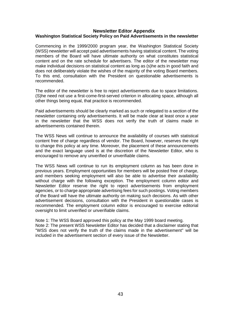#### **Newsletter Editor Appendix Washington Statistical Society Policy on Paid Advertisements in the newsletter**

Commencing in the 1999/2000 program year, the Washington Statistical Society (WSS) newsletter will accept paid advertisements having statistical content. The voting members of the Board will have ultimate authority on what constitutes statistical content and on the rate schedule for advertisers. The editor of the newsletter may make individual decisions on statistical content as long as (s)he acts in good faith and does not deliberately violate the wishes of the majority of the voting Board members. To this end, consultation with the President on questionable advertisements is recommended.

The editor of the newsletter is free to reject advertisements due to space limitations. (S)he need not use a first-come-first-served criterion in allocating space, although all other things being equal, that practice is recommended.

Paid advertisements should be clearly marked as such or relegated to a section of the newsletter containing only advertisements. It will be made clear at least once a year in the newsletter that the WSS does not verify the truth of claims made in advertisements contained therein.

The WSS News will continue to announce the availability of courses with statistical content free of charge regardless of vendor. The Board, however, reserves the right to change this policy at any time. Moreover, the placement of these announcements and the exact language used is at the discretion of the Newsletter Editor, who is encouraged to remove any unverified or unverifiable claims.

The WSS News will continue to run its employment column as has been done in previous years. Employment opportunities for members will be posted free of charge, and members seeking employment will also be able to advertise their availability without charge with the following exception. The employment column editor and Newsletter Editor reserve the right to reject advertisements from employment agencies, or to charge appropriate advertising fees for such postings. Voting members of the Board will have the ultimate authority on making such decisions. As with other advertisement decisions, consultation with the President in questionable cases is recommended. The employment column editor is encouraged to exercise editorial oversight to limit unverified or unverifiable claims.

Note 1: The WSS Board approved this policy at the May 1999 board meeting. Note 2: The present WSS Newsletter Editor has decided that a disclaimer stating that "WSS does not verify the truth of the claims made in the advertisement" will be included in the advertisement section of every issue of the Newsletter.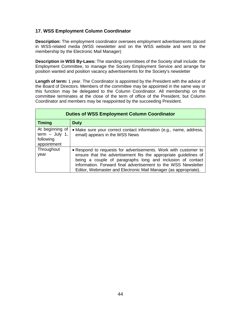# **17. WSS Employment Column Coordinator**

**Description:** The employment coordinator oversees employment advertisements placed in WSS-related media (WSS newsletter and on the WSS website and sent to the membership by the Electronic Mail Manager)

**Description in WSS By-Laws:** The standing committees of the Society shall include: the Employment Committee, to manage the Society Employment Service and arrange for position wanted and position vacancy advertisements for the Society's newsletter

**Length of term:** 1 year. The Coordinator is appointed by the President with the advice of the Board of Directors. Members of the committee may be appointed in the same way or this function may be delegated to the Column Coordinator. All membership on the committee terminates at the close of the term of office of the President, but Column Coordinator and members may be reappointed by the succeeding President.

| <b>Duties of WSS Employment Column Coordinator</b>              |                                                                                                                                                                                                                                                                                                                                        |
|-----------------------------------------------------------------|----------------------------------------------------------------------------------------------------------------------------------------------------------------------------------------------------------------------------------------------------------------------------------------------------------------------------------------|
| <b>Timing</b>                                                   | <b>Duty</b>                                                                                                                                                                                                                                                                                                                            |
| At beginning of<br>term $-$ July 1,<br>following<br>appointment | • Make sure your correct contact information (e.g., name, address,<br>email) appears in the WSS News                                                                                                                                                                                                                                   |
| Throughout<br>year                                              | • Respond to requests for advertisements. Work with customer to<br>ensure that the advertisement fits the appropriate guidelines of<br>being a couple of paragraphs long and inclusion of contact<br>information. Forward final advertisement to the WSS Newsletter<br>Editor, Webmaster and Electronic Mail Manager (as appropriate). |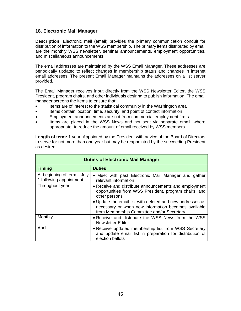## **18. Electronic Mail Manager**

**Description:** Electronic mail (email) provides the primary communication conduit for distribution of information to the WSS membership. The primary items distributed by email are the monthly WSS newsletter, seminar announcements, employment opportunities, and miscellaneous announcements.

The email addresses are maintained by the WSS Email Manager. These addresses are periodically updated to reflect changes in membership status and changes in internet email addresses. The present Email Manager maintains the addresses on a list server provided.

The Email Manager receives input directly from the WSS Newsletter Editor, the WSS President, program chairs, and other individuals desiring to publish information. The email manager screens the items to ensure that:

- Items are of interest to the statistical community in the Washington area
- Items contain location, time, security, and point of contact information
- Employment announcements are not from commercial employment firms
- Items are placed in the WSS News and not sent via separate email, where appropriate, to reduce the amount of email received by WSS members

**Length of term:** 1 year. Appointed by the President with advice of the Board of Directors to serve for not more than one year but may be reappointed by the succeeding President as desired.

| <b>Duties of Electronic Mail Manager</b>               |                                                                                                                                                                |
|--------------------------------------------------------|----------------------------------------------------------------------------------------------------------------------------------------------------------------|
| <b>Timing</b>                                          | <b>Duties</b>                                                                                                                                                  |
| At beginning of term – July<br>1 following appointment | • Meet with past Electronic Mail Manager and gather<br>relevant information                                                                                    |
| Throughout year                                        | • Receive and distribute announcements and employment<br>opportunities from WSS President, program chairs, and<br>other persons                                |
|                                                        | • Update the email list with deleted and new addresses as<br>necessary or when new information becomes available<br>from Membership Committee and/or Secretary |
| Monthly                                                | • Receive and distribute the WSS News from the WSS<br><b>Newsletter Editor</b>                                                                                 |
| April                                                  | • Receive updated membership list from WSS Secretary<br>and update email list in preparation for distribution of<br>election ballots                           |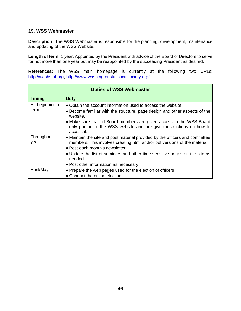## **19. WSS Webmaster**

**Description:** The WSS Webmaster is responsible for the planning, development, maintenance and updating of the WSS Website.

**Length of term:** 1 year. Appointed by the President with advice of the Board of Directors to serve for not more than one year but may be reappointed by the succeeding President as desired.

**References:** The WSS main homepage is currently at the following two URLs: [http://washstat.org,](http://washstat.org/) [http://www.washingtonstatisticalsociety.org/.](http://www.washingtonstatisticalsociety.org/)

| <b>Duties of WSS Webmaster</b> |                                                                                                                                                                                                                                                                                                                                |  |
|--------------------------------|--------------------------------------------------------------------------------------------------------------------------------------------------------------------------------------------------------------------------------------------------------------------------------------------------------------------------------|--|
| <b>Timing</b>                  | <b>Duty</b>                                                                                                                                                                                                                                                                                                                    |  |
| At beginning of<br>term        | • Obtain the account information used to access the website.<br>• Become familiar with the structure, page design and other aspects of the<br>website.<br>• Make sure that all Board members are given access to the WSS Board<br>only portion of the WSS website and are given instructions on how to<br>access it.           |  |
| Throughout<br>year             | • Maintain the site and post material provided by the officers and committee<br>members. This involves creating html and/or pdf versions of the material.<br>• Post each month's newsletter.<br>• Update the list of seminars and other time sensitive pages on the site as<br>needed<br>• Post other information as necessary |  |
| April/May                      | • Prepare the web pages used for the election of officers<br>• Conduct the online election                                                                                                                                                                                                                                     |  |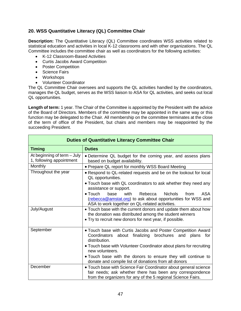# **20. WSS Quantitative Literacy (QL) Committee Chair**

**Description:** The Quantitative Literacy (QL) Committee coordinates WSS activities related to statistical education and activities in local K-12 classrooms and with other organizations. The QL Committee includes the committee chair as well as coordinators for the following activities:

- K-12 Classroom-Based Activities
- Curtis Jacobs Award Competition
- Poster Competition
- Science Fairs
- Workshops
- Volunteer Coordinator

The QL Committee Chair oversees and supports the QL activities handled by the coordinators, manages the QL budget, serves as the WSS liaison to ASA for QL activities, and seeks out local QL opportunities.

Length of term: 1 year. The Chair of the Committee is appointed by the President with the advice of the Board of Directors. Members of the committee may be appointed in the same way or this function may be delegated to the Chair. All membership on the committee terminates at the close of the term of office of the President, but chairs and members may be reappointed by the succeeding President.

| <b>Duties of Quantitative Literacy Committee Chair</b>  |                                                                                                                                                                                                                                                                                                       |
|---------------------------------------------------------|-------------------------------------------------------------------------------------------------------------------------------------------------------------------------------------------------------------------------------------------------------------------------------------------------------|
| <b>Timing</b>                                           | <b>Duties</b>                                                                                                                                                                                                                                                                                         |
| At beginning of term - July<br>1, following appointment | • Determine QL budget for the coming year, and assess plans<br>based on budget availability.                                                                                                                                                                                                          |
| Monthly                                                 | • Prepare QL report for monthly WSS Board Meeting                                                                                                                                                                                                                                                     |
| Throughout the year                                     | . Respond to QL-related requests and be on the lookout for local<br>QL opportunities.<br>• Touch base with QL coordinators to ask whether they need any<br>assistance or support.                                                                                                                     |
|                                                         | <b>ASA</b><br>$\bullet$ Touch<br><b>Nichols</b><br>base<br>with<br>Rebecca<br>from<br>(rebecca@amstat.org) to ask about opportunities for WSS and<br>ASA to work together on QL-related activities.                                                                                                   |
| July/August                                             | • Touch base with the current donors and update them about how<br>the donation was distributed among the student winners<br>• Try to recruit new donors for next year, if possible.                                                                                                                   |
| September                                               | . Touch base with Curtis Jacobs and Poster Competition Award<br>Coordinators about finalizing brochures and<br>plans<br>for<br>distribution.<br>• Touch base with Volunteer Coordinator about plans for recruiting<br>new volunteers.<br>• Touch base with the donors to ensure they will continue to |
|                                                         | donate and compile list of donations from all donors                                                                                                                                                                                                                                                  |
| December                                                | • Touch base with Science Fair Coordinator about general science<br>fair needs; ask whether there has been any correspondence<br>from the organizers for any of the 5 regional Science Fairs.                                                                                                         |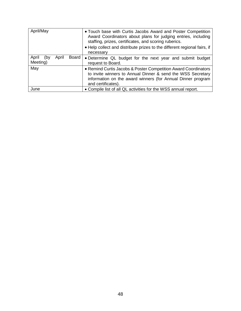| April/May                                  | • Touch base with Curtis Jacobs Award and Poster Competition<br>Award Coordinators about plans for judging entries, including<br>staffing, prizes, certificates, and scoring ruberics.<br>• Help collect and distribute prizes to the different regional fairs, if<br>necessary |
|--------------------------------------------|---------------------------------------------------------------------------------------------------------------------------------------------------------------------------------------------------------------------------------------------------------------------------------|
| April<br>Board<br>April<br>(by<br>Meeting) | • Determine QL budget for the next year and submit budget<br>request to Board.                                                                                                                                                                                                  |
| May                                        | • Remind Curtis Jacobs & Poster Competition Award Coordinators<br>to invite winners to Annual Dinner & send the WSS Secretary<br>information on the award winners (for Annual Dinner program<br>and certificates).                                                              |
| June                                       | • Compile list of all QL activities for the WSS annual report.                                                                                                                                                                                                                  |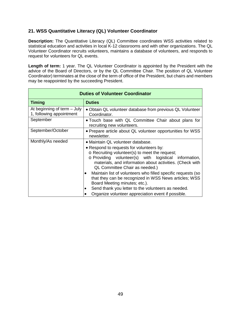# **21. WSS Quantitative Literacy (QL) Volunteer Coordinator**

**Description:** The Quantitative Literacy (QL) Committee coordinates WSS activities related to statistical education and activities in local K-12 classrooms and with other organizations. The QL Volunteer Coordinator recruits volunteers, maintains a database of volunteers, and responds to request for volunteers for QL events.

Length of term: 1 year. The QL Volunteer Coordinator is appointed by the President with the advice of the Board of Directors, or by the QL Committee Chair. The position of QL Volunteer Coordinator) terminates at the close of the term of office of the President, but chairs and members may be reappointed by the succeeding President.

| <b>Duties of Volunteer Coordinator</b>                  |                                                                                                                                                                                                                                                                                              |
|---------------------------------------------------------|----------------------------------------------------------------------------------------------------------------------------------------------------------------------------------------------------------------------------------------------------------------------------------------------|
| <b>Timing</b>                                           | <b>Duties</b>                                                                                                                                                                                                                                                                                |
| At beginning of term - July<br>1, following appointment | • Obtain QL volunteer database from previous QL Volunteer<br>Coordinator.                                                                                                                                                                                                                    |
| September                                               | • Touch base with QL Committee Chair about plans for<br>recruiting new volunteers.                                                                                                                                                                                                           |
| September/October                                       | • Prepare article about QL volunteer opportunities for WSS<br>newsletter.                                                                                                                                                                                                                    |
| Monthly/As needed                                       | • Maintain QL volunteer database.<br>• Respond to requests for volunteers by:<br>$\circ$ Recruiting volunteer(s) to meet the request;<br>o Providing volunteer(s) with logistical information,<br>materials, and information about activities. (Check with<br>QL Committee Chair as needed.) |
|                                                         | Maintain list of volunteers who filled specific requests (so<br>that they can be recognized in WSS News articles; WSS<br>Board Meeting minutes; etc.).<br>Send thank you letter to the volunteers as needed.<br>Organize volunteer appreciation event if possible.                           |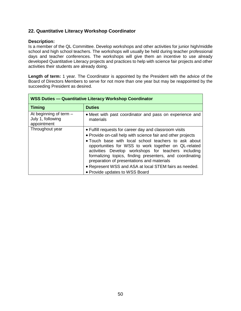# **22. Quantitative Literacy Workshop Coordinator**

#### **Description:**

Is a member of the QL Committee. Develop workshops and other activities for junior high/middle school and high school teachers. The workshops will usually be held during teacher professional days and teacher conferences. The workshops will give them an incentive to use already developed Quantitative Literacy projects and practices to help with science fair projects and other activities their students are already doing.

Length of term: 1 year. The Coordinator is appointed by the President with the advice of the Board of Directors Members to serve for not more than one year but may be reappointed by the succeeding President as desired.

| WSS Duties - Quantitative Literacy Workshop Coordinator      |                                                                                                                                                                                                                                                                                                                                                                                                                                                                                                    |
|--------------------------------------------------------------|----------------------------------------------------------------------------------------------------------------------------------------------------------------------------------------------------------------------------------------------------------------------------------------------------------------------------------------------------------------------------------------------------------------------------------------------------------------------------------------------------|
| <b>Timing</b>                                                | <b>Duties</b>                                                                                                                                                                                                                                                                                                                                                                                                                                                                                      |
| At beginning of term $-$<br>July 1, following<br>appointment | • Meet with past coordinator and pass on experience and<br>materials                                                                                                                                                                                                                                                                                                                                                                                                                               |
| Throughout year                                              | • Fulfill requests for career day and classroom visits<br>• Provide on-call help with science fair and other projects<br>• Touch base with local school teachers to ask about<br>opportunities for WSS to work together on QL-related<br>activities Develop workshops for teachers including<br>formalizing topics, finding presenters, and coordinating<br>preparation of presentations and materials<br>• Represent WSS and ASA at local STEM fairs as needed.<br>• Provide updates to WSS Board |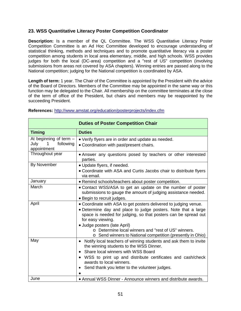# **23. WSS Quantitative Literacy Poster Competition Coordinator**

**Description:** Is a member of the QL Committee. The WSS Quantitative Literacy Poster Competition Committee is an Ad Hoc Committee developed to encourage understanding of statistical thinking, methods and techniques and to promote quantitative literacy via a poster competition among students in local area elementary, middle, and high schools. WSS provides judges for both the local (DC-area) competition and a "rest of US" competition (involving submissions from areas not covered by ASA chapters). Winning entries are passed along to the National competition; judging for the National competition is coordinated by ASA.

**Length of term:** 1 year. The Chair of the Committee is appointed by the President with the advice of the Board of Directors. Members of the Committee may be appointed in the same way or this function may be delegated to the Chair. All membership on the committee terminates at the close of the term of office of the President, but chairs and members may be reappointed by the succeeding President.

|                                                                   | <b>Duties of Poster Competition Chair</b>                                                                                                                                                                                                                                                                                                                                     |
|-------------------------------------------------------------------|-------------------------------------------------------------------------------------------------------------------------------------------------------------------------------------------------------------------------------------------------------------------------------------------------------------------------------------------------------------------------------|
| <b>Timing</b>                                                     | <b>Duties</b>                                                                                                                                                                                                                                                                                                                                                                 |
| At beginning of term $-$<br>July<br>1<br>following<br>appointment | • Verify flyers are in order and update as needed.<br>• Coordination with past/present chairs.                                                                                                                                                                                                                                                                                |
| Throughout year                                                   | • Answer any questions posed by teachers or other interested<br>parties.                                                                                                                                                                                                                                                                                                      |
| By November                                                       | · Update flyers, if needed.<br>• Coordinate with ASA and Curtis Jacobs chair to distribute flyers<br>via email.                                                                                                                                                                                                                                                               |
| January                                                           | • Remind schools/teachers about poster competition.                                                                                                                                                                                                                                                                                                                           |
| March                                                             | • Contact WSS/ASA to get an update on the number of poster<br>submissions to gauge the amount of judging assistance needed.<br>• Begin to recruit judges.                                                                                                                                                                                                                     |
| April                                                             | • Coordinate with ASA to get posters delivered to judging venue.<br>• Determine day and place to judge posters. Note that a large<br>space is needed for judging, so that posters can be spread out<br>for easy viewing.<br>• Judge posters (late April)<br>o Determine local winners and "rest of US" winners.<br>o Send winners to National competition (presently in Ohio) |
| May                                                               | Notify local teachers of winning students and ask them to invite<br>$\bullet$<br>the winning students to the WSS Dinner.<br>Share local winners with WSS Board<br>$\bullet$<br>WSS to print up and distribute certificates and cash/check<br>$\bullet$<br>awards to local winners.<br>Send thank you letter to the volunteer judges.<br>$\bullet$                             |
| June                                                              | • Annual WSS Dinner - Announce winners and distribute awards.                                                                                                                                                                                                                                                                                                                 |

#### **References:** <http://www.amstat.org/education/posterprojects/index.cfm>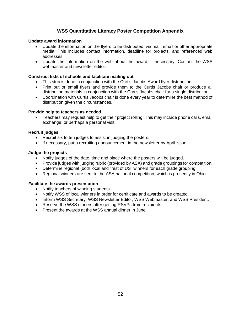# **WSS Quantitative Literacy Poster Competition Appendix**

#### **Update award information**

- Update the information on the flyers to be distributed, via mail, email or other appropriate media. This includes contact information, deadline for projects, and referenced web addresses.
- Update the information on the web about the award, if necessary. Contact the WSS webmaster and newsletter editor.

#### **Construct lists of schools and facilitate mailing out**

- This step is done in conjunction with the Curtis Jacobs Award flyer distribution.
- Print out or email flyers and provide them to the Curtis Jacobs chair or produce all distribution materials in conjunction with the Curtis Jacobs chair for a single distribution
- Coordination with Curtis Jacobs chair is done every year to determine the best method of distribution given the circumstances.

#### **Provide help to teachers as needed**

• Teachers may request help to get their project rolling. This may include phone calls, email exchange, or perhaps a personal visit.

#### **Recruit judges**

- Recruit six to ten judges to assist in judging the posters.
- If necessary, put a recruiting announcement in the newsletter by April issue.

#### **Judge the projects**

- Notify judges of the date, time and place where the posters will be judged.
- Provide judges with judging rubric (provided by ASA) and grade groupings for competition.
- Determine regional (both local and "rest of US" winners for each grade grouping.
- Regional winners are sent to the ASA national competition, which is presently in Ohio.

#### **Facilitate the awards presentation**

- Notify teachers of winning students.
- Notify WSS of local winners in order for certificate and awards to be created.
- Inform WSS Secretary, WSS Newsletter Editor, WSS Webmaster, and WSS President.
- Reserve the WSS dinners after getting RSVPs from recipients.
- Present the awards at the WSS annual dinner in June.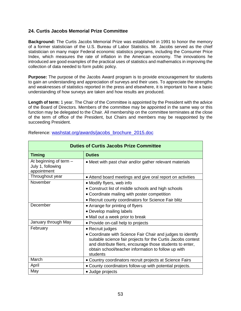# **24. Curtis Jacobs Memorial Prize Committee**

**Background:** The Curtis Jacobs Memorial Prize was established in 1991 to honor the memory of a former statistician of the U.S. Bureau of Labor Statistics. Mr. Jacobs served as the chief statistician on many major Federal economic statistics programs, including the Consumer Price Index, which measures the rate of inflation in the American economy. The innovations he introduced are good examples of the practical uses of statistics and mathematics in improving the collection of data needed to form public policy.

**Purpose:** The purpose of the Jacobs Award program is to provide encouragement for students to gain an understanding and appreciation of surveys and their uses. To appreciate the strengths and weaknesses of statistics reported in the press and elsewhere, it is important to have a basic understanding of how surveys are taken and how results are produced.

**Length of term:** 1 year. The Chair of the Committee is appointed by the President with the advice of the Board of Directors. Members of the committee may be appointed in the same way or this function may be delegated to the Chair. All membership on the committee terminates at the close of the term of office of the President, but Chairs and members may be reappointed by the succeeding President.

| <b>Duties of Curtis Jacobs Prize Committee</b>               |                                                                                                                                                                                                                                                             |
|--------------------------------------------------------------|-------------------------------------------------------------------------------------------------------------------------------------------------------------------------------------------------------------------------------------------------------------|
| <b>Timing</b>                                                | <b>Duties</b>                                                                                                                                                                                                                                               |
| At beginning of term $-$<br>July 1, following<br>appointment | • Meet with past chair and/or gather relevant materials                                                                                                                                                                                                     |
| Throughout year                                              | • Attend board meetings and give oral report on activities                                                                                                                                                                                                  |
| November                                                     | • Modify flyers, web info                                                                                                                                                                                                                                   |
|                                                              | • Construct list of middle schools and high schools                                                                                                                                                                                                         |
|                                                              | • Coordinate mailing with poster competition                                                                                                                                                                                                                |
|                                                              | • Recruit county coordinators for Science Fair blitz                                                                                                                                                                                                        |
| December                                                     | • Arrange for printing of flyers                                                                                                                                                                                                                            |
|                                                              | • Develop mailing labels                                                                                                                                                                                                                                    |
|                                                              | • Mail out a week prior to break                                                                                                                                                                                                                            |
| January through May                                          | • Provide on-call help to projects                                                                                                                                                                                                                          |
| February                                                     | • Recruit judges                                                                                                                                                                                                                                            |
|                                                              | • Coordinate with Science Fair Chair and judges to identify<br>suitable science fair projects for the Curtis Jacobs contest<br>and distribute fliers, encourage those students to enter,<br>obtain school/teacher information to follow up with<br>students |
| March                                                        | • Country coordinators recruit projects at Science Fairs                                                                                                                                                                                                    |
| April                                                        | • County coordinators follow-up with potential projects.                                                                                                                                                                                                    |
| May                                                          | · Judge projects                                                                                                                                                                                                                                            |

Reference: [washstat.org/awards/jacobs\\_brochure\\_2015.doc](http://washstat.org/awards/jacobs_brochure_2015.doc)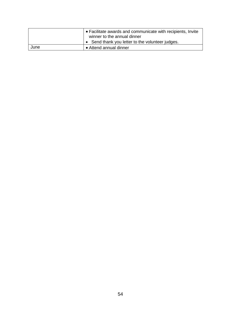|      | ∣ • Facilitate awards and communicate with recipients, Invite<br>winner to the annual dinner |
|------|----------------------------------------------------------------------------------------------|
|      | Send thank you letter to the volunteer judges.                                               |
| June | • Attend annual dinner                                                                       |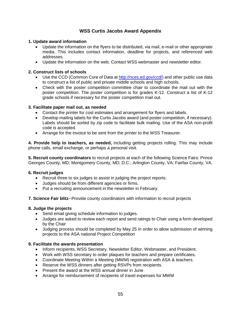# **WSS Curtis Jacobs Award Appendix**

#### **1. Update award information**

- Update the information on the flyers to be distributed, via mail, e-mail or other appropriate media. This includes contact information, deadline for projects, and referenced web addresses.
- Update the information on the web. Contact WSS webmaster and newsletter editor.

#### **2. Construct lists of schools**

- Use the CCD (Common Core of Data a[t http://nces.ed.gov/ccd/\)](http://nces.ed.gov/ccd/) and other public use data to construct a list of public and private middle schools and high schools.
- Check with the poster competition committee chair to coordinate the mail out with the poster competition. The poster competition is for grades K-12. Construct a list of K-12 grade schools if necessary for the poster competition mail out.

## **3. Facilitate paper mail out, as needed**

- Contact the printer for cost estimates and arrangement for flyers and labels.
- Develop mailing labels for the Curtis Jacobs award (and poster competition, if necessary). Labels should be sorted by zip code to facilitate bulk mailing. Use of the ASA non-profit code is accepted.
- Arrange for the invoice to be sent from the printer to the WSS Treasurer.

**4. Provide help to teachers, as needed,** including getting projects rolling. This may include phone calls, email exchange, or perhaps a personal visit.

**5. Recruit county coordinators** to recruit projects at each of the following Science Fairs: Prince Georges County, MD; Montgomery County, MD; D.C.; Arlington County, VA; Fairfax County, VA.

#### **6. Recruit judges**

- Recruit three to six judges to assist in judging the project reports.
- Judges should be from different agencies or firms.
- Put a recruiting announcement in the newsletter in February.
- **7. Science Fair blitz**--Provide county coordinators with information to recruit projects

#### **8. Judge the projects**

- Send email giving schedule information to judges.
- Judges are asked to review each report and send ratings to Chair using a form developed by the Chair
- Judging process should be completed by May 25 in order to allow submission of winning projects to the ASA national Project Competition

#### **9. Facilitate the awards presentation**

- Inform recipients, WSS Secretary, Newsletter Editor, Webmaster, and President.
- Work with WSS secretary to order plaques for teachers and prepare certificates.
- Coordinate Meeting Within a Meeting (MWM) registration with ASA & teachers.
- Reserve the WSS dinners after getting RSVPs from recipients.
- Present the award at the WSS annual dinner in June
- Arrange for reimbursement of recipients of travel expenses for MWM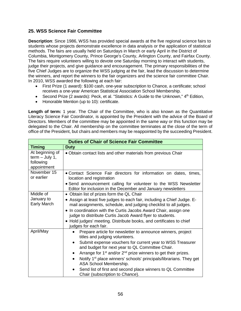# **25. WSS Science Fair Committee**

**Description**: Since 1986, WSS has provided special awards at the five regional science fairs to students whose projects demonstrate excellence in data analysis or the application of statistical methods. The fairs are usually held on Saturdays in March or early April in the District of Columbia, Montgomery County, Prince George's County, Arlington County, and Fairfax County. The fairs require volunteers willing to devote one Saturday morning to interact with students, judge their projects, and give guidance and encouragement. The primary responsibilities of the five Chief Judges are to organize the WSS judging at the fair, lead the discussion to determine the winners, and report the winners to the fair organizers and the science fair committee Chair. In 2010, WSS awarded the following at each fair:

- First Prize (1 award): \$100 cash, one-year subscription to Chance*,* a certificate; school receives a one-year American Statistical Association School Membership.
- Second Prize (2 awards): Peck, et al. "Statistics: A Guide to the Unknown,"  $4<sup>th</sup>$  Edition,
- Honorable Mention (up to 10): certificate.

Length of term: 1 year. The Chair of the Committee, who is also known as the Quantitative Literacy Science Fair Coordinator, is appointed by the President with the advice of the Board of Directors. Members of the committee may be appointed in the same way or this function may be delegated to the Chair. All membership on the committee terminates at the close of the term of office of the President, but chairs and members may be reappointed by the succeeding President.

| <b>Duties of Chair of Science Fair Committee</b>                |                                                                                                                                                                                                                                                                                                                                                                              |  |
|-----------------------------------------------------------------|------------------------------------------------------------------------------------------------------------------------------------------------------------------------------------------------------------------------------------------------------------------------------------------------------------------------------------------------------------------------------|--|
| <b>Timing</b>                                                   | <b>Duty</b>                                                                                                                                                                                                                                                                                                                                                                  |  |
| At beginning of<br>$term - July 1,$<br>following<br>appointment | . Obtain contact lists and other materials from previous Chair                                                                                                                                                                                                                                                                                                               |  |
| November 15<br>or earlier                                       | • Contact Science Fair directors for information on dates, times,<br>location and registration                                                                                                                                                                                                                                                                               |  |
|                                                                 | • Send announcement calling for volunteer to the WSS Newsletter<br>Editor for inclusion in the December and January newsletters                                                                                                                                                                                                                                              |  |
| Middle of                                                       | • Obtain list of prizes form the QL Chair                                                                                                                                                                                                                                                                                                                                    |  |
| January to<br><b>Early March</b>                                | • Assign at least five judges to each fair, including a Chief Judge. E-<br>mail assignments, schedule, and judging checklist to all judges.<br>. In coordination with the Curtis Jacobs Award Chair, assign one<br>judge to distribute Curtis Jacob Award flyer to students.<br>• Hold judges' meeting. Distribute books, and certificates to chief<br>judges for each fair. |  |
| April/May                                                       | Prepare article for newsletter to announce winners, project<br>titles and judging volunteers.<br>Submit expense vouchers for current year to WSS Treasurer<br>$\bullet$<br>and budget for next year to QL Committee Chair.                                                                                                                                                   |  |
|                                                                 | Arrange for 1 <sup>st</sup> and/or 2 <sup>nd</sup> prize winners to get their prizes.<br>$\bullet$<br>Notify 1 <sup>st</sup> place winners' schools' principals/librarians. They get<br>ASA School Membership.                                                                                                                                                               |  |
|                                                                 | Send list of first and second place winners to QL Committee<br>$\bullet$<br>Chair (subscription to Chance).                                                                                                                                                                                                                                                                  |  |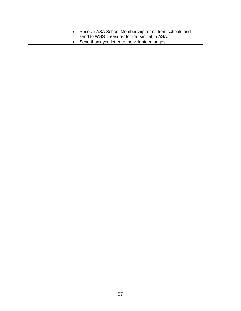|  | Receive ASA School Membership forms from schools and<br>send to WSS Treasurer for transmittal to ASA. |
|--|-------------------------------------------------------------------------------------------------------|
|  | • Send thank you letter to the volunteer judges.                                                      |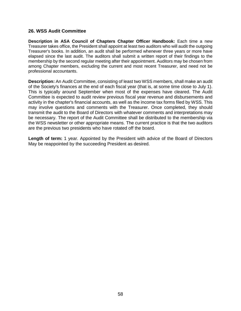# **26. WSS Audit Committee**

**Description in ASA Council of Chapters Chapter Officer Handbook:** Each time a new Treasurer takes office, the President shall appoint at least two auditors who will audit the outgoing Treasurer's books. In addition, an audit shall be performed whenever three years or more have elapsed since the last audit. The auditors shall submit a written report of their findings to the membership by the second regular meeting after their appointment. Auditors may be chosen from among Chapter members, excluding the current and most recent Treasurer, and need not be professional accountants.

**Description:** An Audit Committee, consisting of least two WSS members, shall make an audit of the Society's finances at the end of each fiscal year (that is, at some time close to July 1). This is typically around September when most of the expenses have cleared. The Audit Committee is expected to audit review previous fiscal year revenue and disbursements and activity in the chapter's financial accounts, as well as the income tax forms filed by WSS. This may involve questions and comments with the Treasurer. Once completed, they should transmit the audit to the Board of Directors with whatever comments and interpretations may be necessary. The report of the Audit Committee shall be distributed to the membership via the WSS newsletter or other appropriate means. The current practice is that the two auditors are the previous two presidents who have rotated off the board.

**Length of term:** 1 year. Appointed by the President with advice of the Board of Directors May be reappointed by the succeeding President as desired.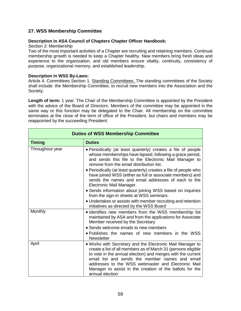# **27. WSS Membership Committee**

#### **Description in ASA Council of Chapters Chapter Officer Handbook:**

#### Section 2: Membership

Two of the most important activities of a Chapter are recruiting and retaining members. Continual membership growth is needed to keep a Chapter healthy. New members bring fresh ideas and experience to the organization, and old members ensure vitality, continuity, consistency of purpose, organizational memory, and established leadership.

#### **Description in WSS By-Laws:**

Article 4. Committees Section 1. Standing Committees. The standing committees of the Society shall include: the Membership Committee, to recruit new members into the Association and the Society;

**Length of term:** 1 year. The Chair of the Membership Committee is appointed by the President with the advice of the Board of Directors. Members of the committee may be appointed in the same way or this function may be delegated to the Chair. All membership on the committee terminates at the close of the term of office of the President, but chairs and members may be reappointed by the succeeding President.

| <b>Duties of WSS Membership Committee</b> |                                                                                                                                                                                                                                                                                                                                                                                                                                                                                                              |  |
|-------------------------------------------|--------------------------------------------------------------------------------------------------------------------------------------------------------------------------------------------------------------------------------------------------------------------------------------------------------------------------------------------------------------------------------------------------------------------------------------------------------------------------------------------------------------|--|
| <b>Timing</b>                             | <b>Duties</b>                                                                                                                                                                                                                                                                                                                                                                                                                                                                                                |  |
| Throughout year                           | • Periodically (at least quarterly) creates a file of people<br>whose memberships have lapsed, following a grace period,<br>and sends this file to the Electronic Mail Manager to<br>remove from the email distribution list.<br>• Periodically (at least quarterly) creates a file of people who<br>have joined WSS (either as full or associate members) and<br>sends the names and email addresses of each to the<br>Electronic Mail Manager.<br>· Sends information about joining WSS based on inquiries |  |
|                                           | from the sign-in sheets at WSS seminars.<br>• Undertakes or assists with member recruiting and retention<br>initiatives as directed by the WSS Board                                                                                                                                                                                                                                                                                                                                                         |  |
| Monthly                                   | • Identifies new members from the WSS membership list<br>maintained by ASA and from the applications for Associate<br>Member received by the Secretary<br>• Sends welcome emails to new members<br>• Publishes the names of new members in the WSS<br><b>Newsletter</b>                                                                                                                                                                                                                                      |  |
| April                                     | . Works with Secretary and the Electronic Mail Manager to<br>create a list of all members as of March 31 (persons eligible<br>to vote in the annual election) and merges with the current<br>email list and sends the member names and email<br>addresses to the WSS webmaster and Electronic Mail<br>Manager to assist in the creation of the ballots for the<br>annual election                                                                                                                            |  |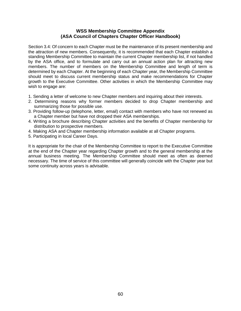### **WSS Membership Committee Appendix (ASA Council of Chapters Chapter Officer Handbook)**

Section 3.4: Of concern to each Chapter must be the maintenance of its present membership and the attraction of new members. Consequently, it is recommended that each Chapter establish a standing Membership Committee to maintain the current Chapter membership list, if not handled by the ASA office, and to formulate and carry out an annual action plan for attracting new members. The number of members on the Membership Committee and length of term is determined by each Chapter. At the beginning of each Chapter year, the Membership Committee should meet to discuss current membership status and make recommendations for Chapter growth to the Executive Committee. Other activities in which the Membership Committee may wish to engage are:

- 1. Sending a letter of welcome to new Chapter members and inquiring about their interests.
- 2. Determining reasons why former members decided to drop Chapter membership and summarizing those for possible use.
- 3. Providing follow-up (telephone, letter, email) contact with members who have not renewed as a Chapter member but have not dropped their ASA memberships.
- 4. Writing a brochure describing Chapter activities and the benefits of Chapter membership for distribution to prospective members.
- 4. Making ASA and Chapter membership information available at all Chapter programs.
- 5. Participating in local Career Days.

It is appropriate for the chair of the Membership Committee to report to the Executive Committee at the end of the Chapter year regarding Chapter growth and to the general membership at the annual business meeting. The Membership Committee should meet as often as deemed necessary. The time of service of this committee will generally coincide with the Chapter year but some continuity across years is advisable.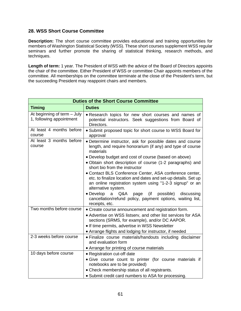# **28. WSS Short Course Committee**

**Description:** The short course committee provides educational and training opportunities for members of Washington Statistical Society (WSS). These short courses supplement WSS regular seminars and further promote the sharing of statistical thinking, research methods, and techniques.

**Length of term:** 1 year. The President of WSS with the advice of the Board of Directors appoints the chair of the committee. Either President of WSS or committee Chair appoints members of the committee. All memberships on the committee terminate at the close of the President's term, but the succeeding President may reappoint chairs and members.

| <b>Duties of the Short Course Committee</b>             |                                                                                                                                                                                                                                                                                    |  |
|---------------------------------------------------------|------------------------------------------------------------------------------------------------------------------------------------------------------------------------------------------------------------------------------------------------------------------------------------|--|
| <b>Timing</b>                                           | <b>Duties</b>                                                                                                                                                                                                                                                                      |  |
| At beginning of term - July<br>1, following appointment | . Research topics for new short courses and names of<br>potential instructors. Seek suggestions from Board of<br>Directors.                                                                                                                                                        |  |
| At least 4 months before<br>course                      | • Submit proposed topic for short course to WSS Board for<br>approval                                                                                                                                                                                                              |  |
| At least 3 months before<br>course                      | • Determine instructor, ask for possible dates and course<br>length, and require honorarium (if any) and type of course<br>materials                                                                                                                                               |  |
|                                                         | • Develop budget and cost of course (based on above)<br>. Obtain short description of course (1-2 paragraphs) and<br>short bio from the instructor                                                                                                                                 |  |
|                                                         | • Contact BLS Conference Center, ASA conference center,<br>etc. to finalize location and dates and set-up details. Set up<br>an online registration system using "1-2-3 signup" or an<br>alternative system.                                                                       |  |
|                                                         | • Develop<br>$\mathsf{a}$<br>Q&A<br>$($ if<br>possible)<br>page<br>discussing<br>cancellation/refund policy, payment options, waiting list,<br>receipts, etc.                                                                                                                      |  |
| Two months before course                                | • Create course announcement and registration form.<br>• Advertise on WSS listserv, and other list services for ASA<br>sections (SRMS, for example), and/or DC AAPOR.<br>• If time permits, advertise in WSS Newsletter<br>• Arrange flights and lodging for instructor, if needed |  |
| 2-3 weeks before course                                 | • Finalize course materials/handouts including disclaimer<br>and evaluation form                                                                                                                                                                                                   |  |
| 10 days before course                                   | • Arrange for printing of course materials<br>• Registration cut-off date                                                                                                                                                                                                          |  |
|                                                         | · Give course count to printer (for course materials if<br>notebooks are to be provided)                                                                                                                                                                                           |  |
|                                                         |                                                                                                                                                                                                                                                                                    |  |
|                                                         | • Check membership status of all registrants.<br>• Submit credit card numbers to ASA for processing.                                                                                                                                                                               |  |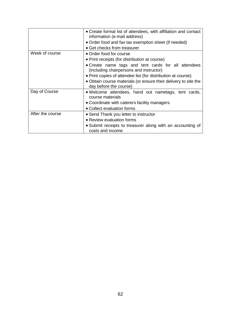|                  | • Create formal list of attendees, with affiliation and contact<br>information (e-mail address) |
|------------------|-------------------------------------------------------------------------------------------------|
|                  | • Order food and fax tax exemption sheet (if needed)                                            |
|                  | • Get checks from treasurer                                                                     |
| Week of course   | • Order food for course                                                                         |
|                  | • Print receipts (for distribution at course)                                                   |
|                  | • Create name tags and tent cards for all attendees<br>(including chairpersons and instructor)  |
|                  | • Print copies of attendee list (for distribution at course).                                   |
|                  | • Obtain course materials (or ensure their delivery to site the<br>day before the course)       |
| Day of Course    | . Welcome attendees, hand out nametags, tent cards,<br>course materials                         |
|                  | • Coordinate with caterers facility managers                                                    |
|                  | • Collect evaluation forms                                                                      |
| After the course | • Send Thank you letter to instructor                                                           |
|                  | • Review evaluation forms                                                                       |
|                  | • Submit receipts to treasurer along with an accounting of<br>costs and income                  |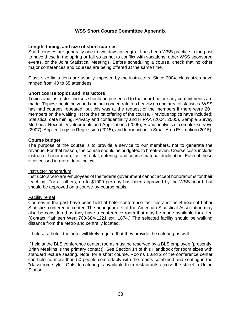# **WSS Short Course Committee Appendix**

## **Length, timing, and size of short courses**

Short courses are generally one to two days in length. It has been WSS practice in the past to have these in the spring or fall so as not to conflict with vacations, other WSS sponsored events, or the Joint Statistical Meetings. Before scheduling a course, check that no other major conferences and courses are being offered at the same time.

Class size limitations are usually imposed by the instructors. Since 2004, class sizes have ranged from 40 to 65 attendees.

#### **Short course topics and instructors**

Topics and instructor choices should be presented to the board before any commitments are made. Topics should be varied and not concentrate too heavily on one area of statistics. WSS has had courses repeated, but this was at the request of the members if there were 20+ members on the waiting list for the first offering of the course. Previous topics have included: Statistical data mining, Privacy and confidentiality and HIPAA (2004, 2005), Sample Survey Methods: Recent Developments and Applications (2005), R and analysis of complex surveys (2007), Applied Logistic Regression (2015), and Introduction to Small Area Estimation (2015).

## **Course budget**

The purpose of the course is to provide a service to our members, not to generate the revenue. For that reason, the course should be budgeted to break-even. Course costs include instructor honorarium, facility rental, catering, and course material duplication. Each of these is discussed in more detail below.

#### Instructor honorarium

Instructors who are employees of the federal government cannot accept honorariums for their teaching. For all others, up to \$1000 per day has been approved by the WSS board, but should be approved on a course-by-course basis.

#### Facility rental

Courses in the past have been held at hotel conference facilities and the Bureau of Labor Statistics conference center. The headquarters of the American Statistical Association may also be considered as they have a conference room that may be made available for a fee (Contact Kathleen Wert 703-684-1221 ext. 1874.) The selected facility should be walking distance from the Metro and centrally located.

If held at a hotel, the hotel will likely require that they provide the catering as well.

If held at the BLS conference center, rooms must be reserved by a BLS employee (presently, Brian Meekins is the primary contact). See Section 14 of this Handbook for room sizes with standard lecture seating. Note: for a short course, Rooms 1 and 2 of the conference center can hold no more than 50 people comfortably with the rooms combined and seating in the "classroom style." Outside catering is available from restaurants across the street in Union Station.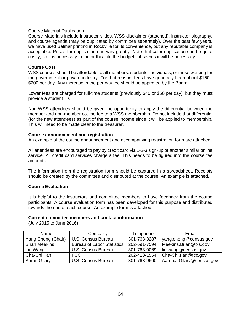## Course Material Duplication

Course Materials include instructor slides, WSS disclaimer (attached), instructor biography, and course agenda (may be duplicated by committee separately). Over the past few years, we have used Balmar printing in Rockville for its convenience, but any reputable company is acceptable. Prices for duplication can vary greatly. Note that color duplication can be quite costly, so it is necessary to factor this into the budget if it seems it will be necessary.

### **Course Cost**

WSS courses should be affordable to all members: students, individuals, or those working for the government or private industry. For that reason, fees have generally been about \$150 - \$200 per day. Any increase in the per day fee should be approved by the Board.

Lower fees are charged for full-time students (previously \$40 or \$50 per day), but they must provide a student ID.

Non-WSS attendees should be given the opportunity to apply the differential between the member and non-member course fee to a WSS membership. Do not include that differential (for the new attendees) as part of the course income since it will be applied to membership. This will need to be made clear to the treasurer.

## **Course announcement and registration**

An example of the course announcement and accompanying registration form are attached.

All attendees are encouraged to pay by credit card via 1-2-3 sign-up or another similar online service. All credit card services charge a fee. This needs to be figured into the course fee amounts.

The information from the registration form should be captured in a spreadsheet. Receipts should be created by the committee and distributed at the course. An example is attached.

# **Course Evaluation**

It is helpful to the instructors and committee members to have feedback from the course participants. A course evaluation form has been developed for this purpose and distributed towards the end of each course. An example form is attached.

#### **Current committee members and contact information:**

(July 2015 to June 2016)

| Name                 | Company                           | Telephone    | Email                     |
|----------------------|-----------------------------------|--------------|---------------------------|
| Yang Cheng (Chair)   | U.S. Census Bureau                | 301-763-3287 | yang.cheng@census.gov     |
| <b>Brian Meekins</b> | <b>Bureau of Labor Statistics</b> | 202-691-7594 | Meekins.Brian@bls.gov     |
| Lin Wang             | U.S. Census Bureau                | 301-763-9069 | lin.wang@census.gov       |
| Cha-Chi Fan          | <b>FCC</b>                        | 202-418-1554 | Cha-Chi.Fan@fcc.gov       |
| <b>Aaron Gilary</b>  | U.S. Census Bureau                | 301-763-9660 | Aaron.J.Gilary@census.gov |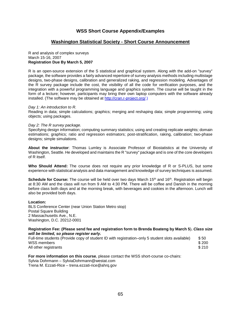## **WSS Short Course Appendix/Examples**

#### **Washington Statistical Society - Short Course Announcement**

#### R and analysis of complex surveys March 15-16, 2007 **Registration Due By March 5, 2007**

R is an open-source extension of the S statistical and graphical system. Along with the add-on "survey" package, the software provides a fairly advanced repertoire of survey analysis methods including multistage designs, two-phase designs, calibration and generalized raking, and regression modeling. Advantages of the R survey package include the cost, the visibility of all the code for verification purposes, and the integration with a powerful programming language and graphics system. The course will be taught in the form of a lecture; however, participants may bring their own laptop computers with the software already installed. (The software may be obtained at [http://cran.r-project.org/.](http://cran.r-project.org/))

#### *Day 1: An introduction to R.*

Reading in data; simple calculations; graphics; merging and reshaping data; simple programming; using objects; using packages.

#### *Day 2: The R survey package.*

Specifying design information; computing summary statistics; using and creating replicate weights; domain estimations; graphics; ratio and regression estimators; post-stratification, raking, calibration; two-phase designs; simple simulations.

**About the instructor**: Thomas Lumley is Associate Professor of Biostatistics at the University of Washington, Seattle. He developed and maintains the R "survey" package and is one of the core developers of R itself.

**Who Should Attend:** The course does not require any prior knowledge of R or S-PLUS, but some experience with statistical analysis and data management and knowledge of survey techniques is assumed.

**Schedule for Course:** The course will be held over two days March 15<sup>th</sup> and 16<sup>th</sup>. Registration will begin at 8:30 AM and the class will run from 9 AM to 4:30 PM. There will be coffee and Danish in the morning before class both days and at the morning break, with beverages and cookies in the afternoon. Lunch will also be provided both days.

#### **Location:**

BLS Conference Center (near Union Station Metro stop) Postal Square Building 2 Massachusetts Ave., N.E. Washington, D.C. 20212-0001

#### **Registration Fee: (Please send fee and registration form to Brenda Boateng by March 5**)**.** *Class size will be limited, so please register early.*

| Full-time students (Provide copy of student ID with registration–only 5 student slots available) | \$50  |
|--------------------------------------------------------------------------------------------------|-------|
| WSS members                                                                                      | \$200 |
| All other registrants                                                                            | \$210 |

**For more information on this course**, please contact the WSS short-course co-chairs: Sylvia Dohrmann – SylviaDohrmann@westat.com Trena M. Ezzati-Rice – trena.ezzati-rice@ahrq.gov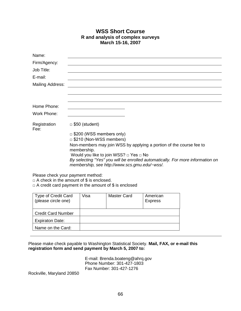# **WSS Short Course R and analysis of complex surveys March 15-16, 2007**

| Name:                   |                                                                                                                                 |
|-------------------------|---------------------------------------------------------------------------------------------------------------------------------|
| Firm/Agency:            |                                                                                                                                 |
| Job Title:              |                                                                                                                                 |
| E-mail:                 |                                                                                                                                 |
| <b>Mailing Address:</b> |                                                                                                                                 |
|                         |                                                                                                                                 |
|                         |                                                                                                                                 |
| Home Phone:             |                                                                                                                                 |
| Work Phone:             |                                                                                                                                 |
| Registration<br>Fee:    | $\Box$ \$50 (student)                                                                                                           |
|                         | $\Box$ \$200 (WSS members only)                                                                                                 |
|                         | $\Box$ \$210 (Non-WSS members)                                                                                                  |
|                         | Non-members may join WSS by applying a portion of the course fee to<br>membership.                                              |
|                         | Would you like to join WSS? $\Box$ Yes $\Box$ No                                                                                |
|                         | By selecting "Yes" you will be enrolled automatically. For more information on<br>membership, see http://www.scs.gmu.edu/~wss/. |
|                         | the contract of the contract of the contract of the contract of the contract of the contract of the contract of                 |

Please check your payment method:

 $\Box$  A check in the amount of \$ is enclosed.

 $\Box$  A credit card payment in the amount of \$ is enclosed

| <b>Type of Credit Card</b><br>(please circle one) | Visa | Master Card | American<br><b>Express</b> |
|---------------------------------------------------|------|-------------|----------------------------|
| <b>Credit Card Number</b>                         |      |             |                            |
| <b>Expiraton Date:</b>                            |      |             |                            |
| Name on the Card:                                 |      |             |                            |

Please make check payable to Washington Statistical Society. **Mail, FAX, or e-mail this registration form and send payment by March 5, 2007 to:**

> E-mail: Brenda.boateng@ahrq.gov Phone Number: 301-427-1803 Fax Number: 301-427-1276

Rockville, Maryland 20850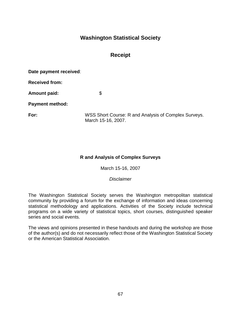# **Washington Statistical Society**

# **Receipt**

**Date payment received**:

**Received from:**

Amount paid: \$

**Payment method:**

**For:** WSS Short Course: R and Analysis of Complex Surveys. March 15-16, 2007.

# **R and Analysis of Complex Surveys**

March 15-16, 2007

*Disclaimer*

The Washington Statistical Society serves the Washington metropolitan statistical community by providing a forum for the exchange of information and ideas concerning statistical methodology and applications. Activities of the Society include technical programs on a wide variety of statistical topics, short courses, distinguished speaker series and social events.

The views and opinions presented in these handouts and during the workshop are those of the author(s) and do not necessarily reflect those of the Washington Statistical Society or the American Statistical Association.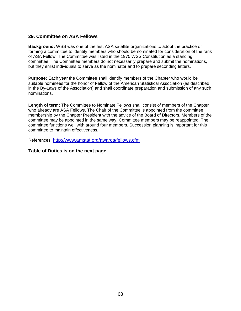# **29. Committee on ASA Fellows**

**Background:** WSS was one of the first ASA satellite organizations to adopt the practice of forming a committee to identify members who should be nominated for consideration of the rank of ASA Fellow. The Committee was listed in the 1975 WSS Constitution as a standing committee. The Committee members do not necessarily prepare and submit the nominations, but they enlist individuals to serve as the nominator and to prepare seconding letters.

**Purpose:** Each year the Committee shall identify members of the Chapter who would be suitable nominees for the honor of Fellow of the American Statistical Association (as described in the By-Laws of the Association) and shall coordinate preparation and submission of any such nominations.

**Length of term:** The Committee to Nominate Fellows shall consist of members of the Chapter who already are ASA Fellows. The Chair of the Committee is appointed from the committee membership by the Chapter President with the advice of the Board of Directors. Members of the committee may be appointed in the same way. Committee members may be reappointed. The committee functions well with around four members. Succession planning is important for this committee to maintain effectiveness.

References:<http://www.amstat.org/awards/fellows.cfm>

#### **Table of Duties is on the next page.**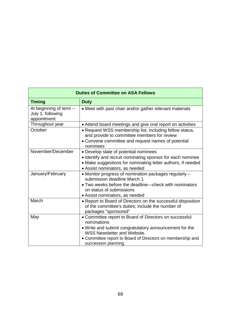| <b>Duties of Committee on ASA Fellows</b>                    |                                                                                                                                                                                                                                                             |  |
|--------------------------------------------------------------|-------------------------------------------------------------------------------------------------------------------------------------------------------------------------------------------------------------------------------------------------------------|--|
| <b>Timing</b>                                                | <b>Duty</b>                                                                                                                                                                                                                                                 |  |
| At beginning of term $-$<br>July 1, following<br>appointment | • Meet with past chair and/or gather relevant materials                                                                                                                                                                                                     |  |
| Throughout year                                              | • Attend board meetings and give oral report on activities                                                                                                                                                                                                  |  |
| October                                                      | • Request WSS membership list, including fellow status,<br>and provide to committee members for review<br>• Convene committee and request names of potential<br>nominees                                                                                    |  |
| November/December                                            | • Develop slate of potential nominees<br>· Identify and recruit nominating sponsor for each nominee<br>• Make suggestions for nominating letter authors, if needed<br>• Assist nominators, as needed                                                        |  |
| January/February                                             | • Monitor progress of nomination packages regularly -<br>submission deadline March 1<br>• Two weeks before the deadline—check with nominators<br>on status of submissions<br>• Assist nominators, as needed                                                 |  |
| March                                                        | • Report to Board of Directors on the successful disposition<br>of the committee's duties; include the number of<br>packages "sponsored"                                                                                                                    |  |
| May                                                          | • Committee report to Board of Directors on successful<br>nominations<br>• Write and submit congratulatory announcement for the<br><b>WSS Newsletter and Website.</b><br>• Committee report to Board of Directors on membership and<br>succession planning. |  |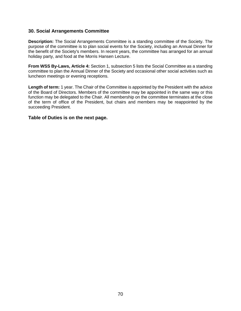#### **30. Social Arrangements Committee**

**Description:** The Social Arrangements Committee is a standing committee of the Society. The purpose of the committee is to plan social events for the Society, including an Annual Dinner for the benefit of the Society's members. In recent years, the committee has arranged for an annual holiday party, and food at the Morris Hansen Lecture.

**From WSS By-Laws, Article 4:** Section 1, subsection 5 lists the Social Committee as a standing committee to plan the Annual Dinner of the Society and occasional other social activities such as luncheon meetings or evening receptions.

Length of term: 1 year. The Chair of the Committee is appointed by the President with the advice of the Board of Directors. Members of the committee may be appointed in the same way or this function may be delegated to the Chair. All membership on the committee terminates at the close of the term of office of the President, but chairs and members may be reappointed by the succeeding President.

#### **Table of Duties is on the next page.**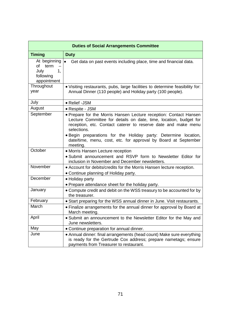| <b>Duties of Social Arrangements Committee</b>                       |                                                                                                                                                                                                                        |  |
|----------------------------------------------------------------------|------------------------------------------------------------------------------------------------------------------------------------------------------------------------------------------------------------------------|--|
| <b>Timing</b>                                                        | <b>Duty</b>                                                                                                                                                                                                            |  |
| At beginning<br>of<br>term<br>July<br>1,<br>following<br>appointment | $\bullet$<br>Get data on past events including place, time and financial data.                                                                                                                                         |  |
| Throughout<br>year                                                   | . Visiting restaurants, pubs, large facilities to determine feasibility for:<br>Annual Dinner (110 people) and Holiday party (100 people).                                                                             |  |
| July                                                                 | • Relief -JSM                                                                                                                                                                                                          |  |
| August                                                               | • Respite - JSM                                                                                                                                                                                                        |  |
| September                                                            | • Prepare for the Morris Hansen Lecture reception: Contact Hansen<br>Lecture Committee for details on date, time, location, budget for<br>reception, etc. Contact caterer to reserve date and make menu<br>selections. |  |
|                                                                      | . Begin preparations for the Holiday party: Determine location,<br>date/time, menu, cost, etc. for approval by Board at September<br>meeting.                                                                          |  |
| October                                                              | • Morris Hansen Lecture reception<br>• Submit announcement and RSVP form to Newsletter Editor for<br>inclusion in November and December newsletters.                                                                   |  |
| November                                                             | • Account for debits/credits for the Morris Hansen lecture reception.<br>• Continue planning of Holiday party.                                                                                                         |  |
| December                                                             | • Holiday party<br>• Prepare attendance sheet for the holiday party.                                                                                                                                                   |  |
| January                                                              | • Compute credit and debit on the WSS treasury to be accounted for by<br>the treasurer.                                                                                                                                |  |
| February                                                             | • Start preparing for the WSS annual dinner in June. Visit restaurants.                                                                                                                                                |  |
| March                                                                | • Finalize arrangements for the annual dinner for approval by Board at<br>March meeting.                                                                                                                               |  |
| April                                                                | . Submit an announcement to the Newsletter Editor for the May and<br>June newsletters.                                                                                                                                 |  |
| May                                                                  | • Continue preparation for annual dinner.                                                                                                                                                                              |  |
| June                                                                 | • Annual dinner: final arrangements (head count) Make sure everything<br>is ready for the Gertrude Cox address; prepare nametags; ensure<br>payments from Treasurer to restaurant.                                     |  |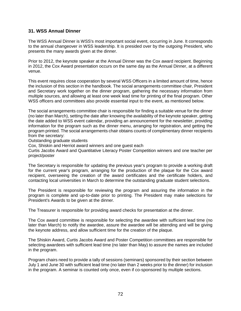# **31. WSS Annual Dinner**

The WSS Annual Dinner is WSS's most important social event, occurring in June. It corresponds to the annual changeover in WSS leadership. It is presided over by the outgoing President, who presents the many awards given at the dinner.

Prior to 2012, the keynote speaker at the Annual Dinner was the Cox award recipient. Beginning in 2012, the Cox Award presentation occurs on the same day as the Annual Dinner, at a different venue.

This event requires close cooperation by several WSS Officers in a limited amount of time, hence the inclusion of this section in the handbook. The social arrangements committee chair, President and Secretary work together on the dinner program, gathering the necessary information from multiple sources, and allowing at least one week lead time for printing of the final program. Other WSS officers and committees also provide essential input to the event, as mentioned below.

The social arrangements committee chair is responsible for finding a suitable venue for the dinner (no later than March), setting the date after knowing the availability of the keynote speaker, getting the date added to WSS event calendar, providing an announcement for the newsletter, providing information for the program such as the dinner menu, arranging for registration, and getting the program printed. The social arrangements chair obtains counts of complimentary dinner recipients from the secretary:

Outstanding graduate students

Cox, Shiskin and Herriot award winners and one guest each

Curtis Jacobs Award and Quantitative Literacy Poster Competition winners and one teacher per project/poster

The Secretary is responsible for updating the previous year's program to provide a working draft for the current year's program, arranging for the production of the plaque for the Cox award recipient, overseeing the creation of the award certificates and the certificate holders, and contacting local universities in March to determine the outstanding graduate student selections.

The President is responsible for reviewing the program and assuring the information in the program is complete and up-to-date prior to printing. The President may make selections for President's Awards to be given at the dinner.

The Treasurer is responsible for providing award checks for presentation at the dinner.

The Cox award committee is responsible for selecting the awardee with sufficient lead time (no later than March) to notify the awardee, assure the awardee will be attending and will be giving the keynote address, and allow sufficient time for the creation of the plaque.

The Shiskin Award, Curtis Jacobs Award and Poster Competition committees are responsible for selecting awardees with sufficient lead time (no later than May) to assure the names are included in the program.

Program chairs need to provide a tally of sessions (seminars) sponsored by their section between July 1 and June 30 with sufficient lead time (no later than 2 weeks prior to the dinner) for inclusion in the program. A seminar is counted only once, even if co-sponsored by multiple sections.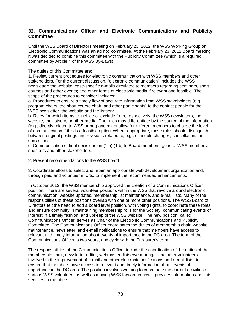# **32. Communications Officer and Electronic Communications and Publicity Committee**

Until the WSS Board of Directors meeting on February 23, 2012, the WSS Working Group on Electronic Communications was an ad hoc committee. At the February 23, 2012 Board meeting it was decided to combine this committee with the Publicity Committee (which is a required committee by Article 4 of the WSS By-Laws).

The duties of this Committee are:

1. Review current procedures for electronic communication with WSS members and other stakeholders. For the current discussion, "electronic communication" includes the WSS newsletter; the website; case-specific e-mails circulated to members regarding seminars, short courses and other events; and other forms of electronic media if relevant and feasible. The scope of the procedures to consider includes:

a. Procedures to ensure a timely flow of accurate information from WSS stakeholders (e.g., program chairs, the short course chair, and other participants) to the contact people for the WSS newsletter, the website and the listserv.

b. Rules for which items to include or exclude from, respectively, the WSS newsletters, the website, the listserv, or other media. The rules may differentiate by the source of the information (e.g., directly related to WSS or not) and might allow for different members to choose the level of communication if this is a feasible option. Where appropriate, these rules should distinguish between original postings and revisions related to, e.g., schedule changes, cancellations or corrections.

c. Communication of final decisions on (1.a)-(1.b) to Board members, general WSS members, speakers and other stakeholders.

2. Present recommendations to the WSS board

3. Coordinate efforts to select and retain an appropriate web development organization and, through paid and volunteer efforts, to implement the recommended enhancements.

In October 2012, the WSS membership approved the creation of a Communications Officer position. There are several volunteer positions within the WSS that revolve around electronic communication, website updates, membership list maintenance, and e-mail lists. Many of the responsibilities of these positions overlap with one or more other positions. The WSS Board of Directors felt the need to add a board level position, with voting rights, to coordinate these roles and ensure continuity in maintaining membership rolls for the Society, communicating events of interest in a timely fashion, and upkeep of the WSS website. The new position, called Communications Officer, serves as Chair of the Electronic Communications and Publicity Committee. The Communications Officer coordinates the duties of membership chair, website maintenance, newsletter, and e-mail notifications to ensure that members have access to relevant and timely information about events of importance in the DC area. The term of the Communications Officer is two years, and cycle with the Treasurer's term.

The responsibilities of the Communications Officer include the coordination of the duties of the membership chair, newsletter editor, webmaster, listserve manager and other volunteers involved in the improvement of e-mail and other electronic notifications and e-mail lists, to ensure that members have access to relevant and timely information about events of importance in the DC area. The position involves working to coordinate the current activities of various WSS volunteers as well as moving WSS forward in how it provides information about its services to members.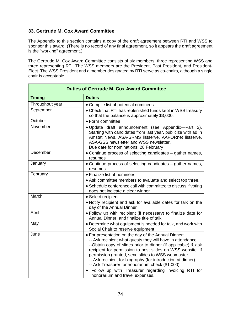# **33. Gertrude M. Cox Award Committee**

The Appendix to this section contains a copy of the draft agreement between RTI and WSS to sponsor this award. (There is no record of any final agreement, so it appears the draft agreement is the "working" agreement.)

The Gertrude M. Cox Award Committee consists of six members, three representing WSS and three representing RTI. The WSS members are the President, Past President, and President-Elect. The WSS President and a member designated by RTI serve as co-chairs, although a single chair is acceptable

| <b>Duties of Gertrude M. Cox Award Committee</b> |                                                                                                                                                                                                                                                                                                                                                                                                                                                                                                                   |
|--------------------------------------------------|-------------------------------------------------------------------------------------------------------------------------------------------------------------------------------------------------------------------------------------------------------------------------------------------------------------------------------------------------------------------------------------------------------------------------------------------------------------------------------------------------------------------|
| <b>Timing</b>                                    | <b>Duties</b>                                                                                                                                                                                                                                                                                                                                                                                                                                                                                                     |
| Throughout year                                  | • Compile list of potential nominees                                                                                                                                                                                                                                                                                                                                                                                                                                                                              |
| September                                        | • Check that RTI has replenished funds kept in WSS treasury<br>so that the balance is approximately \$3,000.                                                                                                                                                                                                                                                                                                                                                                                                      |
| October                                          | • Form committee                                                                                                                                                                                                                                                                                                                                                                                                                                                                                                  |
| November                                         | · Update draft announcement (see Appendix-Part 2).<br>Starting with candidates from last year, publicize with ad in<br>Amstat News, ASA-SRMS listserve, AAPORnet listserve,<br>ASA-GSS newsletter and WSS newsletter.<br>Due date for nominations: 28 February                                                                                                                                                                                                                                                    |
| December                                         | • Continue process of selecting candidates – gather names,<br>resumes                                                                                                                                                                                                                                                                                                                                                                                                                                             |
| January                                          | • Continue process of selecting candidates – gather names,<br>resumes                                                                                                                                                                                                                                                                                                                                                                                                                                             |
| February                                         | • Finalize list of nominees                                                                                                                                                                                                                                                                                                                                                                                                                                                                                       |
|                                                  | • Ask committee members to evaluate and select top three.<br>• Schedule conference call with committee to discuss if voting<br>does not indicate a clear winner                                                                                                                                                                                                                                                                                                                                                   |
| March                                            | • Select recipient                                                                                                                                                                                                                                                                                                                                                                                                                                                                                                |
|                                                  | • Notify recipient and ask for available dates for talk on the<br>day of the Annual Dinner                                                                                                                                                                                                                                                                                                                                                                                                                        |
| April                                            | . Follow up with recipient (if necessary) to finalize date for<br>Annual Dinner, and finalize title of talk                                                                                                                                                                                                                                                                                                                                                                                                       |
| May                                              | • Determine what equipment is needed for talk, and work with<br>Social Chair to reserve equipment                                                                                                                                                                                                                                                                                                                                                                                                                 |
| June                                             | . For presentation on the day of the Annual Dinner:<br>-- Ask recipient what guests they will have in attendance<br>--Obtain copy of slides prior to dinner (if applicable) & ask<br>recipient for permission to post slides on WSS website. If<br>permission granted, send slides to WSS webmaster.<br>-- Ask recipient for biography (for introduction at dinner)<br>-- Ask Treasurer for honorarium check (\$1,000)<br>Follow up with Treasurer regarding invoicing RTI for<br>honorarium and travel expenses. |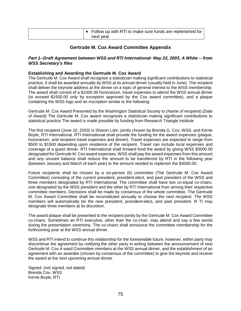| $\bullet$ Follow up with RTI to make sure funds are replenished for |
|---------------------------------------------------------------------|
| next year                                                           |

# **Gertrude M. Cox Award Committee Appendix**

#### *Part 1--Draft Agreement between WSS and RTI International- May 22, 2003, A White -- from WSS Secretary's files*

#### **Establishing and Awarding the Gertrude M. Cox Award**

The Gertrude M. Cox Award shall recognize a statistician making significant contributions to statistical practice. It shall be awarded annually by WSS at its annual dinner (usually held in June). The recipient shall deliver the keynote address at the dinner on a topic of general interest to the WSS membership. The award shall consist of a \$1000.00 honorarium, travel expenses to attend the WSS annual dinner (to exceed \$1500.00 only by exception approved by the Cox award committee), and a plaque containing the WSS logo and an inscription similar to the following:

Gertrude M. Cox Award Presented by the Washington Statistical Society to *(Name of recipient) (Date of Award)* The Gertrude M. Cox award recognizes a statistician making significant contributions to statistical practice The award is made possible by funding from Research Triangle Institute

The first recipient (June 10, 2003) is Sharon Lohr, jointly chosen by Brenda G. Cox, WSS, and Kerrie Boyle, RTI International. RTI International shall provide the funding for the award expenses (plaque, honorarium, and recipient travel expenses and dinner). Travel expenses are expected to range from \$500 to \$1500 depending upon residence of the recipient. Travel can include local expenses and coverage of a guest dinner. RTI International shall forward fund the award by giving WSS \$3000.00 designated for Gertrude M. Cox award expenses. WSS shall pay the award expenses from this amount and any unused balance shall reduce the amount to be transferred by RTI in the following year (between January and March of each year) to the amount needed to replenish the \$3000.00.

Future recipients shall be chosen by a six-person (6) committee (The Gertrude M. Cox Award Committee) consisting of the current president, president-elect, and past president of the WSS and three members designated by RTI International. The committee shall have two co-equal co-chairs, one designated by the WSS president and the other by RTI International from among their respective committee members. Decisions shall be made by consensus of the whole committee. The Gertrude M. Cox Award Committee shall be reconstituted annually to choose the next recipient. The WSS members will automatically be the new president, president-elect, and past president. R TI may designate three members at its discretion.

The award plaque shall be presented to the recipient jointly by the Gertrude M. Cox Award Committee co-chairs. Sometimes an RTI executive, other than the co-chair, may attend and say a few words during the presentation ceremony. The co-chairs shall announce the committee membership for the forthcoming year at the WSS annual dinner.

WSS and RTI intend to continue this relationship for the foreseeable future, however, either party may discontinue the agreement by notifying the other party in writing between the announcement of new Gertrude M. Cox A ward Committee members at the WSS annual dinner, and the establishment of an agreement with an awardee (chosen by consensus of the committee) to give the keynote and receive the award at the next upcoming annual dinner.

Signed: (not signed, not dated) Brenda Cox, WSS Kerrie Boyle, RTI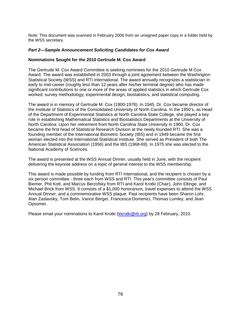Note: This document was scanned in February 2006 from an unsigned paper copy in a folder held by the WSS secretary.

#### *Part 2—Sample Announcement Soliciting Candidates for Cox Award*

#### **Nominations Sought for the 2010 Gertrude M. Cox Award**

The Gertrude M. Cox Award Committee is seeking nominees for the 2010 Gertrude M Cox Award. The award was established in 2003 through a joint agreement between the Washington Statistical Society (WSS) and RTI International. The award annually recognizes a statistician in early to mid-career (roughly less than 12 years after his/her terminal degree) who has made significant contributions to one or more of the areas of applied statistics in which Gertrude Cox worked: survey methodology, experimental design, biostatistics, and statistical computing.

The award is in memory of Gertrude M. Cox (1900-1978). In 1945, Dr. Cox became director of the Institute of Statistics of the Consolidated University of North Carolina. In the 1950's, as Head of the Department of Experimental Statistics at North Carolina State College, she played a key role in establishing Mathematical Statistics and Biostatistics Departments at the University of North Carolina. Upon her retirement from North Carolina State University in 1960, Dr. Cox became the first head of Statistical Research Division at the newly founded RTI. She was a founding member of the International Biometric Society (IBS) and in 1949 became the first woman elected into the International Statistical Institute. She served as President of both The American Statistical Association (1956) and the IBS (1968-69). In 1975 she was elected to the National Academy of Sciences.

The award is presented at the WSS Annual Dinner, usually held in June, with the recipient delivering the keynote address on a topic of general interest to the WSS membership.

This award is made possible by funding from RTI International, and the recipient is chosen by a six person committee - three each from WSS and RTI. This year's committee consists of Paul Biemer, Phil Kott, and Marcus Berzofsky from RTI and Karol Krotki (Chair), John Eltinge, and Michael Brick from WSS. It consists of a \$1,000 honorarium, travel expenses to attend the WSS Annual Dinner, and a commemorative WSS plaque. Past recipients have been Sharon Lohr, Alan Zaslavsky, Tom Belin, Vance Berger, Francesca Domenici, Thomas Lumley, and Jean Opsomer.

Please email your nominations to Karol Krotki [\(kkrotki@rti.org\)](mailto:kkrotki@rti.org) by 28 February, 2010.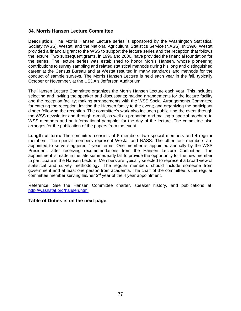### **34. Morris Hansen Lecture Committee**

**Description:** The Morris Hansen Lecture series is sponsored by the Washington Statistical Society (WSS), Westat, and the National Agricultural Statistics Service (NASS). In 1990, Westat provided a financial grant to the WSS to support the lecture series and the reception that follows the lecture. Two subsequent grants, in 1996 and 2006, have provided the financial foundation for the series. The lecture series was established to honor Morris Hansen, whose pioneering contributions to survey sampling and related statistical methods during his long and distinguished career at the Census Bureau and at Westat resulted in many standards and methods for the conduct of sample surveys. The Morris Hansen Lecture is held each year in the fall, typically October or November, at the USDA's Jefferson Auditorium.

The Hansen Lecture Committee organizes the Morris Hansen Lecture each year. This includes selecting and inviting the speaker and discussants; making arrangements for the lecture facility and the reception facility; making arrangements with the WSS Social Arrangements Committee for catering the reception; inviting the Hansen family to the event; and organizing the participant dinner following the reception. The committee's work also includes publicizing the event through the WSS newsletter and through e-mail, as well as preparing and mailing a special brochure to WSS members and an informational pamphlet for the day of the lecture. The committee also arranges for the publication of the papers from the event.

**Length of term:** The committee consists of 6 members: two special members and 4 regular members. The special members represent Westat and NASS. The other four members are appointed to serve staggered 4-year terms. One member is appointed annually by the WSS President, after receiving recommendations from the Hansen Lecture Committee. The appointment is made in the late summer/early fall to provide the opportunity for the new member to participate in the Hansen Lecture. Members are typically selected to represent a broad view of statistical and survey methodology. The regular members should include someone from government and at least one person from academia. The chair of the committee is the regular committee member serving his/her 3<sup>rd</sup> year of the 4 year appointment.

Reference: See the Hansen Committee charter, speaker history, and publications at: [http://washstat.org/hansen.html.](http://washstat.org/hansen.html)

### **Table of Duties is on the next page.**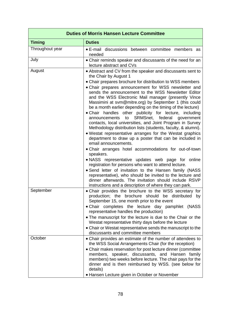| <b>Duties of Morris Hansen Lecture Committee</b> |                                                                                                                                                                                                                                                                                                                                                                                                                                                                                                                                                                                                                                                                                                                                                                                                                                                                                                                                                                                                                                                                                                                                                                                                                                                                             |
|--------------------------------------------------|-----------------------------------------------------------------------------------------------------------------------------------------------------------------------------------------------------------------------------------------------------------------------------------------------------------------------------------------------------------------------------------------------------------------------------------------------------------------------------------------------------------------------------------------------------------------------------------------------------------------------------------------------------------------------------------------------------------------------------------------------------------------------------------------------------------------------------------------------------------------------------------------------------------------------------------------------------------------------------------------------------------------------------------------------------------------------------------------------------------------------------------------------------------------------------------------------------------------------------------------------------------------------------|
| <b>Timing</b>                                    | <b>Duties</b>                                                                                                                                                                                                                                                                                                                                                                                                                                                                                                                                                                                                                                                                                                                                                                                                                                                                                                                                                                                                                                                                                                                                                                                                                                                               |
| Throughout year                                  | • E-mail discussions between committee members as<br>needed                                                                                                                                                                                                                                                                                                                                                                                                                                                                                                                                                                                                                                                                                                                                                                                                                                                                                                                                                                                                                                                                                                                                                                                                                 |
| July                                             | • Chair reminds speaker and discussants of the need for an<br>lecture abstract and CVs                                                                                                                                                                                                                                                                                                                                                                                                                                                                                                                                                                                                                                                                                                                                                                                                                                                                                                                                                                                                                                                                                                                                                                                      |
| August                                           | • Abstract and CV from the speaker and discussants sent to<br>the Chair by August 1<br>• Chair prepares brochure for distribution to WSS members<br>• Chair prepares announcement for WSS newsletter and<br>sends the announcement to the WSS Newsletter Editor<br>and the WSS Electronic Mail manager (presently Vince<br>Massimini at svm@mitre.org) by September 1 (this could<br>be a month earlier depending on the timing of the lecture)<br>. Chair handles other publicity for lecture, including<br>SRMSnet, federal<br>to<br>government<br>announcements<br>contacts, local universities, and Joint Program in Survey<br>Methodology distribution lists (students, faculty, & alumni).<br>• Westat representative arranges for the Westat graphics<br>department to draw up a poster that can be included in<br>email announcements.<br>• Chair arranges hotel accommodations for out-of-town<br>speakers.<br>. NASS representative updates web page for online<br>registration for persons who want to attend lecture.<br>• Send letter of invitation to the Hansen family (NASS<br>representative), who should be invited to the lecture and<br>dinner afterwards. The invitation should include RSVP<br>instructions and a description of where they can park. |
| September                                        | • Chair provides the brochure to the WSS secretary for<br>production; the brochure should be distributed<br>by<br>September 15, one month prior to the event<br>. Chair completes the lecture day pamphlet (NASS<br>representative handles the production)<br>• The manuscript for the lecture is due to the Chair or the<br>Westat representative thirty days before the lecture<br>• Chair or Westat representative sends the manuscript to the<br>discussants and committee members                                                                                                                                                                                                                                                                                                                                                                                                                                                                                                                                                                                                                                                                                                                                                                                      |
| October                                          | • Chair provides an estimate of the number of attendees to<br>the WSS Social Arrangements Chair (for the reception)<br>• Chair makes reservation for post lecture dinner (committee<br>members, speaker, discussants, and Hansen family<br>members) two weeks before lecture. The chair pays for the<br>dinner and is then reimbursed by WSS. (see below for<br>details)<br>• Hansen Lecture given in October or November                                                                                                                                                                                                                                                                                                                                                                                                                                                                                                                                                                                                                                                                                                                                                                                                                                                   |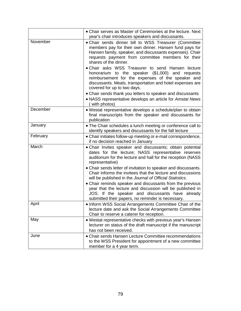|          | • Chair serves as Master of Ceremonies at the lecture. Next<br>year's chair introduces speakers and discussants.                                                                                                                                                                                                                                                                                                                                                                                                                                                                                                                                  |
|----------|---------------------------------------------------------------------------------------------------------------------------------------------------------------------------------------------------------------------------------------------------------------------------------------------------------------------------------------------------------------------------------------------------------------------------------------------------------------------------------------------------------------------------------------------------------------------------------------------------------------------------------------------------|
| November | • Chair sends dinner bill to WSS Treasurer (Committee<br>members pay for their own dinner. Hansen fund pays for<br>Hansen family, speaker, and discussants expenses). Chair<br>requests payment from committee members for their<br>shares of the dinner.<br>. Chair asks WSS Treasurer to send Hansen lecture<br>honorarium to the speaker (\$1,000) and<br>requests<br>reimbursement for the expenses of the speaker and<br>discussants. Meals, transportation and hotel expenses are<br>covered for up to two days.<br>• Chair sends thank you letters to speaker and discussants<br>• NASS representative develops an article for Amstat News |
| December | with photos)<br>• Westat representative develops a schedule/plan to obtain<br>final manuscripts from the speaker and discussants for<br>publication                                                                                                                                                                                                                                                                                                                                                                                                                                                                                               |
| January  | . The Chair schedules a lunch meeting or conference call to<br>identify speakers and discussants for the fall lecture                                                                                                                                                                                                                                                                                                                                                                                                                                                                                                                             |
| February | • Chair initiates follow-up meeting or e-mail correspondence,<br>if no decision reached in January                                                                                                                                                                                                                                                                                                                                                                                                                                                                                                                                                |
| March    | • Chair Invites speaker and discussants; obtain potential<br>dates for the lecture; NASS representative reserves<br>auditorium for the lecture and hall for the reception (NASS<br>representative)<br>• Chair sends letter of invitation to speaker and discussants.<br>Chair informs the invitees that the lecture and discussions<br>will be published in the Journal of Official Statistics.<br>• Chair reminds speaker and discussants from the previous<br>year that the lecture and discussion will be published in<br>JOS. If the speaker and discussants have already<br>submitted their papers, no reminder is necessary.                |
| April    | . Inform WSS Social Arrangements Committee Chair of the<br>lecture date and ask the Social Arrangements Committee<br>Chair to reserve a caterer for reception.                                                                                                                                                                                                                                                                                                                                                                                                                                                                                    |
| May      | . Westat representative checks with previous year's Hansen<br>lecturer on status of the draft manuscript if the manuscript<br>has not been received.                                                                                                                                                                                                                                                                                                                                                                                                                                                                                              |
| June     | • Chair sends Hansen Lecture Committee recommendations<br>to the WSS President for appointment of a new committee<br>member for a 4 year term.                                                                                                                                                                                                                                                                                                                                                                                                                                                                                                    |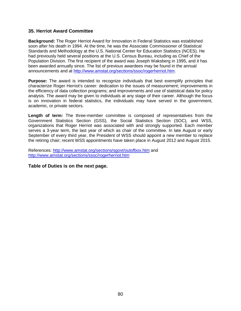### **35. Herriot Award Committee**

**Background:** The Roger Herriot Award for Innovation in Federal Statistics was established soon after his death in 1994. At the time, he was the Associate Commissioner of Statistical Standards and Methodology at the U.S. National Center for Education Statistics (NCES). He had previously held several positions at the U.S. Census Bureau, including as Chief of the Population Division. The first recipient of the award was Joseph Waksberg in 1995, and it has been awarded annually since. The list of previous awardees may be found in the annual announcements and at [http://www.amstat.org/sections/ssoc/rogerherriot.htm.](http://www.amstat.org/sections/ssoc/rogerherriot.html)

**Purpose:** The award is intended to recognize individuals that best exemplify principles that characterize Roger Herriot's career: dedication to the issues of measurement; improvements in the efficiency of data collection programs; and improvements and use of statistical data for policy analysis. The award may be given to individuals at any stage of their career. Although the focus is on innovation in federal statistics, the individuals may have served in the government, academic, or private sectors.

**Length of term:** The three-member committee is composed of representatives from the Government Statistics Section (GSS), the Social Statistics Section (SOC), and WSS, organizations that Roger Herriot was associated with and strongly supported. Each member serves a 3-year term, the last year of which as chair of the committee. In late August or early September of every third year, the President of WSS should appoint a new member to replace the retiring chair; recent WSS appointments have taken place in August 2012 and August 2015.

References:<http://www.amstat.org/sections/sgovt/outofbox.htm> and [http://www.amstat.org/sections/ssoc/rogerherriot.htm](http://www.amstat.org/sections/ssoc/rogerherriot.html)

**Table of Duties is on the next page.**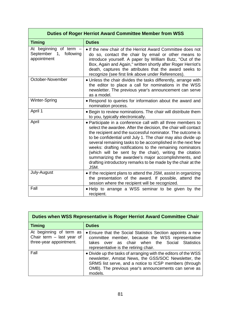| <b>Duties of Roger Herriot Award Committee Member from WSS</b>  |                                                                                                                                                                                                                                                                                                                                                                                                                                                                                                                                                                                     |
|-----------------------------------------------------------------|-------------------------------------------------------------------------------------------------------------------------------------------------------------------------------------------------------------------------------------------------------------------------------------------------------------------------------------------------------------------------------------------------------------------------------------------------------------------------------------------------------------------------------------------------------------------------------------|
| <b>Timing</b>                                                   | <b>Duties</b>                                                                                                                                                                                                                                                                                                                                                                                                                                                                                                                                                                       |
| At beginning of term -<br>September 1, following<br>appointment | • If the new chair of the Herriot Award Committee does not<br>do so, contact the chair by email or other means to<br>introduce yourself. A paper by William Butz, "Out of the<br>Box, Again and Again," written shortly after Roger Herriot's<br>death, captures the attributes that the award seeks to<br>recognize (see first link above under References).                                                                                                                                                                                                                       |
| October-November                                                | • Unless the chair divides the tasks differently, arrange with<br>the editor to place a call for nominations in the WSS<br>newsletter. The previous year's announcement can serve<br>as a model.                                                                                                                                                                                                                                                                                                                                                                                    |
| Winter-Spring                                                   | • Respond to queries for information about the award and<br>nomination process.                                                                                                                                                                                                                                                                                                                                                                                                                                                                                                     |
| April 1                                                         | • Begin to review nominations. The chair will distribute them<br>to you, typically electronically.                                                                                                                                                                                                                                                                                                                                                                                                                                                                                  |
| April                                                           | • Participate in a conference call with all three members to<br>select the awardee. After the decision, the chair will contact<br>the recipient and the successful nominator. The outcome is<br>to be confidential until July 1. The chair may also divide up<br>several remaining tasks to be accomplished in the next few<br>weeks: drafting notifications to the remaining nominators<br>(which will be sent by the chair), writing the citation<br>summarizing the awardee's major accomplishments, and<br>drafting introductory remarks to be made by the chair at the<br>JSM. |
| July-August                                                     | • If the recipient plans to attend the JSM, assist in organizing<br>the presentation of the award. If possible, attend the<br>session where the recipient will be recognized.                                                                                                                                                                                                                                                                                                                                                                                                       |
| Fall                                                            | • Help to arrange a WSS seminar to be given by the<br>recipient.                                                                                                                                                                                                                                                                                                                                                                                                                                                                                                                    |

| Duties when WSS Representative is Roger Herriot Award Committee Chair             |                                                                                                                                                                                                                                                     |
|-----------------------------------------------------------------------------------|-----------------------------------------------------------------------------------------------------------------------------------------------------------------------------------------------------------------------------------------------------|
| <b>Timing</b>                                                                     | <b>Duties</b>                                                                                                                                                                                                                                       |
| At beginning of term as<br>Chair term $-$ last year of<br>three-year appointment. | • Ensure that the Social Statistics Section appoints a new<br>committee member, because the WSS representative<br>over as chair when the Social Statistics<br>takes<br>representative is the retiring chair.                                        |
| Fall                                                                              | • Divide up the tasks of arranging with the editors of the WSS<br>newsletter, Amstat News, the GSS/SOC Newsletter, the<br>SRMS list serve, and a notice to ICSP members (through<br>OMB). The previous year's announcements can serve as<br>models. |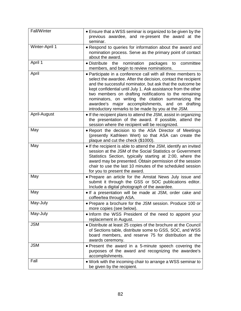| Fall/Winter    | • Ensure that a WSS seminar is organized to be given by the<br>previous awardee, and re-present the award at the<br>seminar.                                                                                                                                                                                                                                                                                                                                                              |
|----------------|-------------------------------------------------------------------------------------------------------------------------------------------------------------------------------------------------------------------------------------------------------------------------------------------------------------------------------------------------------------------------------------------------------------------------------------------------------------------------------------------|
| Winter-April 1 | • Respond to queries for information about the award and<br>nomination process. Serve as the primary point of contact<br>about the award.                                                                                                                                                                                                                                                                                                                                                 |
| April 1        | nomination<br>packages<br>$\bullet$ Distribute<br>the<br>committee<br>to<br>members, and begin to review nominations.                                                                                                                                                                                                                                                                                                                                                                     |
| April          | • Participate in a conference call with all three members to<br>select the awardee. After the decision, contact the recipient<br>and the successful nominator, but ask that the outcome be<br>kept confidential until July 1. Ask assistance from the other<br>two members on drafting notifications to the remaining<br>nominators, on writing the citation summarizing the<br>major accomplishments, and on drafting<br>awardee's<br>introductory remarks to be made by you at the JSM. |
| April-August   | • If the recipient plans to attend the JSM, assist in organizing<br>the presentation of the award. If possible, attend the<br>session where the recipient will be recognized.                                                                                                                                                                                                                                                                                                             |
| May            | • Report the decision to the ASA Director of Meetings<br>(presently Kathleen Wert) so that ASA can create the<br>plaque and cut the check (\$1000).                                                                                                                                                                                                                                                                                                                                       |
| May            | • If the recipient is able to attend the JSM, identify an invited<br>session at the JSM of the Social Statistics or Government<br>Statistics Section, typically starting at 2:00, where the<br>award may be presented. Obtain permission of the session<br>chair to use the last 10 minutes of the scheduled session<br>for you to present the award.                                                                                                                                     |
| May            | • Prepare an article for the Amstat News July issue and<br>submit it through the GSS or SOC publications editor.<br>Include a digital photograph of the awardee.                                                                                                                                                                                                                                                                                                                          |
| May            | . If a presentation will be made at JSM, order cake and<br>coffee/tea through ASA.                                                                                                                                                                                                                                                                                                                                                                                                        |
| May-July       | • Prepare a brochure for the JSM session. Produce 100 or<br>more copies (see below).                                                                                                                                                                                                                                                                                                                                                                                                      |
| May-July       | . Inform the WSS President of the need to appoint your<br>replacement in August.                                                                                                                                                                                                                                                                                                                                                                                                          |
| <b>JSM</b>     | • Distribute at least 25 copies of the brochure at the Council<br>of Sections table, distribute some to GSS, SOC, and WSS<br>board members, and reserve 75 for distribution at the<br>awards ceremony.                                                                                                                                                                                                                                                                                    |
| <b>JSM</b>     | • Present the award in a 5-minute speech covering the<br>purposes of the award and recognizing the awardee's<br>accomplishments.                                                                                                                                                                                                                                                                                                                                                          |
| Fall           | . Work with the incoming chair to arrange a WSS seminar to<br>be given by the recipient.                                                                                                                                                                                                                                                                                                                                                                                                  |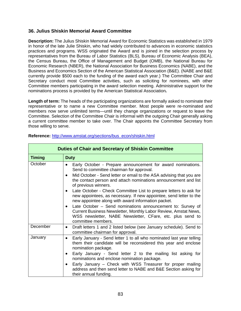### **36. Julius Shiskin Memorial Award Committee**

**Description:** The Julius Shiskin Memorial Award for Economic Statistics was established in 1979 in honor of the late Julie Shiskin, who had widely contributed to advances in economic statistics practices and programs. WSS originated the Award and is joined in the selection process by representatives from the Bureau of Labor Statistics (BLS), Bureau of Economic Analysis (BEA), the Census Bureau, the Office of Management and Budget (OMB), the National Bureau for Economic Research (NBER), the National Association for Business Economics (NABE), and the Business and Economics Section of the American Statistical Association (B&E). (NABE and B&E currently provide \$500 each to the funding of the award each year.) The Committee Chair and Secretary conduct most Committee activities, such as soliciting for nominees, with other Committee members participating in the award selection meeting. Administrative support for the nominations process is provided by the American Statistical Association*.*

**Length of term:** The heads of the participating organizations are formally asked to nominate their representative or to name a new Committee member. Most people were re-nominated and members now serve unlimited terms—until they change organizations or request to leave the Committee. Selection of the Committee Chair is informal with the outgoing Chair generally asking a current committee member to take over. The Chair appoints the Committee Secretary from those willing to serve.

| <b>Duties of Chair and Secretary of Shiskin Committee</b> |                                                                                                                                                                                                                                                                                                                                                                                                                                                                                                                                                                                                                                                                                                                                       |
|-----------------------------------------------------------|---------------------------------------------------------------------------------------------------------------------------------------------------------------------------------------------------------------------------------------------------------------------------------------------------------------------------------------------------------------------------------------------------------------------------------------------------------------------------------------------------------------------------------------------------------------------------------------------------------------------------------------------------------------------------------------------------------------------------------------|
| <b>Timing</b>                                             | <b>Duty</b>                                                                                                                                                                                                                                                                                                                                                                                                                                                                                                                                                                                                                                                                                                                           |
| October                                                   | Early October - Prepare announcement for award nominations.<br>$\bullet$<br>Send to committee chairman for approval.<br>Mid October - Send letter or email to the ASA advising that you are<br>$\bullet$<br>the contact person and attach nominations announcement and list<br>of previous winners.<br>Late October - Check Committee List to prepare letters to ask for<br>$\bullet$<br>new appointees, as necessary. If new appointee, send letter to the<br>new appointee along with award information packet.<br>Late October - Send nominations announcement to: Survey of<br>Current Business Newsletter, Monthly Labor Review, Amstat News,<br>WSS newsletter, NABE Newsletter, CFare, etc. plus send to<br>committee members. |
| December                                                  | Draft letters 1 and 2 listed below (see January schedule). Send to<br>$\bullet$<br>committee chairman for approval.                                                                                                                                                                                                                                                                                                                                                                                                                                                                                                                                                                                                                   |
| January                                                   | Early January - Send letter 1 to all who nominated last year telling<br>$\bullet$<br>them their candidate will be reconsidered this year and enclose<br>nomination package.<br>Early January - Send letter 2 to the mailing list asking for<br>$\bullet$<br>nominations and enclose nomination package.<br>Early January – Check with WSS Treasurer for proper mailing<br>$\bullet$<br>address and then send letter to NABE and B&E Section asking for<br>their annual funding.                                                                                                                                                                                                                                                       |

#### **Reference:** [http://www.amstat.org/sections/bus\\_econ/shiskin.html](http://www.amstat.org/sections/bus_econ/shiskin.html)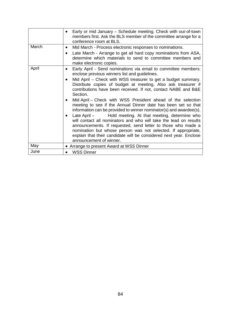|       | Early or mid January - Schedule meeting. Check with out-of-town<br>members first. Ask the BLS member of the committee arrange for a<br>conference room at BLS.                                                                                                                                                                                                                |
|-------|-------------------------------------------------------------------------------------------------------------------------------------------------------------------------------------------------------------------------------------------------------------------------------------------------------------------------------------------------------------------------------|
| March | Mid March - Process electronic responses to nominations.<br>$\bullet$                                                                                                                                                                                                                                                                                                         |
|       | Late March - Arrange to get all hard copy nominations from ASA,<br>$\bullet$<br>determine which materials to send to committee members and<br>make electronic copies.                                                                                                                                                                                                         |
| April | Early April - Send nominations via email to committee members:<br>enclose previous winners list and guidelines.                                                                                                                                                                                                                                                               |
|       | Mid April – Check with WSS treasurer to get a budget summary.<br>$\bullet$<br>Distribute copies of budget at meeting. Also ask treasurer if<br>contributions have been received. If not, contact NABE and B&E<br>Section.                                                                                                                                                     |
|       | Mid April – Check with WSS President ahead of the selection<br>$\bullet$<br>meeting to see if the Annual Dinner date has been set so that<br>information can be provided to winner nominator(s) and awardee(s).                                                                                                                                                               |
|       | Late April – Hold meeting. At that meeting, determine who<br>$\bullet$<br>will contact all nominators and who will take the lead on results<br>announcements. If requested, send letter to those who made a<br>nomination but whose person was not selected. If appropriate,<br>explain that their candidate will be considered next year. Enclose<br>announcement of winner. |
| May   | • Arrange to present Award at WSS Dinner                                                                                                                                                                                                                                                                                                                                      |
| June  | <b>WSS Dinner</b>                                                                                                                                                                                                                                                                                                                                                             |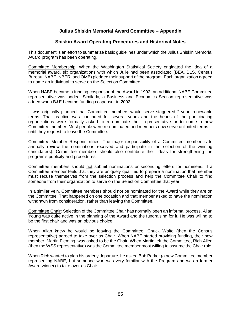# **Julius Shiskin Memorial Award Committee – Appendix**

### **Shiskin Award Operating Procedures and Historical Notes**

This document is an effort to summarize basic guidelines under which the Julius Shiskin Memorial Award program has been operating.

Committee Membership: When the Washington Statistical Society originated the idea of a memorial award, six organizations with which Julie had been associated (BEA, BLS, Census Bureau, NABE, NBER, and OMB) pledged their support of the program. Each organization agreed to name an individual to serve on the Selection Committee.

When NABE became a funding cosponsor of the Award in 1992, an additional NABE Committee representative was added. Similarly, a Business and Economics Section representative was added when B&E became funding cosponsor in 2002.

It was originally planned that Committee members would serve staggered 2-year, renewable terms. That practice was continued for several years and the heads of the participating organizations were formally asked to re-nominate their representative or to name a new Committee member. Most people were re-nominated and members now serve unlimited terms until they request to leave the Committee.

Committee Member Responsibilities: The major responsibility of a Committee member is to annually review the nominations received and participate in the selection of the winning candidate(s). Committee members should also contribute their ideas for strengthening the program's publicity and procedures.

Committee members should not submit nominations or seconding letters for nominees. If a Committee member feels that they are uniquely qualified to prepare a nomination that member must recuse themselves from the selection process and help the Committee Chair to find someone from their organization to serve on the Selection Committee that year.

In a similar vein, Committee members should not be nominated for the Award while they are on the Committee. That happened on one occasion and that member asked to have the nomination withdrawn from consideration, rather than leaving the Committee.

Committee Chair: Selection of the Committee Chair has normally been an informal process. Allan Young was quite active in the planning of the Award and the fundraising for it. He was willing to be the first chair and was an obvious choice.

When Allan knew he would be leaving the Committee, Chuck Waite (then the Census representative) agreed to take over as Chair. When NABE started providing funding, their new member, Martin Fleming, was asked to be the Chair. When Martin left the Committee, Rich Allen (then the WSS representative) was the Committee member most willing to assume the Chair role.

When Rich wanted to plan his orderly departure, he asked Bob Parker (a new Committee member representing NABE, but someone who was very familiar with the Program and was a former Award winner) to take over as Chair.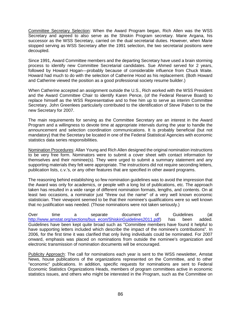Committee Secretary Selection: When the Award Program began, Rich Allen was the WSS Secretary and agreed to also serve as the Shiskin Program secretary. Marie Argana, his successor as the WSS Secretary, carried on the dual secretarial duties. However, when Marie stopped serving as WSS Secretary after the 1991 selection, the two secretarial positions were decoupled.

Since 1991, Award Committee members and the departing Secretary have used a brain storming process to identify new Committee Secretarial candidates. Sue Ahmed served for 2 years, followed by Howard Hogan—probably because of considerable influence from Chuck Waite. Howard had much to do with the selection of Catherine Hood as his replacement. (Both Howard and Catherine viewed the position as a good professional society resume builder.)

When Catherine accepted an assignment outside the U.S., Rich worked with the WSS President and the Award Committee Chair to identify Karen Pence, (of the Federal Reserve Board) to replace himself as the WSS Representative and to free him up to serve as interim Committee Secretary. John Greenlees particularly contributed to the identification of Steve Paben to be the new Secretary for 2007.

The main requirements for serving as the Committee Secretary are an interest in the Award Program and a willingness to devote time at appropriate intervals during the year to handle the announcement and selection coordination communications. It is probably beneficial (but not mandatory) that the Secretary be located in one of the Federal Statistical Agencies with economic statistics data series responsibilities.

Nomination Procedures: Allan Young and Rich Allen designed the original nomination instructions to be very free form. Nominators were to submit a cover sheet with contact information for themselves and their nominee(s). They were urged to submit a summary statement and any supporting materials they felt were appropriate. The instructions did not require seconding letters, publication lists, c.v.'s, or any other features that are specified in other award programs.

The reasoning behind establishing so few nomination guidelines was to avoid the impression that the Award was only for academics, or people with a long list of publications, etc. The approach taken has resulted in a wide range of different nomination formats, lengths, and contents. On at least two occasions, a nominator just "threw out the name" of a very well known economic statistician. Their viewpoint seemed to be that their nominee's qualifications were so well known that no justification was needed. (Those nominations were not taken seriously.)

Over time a separate document of Guidelines (at [http://www.amstat.org/sections/bus\\_econ/ShiskinGuidelines2011.pdf\)](http://www.amstat.org/sections/bus_econ/ShiskinGuidelines2011.pdf) has been added. Guidelines have been kept quite broad such as "Committee members have found it helpful to have supporting letters included which describe the impact of the nominee's contributions". In 2006, for the first time it was clarified that only living individuals could be nominated. For 2007 onward, emphasis was placed on nominations from outside the nominee's organization and electronic transmission of nomination documents will be encouraged.

Publicity Approach: The call for nominations each year is sent to the WSS newsletter, Amstat News, house publications of the organizations represented on the Committee, and to other "economic" publications. In addition, specific requests for nominations are sent to Federal Economic Statistics Organizations Heads, members of program committees active in economic statistics issues, and others who might be interested in the Program, such as the Committee on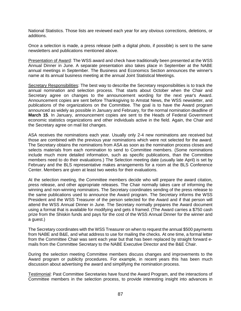National Statistics. Those lists are reviewed each year for any obvious corrections, deletions, or additions.

Once a selection is made, a press release (with a digital photo, if possible) is sent to the same newsletters and publications mentioned above.

Presentation of Award: The WSS award and check have traditionally been presented at the WSS Annual Dinner in June. A separate presentation also takes place in September at the NABE annual meetings in September. The Business and Economics Section announces the winner's name at its annual business meeting at the annual Joint Statistical Meetings.

Secretary Responsibilities: The best way to describe the Secretary responsibilities is to track the annual nomination and selection process. That starts about October when the Chair and Secretary agree on changes to the announcement wording for the next year's Award. Announcement copies are sent before Thanksgiving to Amstat News, the WSS newsletter, and publications of the organizations on the Committee. The goal is to have the Award program announced as widely as possible in January and February, for the normal nomination deadline of **March 15**. In January, announcement copies are sent to the Heads of Federal Government economic statistics organizations and other individuals active in the field. Again, the Chair and the Secretary agree on mail list changes.

ASA receives the nominations each year. Usually only 2-4 new nominations are received but those are combined with the previous year nominations which were not selected for the award. The Secretary obtains the nominations from ASA as soon as the nomination process closes and selects materials from each nomination to send to Committee members. (Some nominations include much more detailed information, such as specific publications, than the Committee members need to do their evaluations.) The Selection meeting date (usually late April) is set by February and the BLS representative makes arrangements for a room at the BLS Conference Center. Members are given at least two weeks for their evaluations.

At the selection meeting, the Committee members decide who will prepare the award citation, press release, and other appropriate releases. The Chair normally takes care of informing the winning and non-winning nominators. The Secretary coordinates sending of the press release to the same publications used to announce the Award program. The Secretary informs the WSS President and the WSS Treasurer of the person selected for the Award and if that person will attend the WSS Annual Dinner in June. The Secretary normally prepares the Award document using a format that is available for modifying and gets it framed. (The Award carries a \$750 cash prize from the Shiskin funds and pays for the cost of the WSS Annual Dinner for the winner and a guest.)

The Secretary coordinates with the WSS Treasurer on when to request the annual \$500 payments from NABE and B&E, and what address to use for mailing the checks. At one time, a formal letter from the Committee Chair was sent each year but that has been replaced by straight forward emails from the Committee Secretary to the NABE Executive Director and the B&E Chair.

During the selection meeting Committee members discuss changes and improvements to the Award program or publicity procedures. For example, in recent years this has been much discussion about advertising the award and simplifying the nomination process.

Testimonial: Past Committee Secretaries have found the Award Program, and the interactions of Committee members in the selection process, to provide interesting insight into advances in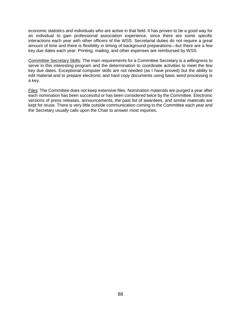economic statistics and individuals who are active in that field. It has proven to be a good way for an individual to gain professional association experience, since there are some specific interactions each year with other officers of the WSS. Secretarial duties do not require a great amount of time and there is flexibility in timing of background preparations—but there are a few key due dates each year. Printing, mailing, and other expenses are reimbursed by WSS.

Committee Secretary Skills: The main requirements for a Committee Secretary is a willingness to serve in this interesting program and the determination to coordinate activities to meet the few key due dates. Exceptional computer skills are not needed (as I have proved) but the ability to edit material and to prepare electronic and hard copy documents using basic word processing is a key.

Files: The Committee does not keep extensive files. Nomination materials are purged a year after each nomination has been successful or has been considered twice by the Committee. Electronic versions of press releases, announcements, the past list of awardees, and similar materials are kept for reuse. There is very little outside communication coming to the Committee each year and the Secretary usually calls upon the Chair to answer most inquiries.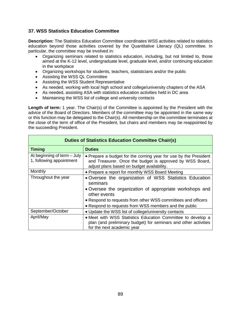# **37. WSS Statistics Education Committee**

**Description:** The Statistics Education Committee coordinates WSS activities related to statistics education beyond those activities covered by the Quantitative Literacy (QL) committee. In particular, the committee may be involved in:

- Organizing seminars related to statistics education, including, but not limited to, those aimed at the K-12 level, undergraduate level, graduate level, and/or continuing education in the workplace
- Organizing workshops for students, teachers, statisticians and/or the public
- Assisting the WSS QL Committee
- Assisting the WSS Student Representative
- As needed, working with local high school and college/university chapters of the ASA
- As needed, assisting ASA with statistics education activities held in DC area
- Maintaining the WSS list of college and university contacts

**Length of term:** 1 year. The Chair(s) of the Committee is appointed by the President with the advice of the Board of Directors. Members of the committee may be appointed in the same way or this function may be delegated to the Chair(s). All membership on the committee terminates at the close of the term of office of the President, but chairs and members may be reappointed by the succeeding President.

| <b>Duties of Statistics Education Committee Chair(s)</b> |                                                                                                                                                                           |
|----------------------------------------------------------|---------------------------------------------------------------------------------------------------------------------------------------------------------------------------|
| <b>Timing</b>                                            | <b>Duties</b>                                                                                                                                                             |
| At beginning of term - July<br>1, following appointment  | • Prepare a budget for the coming year for use by the President<br>and Treasurer. Once the budget is approved by WSS Board,<br>adjust plans based on budget availability. |
| Monthly                                                  | • Prepare a report for monthly WSS Board Meeting                                                                                                                          |
| Throughout the year                                      | • Oversee the organization of WSS Statistics Education<br>seminars                                                                                                        |
|                                                          | • Oversee the organization of appropriate workshops and<br>other events                                                                                                   |
|                                                          | • Respond to requests from other WSS committees and officers                                                                                                              |
|                                                          | • Respond to requests from WSS members and the public                                                                                                                     |
| September/October                                        | • Update the WSS list of college/university contacts                                                                                                                      |
| April/May                                                | • Meet with WSS Statistics Education Committee to develop a<br>plan (and preliminary budget) for seminars and other activities<br>for the next academic year              |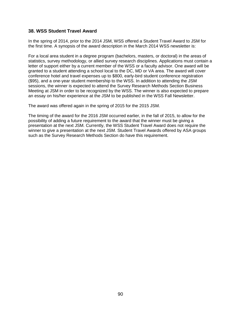### **38. WSS Student Travel Award**

In the spring of 2014, prior to the 2014 JSM, WSS offered a Student Travel Award to JSM for the first time. A synopsis of the award description in the March 2014 WSS newsletter is:

For a local area student in a degree program (bachelors, masters, or doctoral) in the areas of statistics, survey methodology, or allied survey research disciplines. Applications must contain a letter of support either by a current member of the WSS or a faculty advisor. One award will be granted to a student attending a school local to the DC, MD or VA area. The award will cover conference hotel and travel expenses up to \$800, early-bird student conference registration (\$95), and a one-year student membership to the WSS. In addition to attending the JSM sessions, the winner is expected to attend the Survey Research Methods Section Business Meeting at JSM in order to be recognized by the WSS. The winner is also expected to prepare an essay on his/her experience at the JSM to be published in the WSS Fall Newsletter.

The award was offered again in the spring of 2015 for the 2015 JSM.

The timing of the award for the 2016 JSM occurred earlier, in the fall of 2015, to allow for the possibility of adding a future requirement to the award that the winner must be giving a presentation at the next JSM. Currently, the WSS Student Travel Award does not require the winner to give a presentation at the next JSM. Student Travel Awards offered by ASA groups such as the Survey Research Methods Section do have this requirement.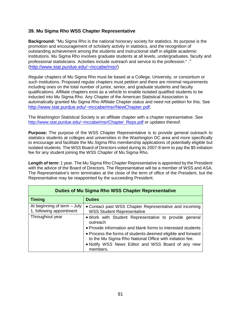# **39. Mu Sigma Rho WSS Chapter Representative**

**Background:** "Mu Sigma Rho is the national honorary society for statistics. Its purpose is the promotion and encouragement of scholarly activity in statistics, and the recognition of outstanding achievement among the students and instructional staff in eligible academic institutions. Mu Sigma Rho involves graduate students at all levels, undergraduates, faculty and professional statisticians. Activities include outreach and service to the profession." ." [\(http://www.stat.purdue.edu/~mccabe/msr/\)](http://www.stat.purdue.edu/%7Emccabe/msr/)

*Regular* chapters of Mu Sigma Rho must be based at a College, University, or consortium or such institutions. Proposed regular chapters must petition and there are minimal requirements including ones on the total number of junior, senior, and graduate students and faculty qualifications. *Affiliate* chapters exist as a vehicle to enable isolated qualified students to be inducted into Mu Sigma Rho. Any Chapter of the American Statistical Association is automatically granted Mu Sigma Rho Affiliate Chapter status and need not petition for this. See [http://www.stat.purdue.edu/~mccabe/msr/NewChapter.pdf.](http://www.stat.purdue.edu/%7Emccabe/msr/NewChapter.pdf)

The Washington Statistical Society is an affiliate chapter with a chapter representative. See [http://www.stat.purdue.edu/~mccabe/msr/Chapter\\_Reps.pdf](http://www.stat.purdue.edu/%7Emccabe/msr/Chapter_Reps.pdf) or updates thereof.

**Purpose:** The purpose of the WSS Chapter Representative is to provide general outreach to statistics students at colleges and universities in the Washington DC area and more specifically to encourage and facilitate the Mu Sigma Rho membership applications of potentially eligible but isolated students. The WSS Board of Directors voted during its 2007-8 term to pay the \$5 initiation fee for any student joining the WSS Chapter of Mu Sigma Rho.

**Length of term:** 1 year. The Mu Sigma Rho Chapter Representative is appointed by the President with the advice of the Board of Directors. The Representative will be a member of WSS and ASA. The Representative's term terminates at the close of the term of office of the President, but the Representative may be reappointed by the succeeding President.

| <b>Duties of Mu Sigma Rho WSS Chapter Representative</b> |                                                                                                                                                                                                                                                                                                                               |
|----------------------------------------------------------|-------------------------------------------------------------------------------------------------------------------------------------------------------------------------------------------------------------------------------------------------------------------------------------------------------------------------------|
| <b>Timing</b>                                            | <b>Duties</b>                                                                                                                                                                                                                                                                                                                 |
| At beginning of term - July<br>1, following appointment  | • Contact past WSS Chapter Representative and incoming<br><b>WSS Student Representative</b>                                                                                                                                                                                                                                   |
| Throughout year                                          | . Work with Student Representative to provide general<br>outreach<br>• Provide information and blank forms to interested students<br>• Process the forms of students deemed eligible and forward<br>to the Mu Sigma Rho National Office with initiation fee.<br>• Notify WSS News Editor and WSS Board of any new<br>members. |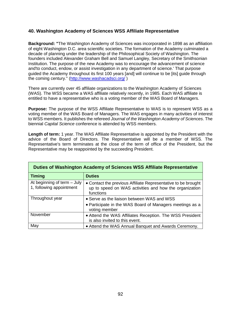# **40. Washington Academy of Sciences WSS Affiliate Representative**

**Background: "**The Washington Academy of Sciences was incorporated in 1898 as an affiliation of eight Washington D.C. area scientific societies. The formation of the Academy culminated a decade of planning under the leadership of the Philosophical Society of Washington. The founders included Alexander Graham Bell and Samuel Langley, Secretary of the Smithsonian Institution. The purpose of the new Academy was to encourage the advancement of science and'to conduct, endow, or assist investigation in any department of science.' That purpose guided the Academy throughout its first 100 years [and] will continue to be [its] guide through the coming century." [\(http://www.washacadsci.org/](http://www.washacadsci.org/) )

There are currently over 45 affiliate organizations to the Washington Academy of Sciences (WAS). The WSS became a WAS affiliate relatively recently, in 1985. Each WAS affiliate is entitled to have a representative who is a voting member of the WAS Board of Managers.

**Purpose:** The purpose of the WSS Affiliate Representative to WAS is to represent WSS as a voting member of the WAS Board of Managers. The WAS engages in many activities of interest to WSS members. It publishes the refereed *Journal of the Washington Academy of Sciences*. The biennial *Capital Science* conference is attended by WSS members.

**Length of term:** 1 year. The WAS Affiliate Representative is appointed by the President with the advice of the Board of Directors. The Representative will be a member of WSS. The Representative's term terminates at the close of the term of office of the President, but the Representative may be reappointed by the succeeding President.

| Duties of Washington Academy of Sciences WSS Affiliate Representative |                                                                                                                                      |  |
|-----------------------------------------------------------------------|--------------------------------------------------------------------------------------------------------------------------------------|--|
| <b>Timing</b>                                                         | <b>Duties</b>                                                                                                                        |  |
| At beginning of term - July<br>1, following appointment               | • Contact the previous Affiliate Representative to be brought<br>up to speed on WAS activities and how the organization<br>functions |  |
| Throughout year                                                       | • Serve as the liaison between WAS and WSS<br>• Participate in the WAS Board of Managers meetings as a<br>voting member              |  |
| November                                                              | • Attend the WAS Affiliates Reception. The WSS President<br>is also invited to this event.                                           |  |
| May                                                                   | • Attend the WAS Annual Banquet and Awards Ceremony.                                                                                 |  |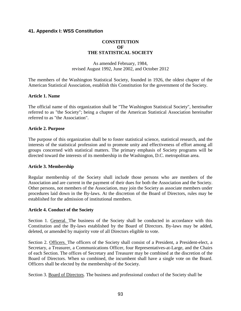# **41. Appendix I: WSS Constitution**

### **CONSTITUTION OF THE STATISTICAL SOCIETY**

As amended February, 1984, revised August 1992, June 2002, and October 2012

The members of the Washington Statistical Society, founded in 1926, the oldest chapter of the American Statistical Association, establish this Constitution for the government of the Society.

### **Article 1. Name**

The official name of this organization shall be "The Washington Statistical Society", hereinafter referred to as "the Society"; being a chapter of the American Statistical Association hereinafter referred to as "the Association".

### **Article 2. Purpose**

The purpose of this organization shall be to foster statistical science, statistical research, and the interests of the statistical profession and to promote unity and effectiveness of effort among all groups concerned with statistical matters. The primary emphasis of Society programs will be directed toward the interests of its membership in the Washington, D.C. metropolitan area.

### **Article 3. Membership**

Regular membership of the Society shall include those persons who are members of the Association and are current in the payment of their dues for both the Association and the Society. Other persons, not members of the Association, may join the Society as associate members under procedures laid down in the By-laws. At the discretion of the Board of Directors, rules may be established for the admission of institutional members.

### **Article 4. Conduct of the Society**

Section 1. General. The business of the Society shall be conducted in accordance with this Constitution and the By-laws established by the Board of Directors. By-laws may be added, deleted, or amended by majority vote of all Directors eligible to vote.

Section 2. Officers. The officers of the Society shall consist of a President, a President-elect, a Secretary, a Treasurer, a Communications Officer, four Representatives-at-Large, and the Chairs of each Section. The offices of Secretary and Treasurer may be combined at the discretion of the Board of Directors. When so combined, the incumbent shall have a single vote on the Board. Officers shall be elected by the membership of the Society.

Section 3. Board of Directors. The business and professional conduct of the Society shall be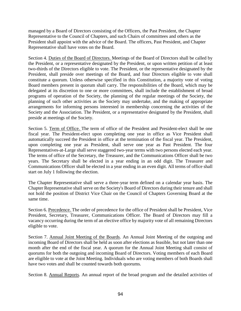managed by a Board of Directors consisting of the Officers, the Past President, the Chapter Representative to the Council of Chapters, and such Chairs of committees and others as the President shall appoint with the advice of the Board. The officers, Past President, and Chapter Representative shall have votes on the Board.

Section 4. Duties of the Board of Directors. Meetings of the Board of Directors shall be called by the President, or a representative designated by the President, or upon written petition of at least two-thirds of the Directors eligible to vote. The President, or the representative designated by the President, shall preside over meetings of the Board, and four Directors eligible to vote shall constitute a quorum. Unless otherwise specified in this Constitution, a majority vote of voting Board members present in quorum shall carry. The responsibilities of the Board, which may be delegated at its discretion to one or more committees, shall include the establishment of broad programs of operation of the Society, the planning of the regular meetings of the Society, the planning of such other activities as the Society may undertake, and the making of appropriate arrangements for informing persons interested in membership concerning the activities of the Society and the Association. The President, or a representative designated by the President, shall preside at meetings of the Society.

Section 5. Term of Office. The term of office of the President and President-elect shall be one fiscal year. The President-elect upon completing one year in office as Vice President shall automatically succeed the President in office at the termination of the fiscal year. The President, upon completing one year as President, shall serve one year as Past President. The four Representatives-at-Large shall serve staggered two-year terms with two persons elected each year. The terms of office of the Secretary, the Treasurer, and the Communications Officer shall be two years. The Secretary shall be elected in a year ending in an odd digit. The Treasurer and Communications Officer shall be elected in a year ending in an even digit. All terms of office shall start on July 1 following the election.

The Chapter Representative shall serve a three-year term defined on a calendar year basis. The Chapter Representative shall serve on the Society's Board of Directors during their tenure and shall not hold the position of District Vice Chair on the Council of Chapters Governing Board at the same time.

Section 6. Precedence. The order of precedence for the office of President shall be President, Vice President, Secretary, Treasurer, Communications Officer. The Board of Directors may fill a vacancy occurring during the term of an elective office by majority vote of all remaining Directors eligible to vote.

Section 7. Annual Joint Meeting of the Boards. An Annual Joint Meeting of the outgoing and incoming Board of Directors shall be held as soon after elections as feasible, but not later than one month after the end of the fiscal year. A quorum for the Annual Joint Meeting shall consist of quorums for both the outgoing and incoming Board of Directors. Voting members of each Board are eligible to vote at the Joint Meeting. Individuals who are voting members of both Boards shall have two votes and shall be counted towards both quorums.

Section 8. Annual Reports. An annual report of the broad program and the detailed activities of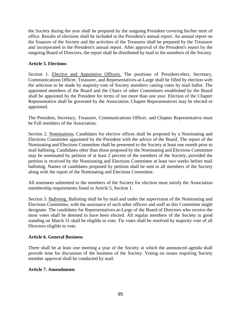the Society during the year shall be prepared by the outgoing President covering his/her term of office. Results of elections shall be included in the President's annual report. An annual report on the finances of the Society and the activities of the Treasurer shall be prepared by the Treasurer and incorporated in the President's annual report. After approval of the President's report by the outgoing Board of Directors, the report shall be distributed by mail to the members of the Society.

# **Article 5. Elections**

Section 1. Elective and Appointive Officers. The positions of President-elect, Secretary, Communications Officer, Treasurer, and Representatives-at-Large shall be filled by election with the selection to be made by majority vote of Society members casting votes by mail ballot. The appointed members of the Board and the Chairs of other Committees established by the Board shall be appointed by the President for terms of not more than one year. Election of the Chapter Representative shall be governed by the Association. Chapter Representatives may be elected or appointed.

The President, Secretary, Treasurer, Communications Officer, and Chapter Representative must be Full members of the Association.

Section 2. Nominations. Candidates for elective offices shall be proposed by a Nominating and Elections Committee appointed by the President with the advice of the Board. The report of the Nominating and Elections Committee shall be presented to the Society at least one month prior to mail balloting. Candidates other than those proposed by the Nominating and Elections Committee may be nominated by petition of at least 2 percent of the members of the Society, provided the petition is received by the Nominating and Elections Committee at least two weeks before mail balloting. Names of candidates proposed by petition shall be sent to all members of the Society along with the report of the Nominating and Elections Committee.

All nominees submitted to the members of the Society for election must satisfy the Association membership requirements listed in Article 5, Section 1.

Section 3. Balloting. Balloting shall be by mail and under the supervision of the Nominating and Elections Committee, with the assistance of such other officers and staff as this Committee might designate. The candidates for Representatives-at-Large of the Board of Directors who receive the most votes shall be deemed to have been elected. All regular members of the Society in good standing on March 31 shall be eligible to vote. Tie votes shall be resolved by majority vote of all Directors eligible to vote.

# **Article 6. General Business**

There shall be at least one meeting a year of the Society at which the announced agenda shall provide time for discussion of the business of the Society. Voting on issues requiring Society member approval shall be conducted by mail.

# **Article 7. Amendments**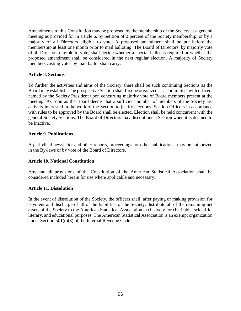Amendments to this Constitution may be proposed by the membership of the Society at a general meeting as provided for in article 6, by petition of 2 percent of the Society membership, or by a majority of all Directors eligible to vote. A proposed amendment shall be put before the membership at least one month prior to mail balloting. The Board of Directors, by majority vote of all Directors eligible to vote, shall decide whether a special ballot is required or whether the proposed amendment shall be considered in the next regular election. A majority of Society members casting votes by mail ballot shall carry.

### **Article 8. Sections**

To further the activities and aims of the Society, there shall be such continuing Sections as the Board may establish. The prospective Section shall first be organized as a committee, with officers named by the Society President upon concurring majority vote of Board members present at the meeting. As soon as the Board deems that a sufficient number of members of the Society are actively interested in the work of the Section to justify elections, Section Officers in accordance with rules to be approved by the Board shall be elected. Election shall be held concurrent with the general Society Sections. The Board of Directors may discontinue a Section when it is deemed to be inactive.

### **Article 9. Publications**

A periodical newsletter and other reports, proceedings, or other publications, may be authorized in the By-laws or by vote of the Board of Directors.

# **Article 10. National Constitution**

Any and all provisions of the Constitution of the American Statistical Association shall be considered included herein for use where applicable and necessary.

### **Article 11. Dissolution**

In the event of dissolution of the Society, the officers shall, after paying or making provision for payment and discharge of all of the liabilities of the Society, distribute all of the remaining net assets of the Society to the American Statistical Association exclusively for charitable, scientific, literary, and educational purposes. The American Statistical Association is an exempt organization under Section 501(c)(3) of the Internal Revenue Code.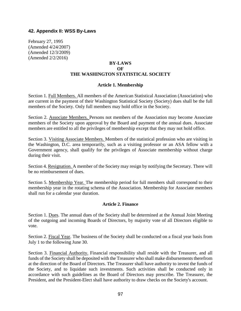### **42. Appendix II: WSS By-Laws**

February 27, 1995 (Amended 4/24/2007) (Amended 12/3/2009) (Amended 2/2/2016)

### **BY-LAWS OF THE WASHINGTON STATISTICAL SOCIETY**

#### **Article 1. Membership**

Section 1. Full Members. All members of the American Statistical Association (Association) who are current in the payment of their Washington Statistical Society (Society) dues shall be the full members of the Society. Only full members may hold office in the Society.

Section 2. Associate Members. Persons not members of the Association may become Associate members of the Society upon approval by the Board and payment of the annual dues. Associate members are entitled to all the privileges of membership except that they may not hold office.

Section 3. Visiting Associate Members. Members of the statistical profession who are visiting in the Washington, D.C. area temporarily, such as a visiting professor or an ASA fellow with a Government agency, shall qualify for the privileges of Associate membership without charge during their visit.

Section 4. Resignation. A member of the Society may resign by notifying the Secretary. There will be no reimbursement of dues.

Section 5. Membership Year. The membership period for full members shall correspond to their membership year in the rotating schema of the Association. Membership for Associate members shall run for a calendar year duration.

### **Article 2. Finance**

Section 1. Dues. The annual dues of the Society shall be determined at the Annual Joint Meeting of the outgoing and incoming Boards of Directors, by majority vote of all Directors eligible to vote.

Section 2. Fiscal Year. The business of the Society shall be conducted on a fiscal year basis from July 1 to the following June 30.

Section 3. Financial Authority. Financial responsibility shall reside with the Treasurer, and all funds of the Society shall be deposited with the Treasurer who shall make disbursements therefrom at the direction of the Board of Directors. The Treasurer shall have authority to invest the funds of the Society, and to liquidate such investments. Such activities shall be conducted only in accordance with such guidelines as the Board of Directors may prescribe. The Treasurer, the President, and the President-Elect shall have authority to draw checks on the Society's account.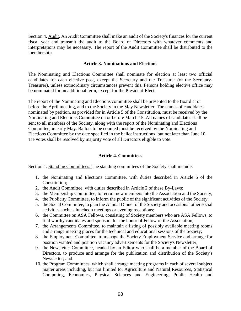Section 4. Audit. An Audit Committee shall make an audit of the Society's finances for the current fiscal year and transmit the audit to the Board of Directors with whatever comments and interpretations may be necessary. The report of the Audit Committee shall be distributed to the membership.

### **Article 3. Nominations and Elections**

The Nominating and Elections Committee shall nominate for election at least two official candidates for each elective post, except the Secretary and the Treasurer (or the Secretary-Treasurer), unless extraordinary circumstances prevent this. Persons holding elective office may be nominated for an additional term, except for the President-Elect.

The report of the Nominating and Elections committee shall be presented to the Board at or before the April meeting, and to the Society in the May Newsletter. The names of candidates nominated by petition, as provided for in Article 5 of the Constitution, must be received by the Nominating and Elections Committee on or before March 15. All names of candidates shall be sent to all members of the Society, along with the report of the Nominating and Elections Committee, in early May. Ballots to be counted must be received by the Nominating and Elections Committee by the date specified in the ballot instructions, but not later than June 10. Tie votes shall be resolved by majority vote of all Directors eligible to vote.

### **Article 4. Committees**

Section 1. Standing Committees. The standing committees of the Society shall include:

- 1. the Nominating and Elections Committee, with duties described in Article 5 of the Constitution;
- 2. the Audit Committee, with duties described in Article 2 of these By-Laws;
- 3. the Membership Committee, to recruit new members into the Association and the Society;
- 4. the Publicity Committee, to inform the public of the significant activities of the Society;
- 5. the Social Committee, to plan the Annual Dinner of the Society and occasional other social activities such as luncheon meetings or evening receptions;
- 6. the Committee on ASA Fellows, consisting of Society members who are ASA Fellows, to find worthy candidates and sponsors for the honor of Fellow of the Association;
- 7. the Arrangements Committee, to maintain a listing of possibly available meeting rooms and arrange meeting places for the technical and educational sessions of the Society;
- 8. the Employment Committee, to manage the Society Employment Service and arrange for position wanted and position vacancy advertisements for the Society's Newsletter;
- 9. the Newsletter Committee, headed by an Editor who shall be a member of the Board of Directors, to produce and arrange for the publication and distribution of the Society's Newsletter; and
- 10. the Program Committees, which shall arrange meeting programs in each of several subject matter areas including, but not limited to: Agriculture and Natural Resources, Statistical Computing, Economics, Physical Sciences and Engineering, Public Health and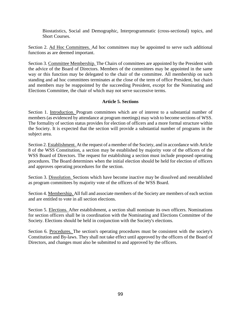Biostatistics, Social and Demographic, Interprogrammatic (cross-sectional) topics, and Short Courses.

Section 2. Ad Hoc Committees. Ad hoc committees may be appointed to serve such additional functions as are deemed important.

Section 3. Committee Membership. The Chairs of committees are appointed by the President with the advice of the Board of Directors. Members of the committees may be appointed in the same way or this function may be delegated to the chair of the committee. All membership on such standing and ad hoc committees terminates at the close of the term of office President, but chairs and members may be reappointed by the succeeding President, except for the Nominating and Elections Committee, the chair of which may not serve successive terms.

# **Article 5. Sections**

Section 1. Introduction. Program committees which are of interest to a substantial number of members (as evidenced by attendance at program meetings) may wish to become sections of WSS. The formality of section status provides for election of officers and a more formal structure within the Society. It is expected that the section will provide a substantial number of programs in the subject area.

Section 2. Establishment. At the request of a member of the Society, and in accordance with Article 8 of the WSS Constitution, a section may be established by majority vote of the officers of the WSS Board of Directors. The request for establishing a section must include proposed operating procedures. The Board determines when the initial election should be held for election of officers and approves operating procedures for the section.

Section 3. Dissolution. Sections which have become inactive may be dissolved and reestablished as program committees by majority vote of the officers of the WSS Board.

Section 4. Membership. All full and associate members of the Society are members of each section and are entitled to vote in all section elections.

Section 5. Elections. After establishment, a section shall nominate its own officers. Nominations for section officers shall be in coordination with the Nominating and Elections Committee of the Society. Elections should be held in conjunction with the Society's elections.

Section 6. Procedures. The section's operating procedures must be consistent with the society's Constitution and By-laws. They shall not take effect until approved by the officers of the Board of Directors, and changes must also be submitted to and approved by the officers.